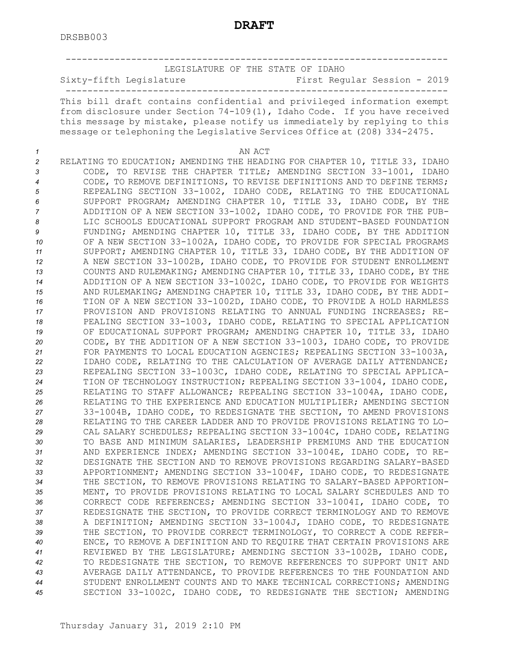|          | LEGISLATURE OF THE STATE OF IDAHO<br>Sixty-fifth Legislature<br>First Regular Session - 2019                                                                                                                                                                                                                   |
|----------|----------------------------------------------------------------------------------------------------------------------------------------------------------------------------------------------------------------------------------------------------------------------------------------------------------------|
|          | This bill draft contains confidential and privileged information exempt<br>from disclosure under Section 74-109(1), Idaho Code. If you have received<br>this message by mistake, please notify us immediately by replying to this<br>message or telephoning the Legislative Services Office at (208) 334-2475. |
|          | AN ACT                                                                                                                                                                                                                                                                                                         |
| 1<br>2   | RELATING TO EDUCATION; AMENDING THE HEADING FOR CHAPTER 10, TITLE 33, IDAHO                                                                                                                                                                                                                                    |
| 3        | CODE, TO REVISE THE CHAPTER TITLE; AMENDING SECTION 33-1001, IDAHO                                                                                                                                                                                                                                             |
| 4        | CODE, TO REMOVE DEFINITIONS, TO REVISE DEFINITIONS AND TO DEFINE TERMS;                                                                                                                                                                                                                                        |
| 5        | REPEALING SECTION 33-1002, IDAHO CODE, RELATING TO THE EDUCATIONAL                                                                                                                                                                                                                                             |
| 6        | SUPPORT PROGRAM; AMENDING CHAPTER 10, TITLE 33, IDAHO CODE, BY THE                                                                                                                                                                                                                                             |
| 7        | ADDITION OF A NEW SECTION 33-1002, IDAHO CODE, TO PROVIDE FOR THE PUB-                                                                                                                                                                                                                                         |
| 8        | LIC SCHOOLS EDUCATIONAL SUPPORT PROGRAM AND STUDENT-BASED FOUNDATION                                                                                                                                                                                                                                           |
| 9        | FUNDING; AMENDING CHAPTER 10, TITLE 33, IDAHO CODE, BY THE ADDITION                                                                                                                                                                                                                                            |
| 10<br>11 | OF A NEW SECTION 33-1002A, IDAHO CODE, TO PROVIDE FOR SPECIAL PROGRAMS<br>SUPPORT; AMENDING CHAPTER 10, TITLE 33, IDAHO CODE, BY THE ADDITION OF                                                                                                                                                               |
| 12       | A NEW SECTION 33-1002B, IDAHO CODE, TO PROVIDE FOR STUDENT ENROLLMENT                                                                                                                                                                                                                                          |
| 13       | COUNTS AND RULEMAKING; AMENDING CHAPTER 10, TITLE 33, IDAHO CODE, BY THE                                                                                                                                                                                                                                       |
| 14       | ADDITION OF A NEW SECTION 33-1002C, IDAHO CODE, TO PROVIDE FOR WEIGHTS                                                                                                                                                                                                                                         |
| 15       | AND RULEMAKING; AMENDING CHAPTER 10, TITLE 33, IDAHO CODE, BY THE ADDI-                                                                                                                                                                                                                                        |
| 16       | TION OF A NEW SECTION 33-1002D, IDAHO CODE, TO PROVIDE A HOLD HARMLESS                                                                                                                                                                                                                                         |
| 17       | PROVISION AND PROVISIONS RELATING TO ANNUAL FUNDING INCREASES; RE-                                                                                                                                                                                                                                             |
| 18       | PEALING SECTION 33-1003, IDAHO CODE, RELATING TO SPECIAL APPLICATION                                                                                                                                                                                                                                           |
| 19<br>20 | OF EDUCATIONAL SUPPORT PROGRAM; AMENDING CHAPTER 10, TITLE 33, IDAHO<br>CODE, BY THE ADDITION OF A NEW SECTION 33-1003, IDAHO CODE, TO PROVIDE                                                                                                                                                                 |
| 21       | FOR PAYMENTS TO LOCAL EDUCATION AGENCIES; REPEALING SECTION 33-1003A,                                                                                                                                                                                                                                          |
| 22       | IDAHO CODE, RELATING TO THE CALCULATION OF AVERAGE DAILY ATTENDANCE;                                                                                                                                                                                                                                           |
| 23       | REPEALING SECTION 33-1003C, IDAHO CODE, RELATING TO SPECIAL APPLICA-                                                                                                                                                                                                                                           |
| 24       | TION OF TECHNOLOGY INSTRUCTION; REPEALING SECTION 33-1004, IDAHO CODE,                                                                                                                                                                                                                                         |
| 25       | RELATING TO STAFF ALLOWANCE; REPEALING SECTION 33-1004A, IDAHO CODE,                                                                                                                                                                                                                                           |
| 26       | RELATING TO THE EXPERIENCE AND EDUCATION MULTIPLIER; AMENDING SECTION                                                                                                                                                                                                                                          |
| 27<br>28 | 33-1004B, IDAHO CODE, TO REDESIGNATE THE SECTION, TO AMEND PROVISIONS<br>RELATING TO THE CAREER LADDER AND TO PROVIDE PROVISIONS RELATING TO LO-                                                                                                                                                               |
| 29       | CAL SALARY SCHEDULES; REPEALING SECTION 33-1004C, IDAHO CODE, RELATING                                                                                                                                                                                                                                         |
| 30       | TO BASE AND MINIMUM SALARIES, LEADERSHIP PREMIUMS AND THE EDUCATION                                                                                                                                                                                                                                            |
| 31       | AND EXPERIENCE INDEX; AMENDING SECTION 33-1004E, IDAHO CODE, TO RE-                                                                                                                                                                                                                                            |
| 32       | DESIGNATE THE SECTION AND TO REMOVE PROVISIONS REGARDING SALARY-BASED                                                                                                                                                                                                                                          |
| 33       | APPORTIONMENT; AMENDING SECTION 33-1004F, IDAHO CODE, TO REDESIGNATE                                                                                                                                                                                                                                           |
| 34       | THE SECTION, TO REMOVE PROVISIONS RELATING TO SALARY-BASED APPORTION-                                                                                                                                                                                                                                          |
| 35<br>36 | MENT, TO PROVIDE PROVISIONS RELATING TO LOCAL SALARY SCHEDULES AND TO<br>CORRECT CODE REFERENCES; AMENDING SECTION 33-1004I, IDAHO CODE, TO                                                                                                                                                                    |
| 37       | REDESIGNATE THE SECTION, TO PROVIDE CORRECT TERMINOLOGY AND TO REMOVE                                                                                                                                                                                                                                          |
| 38       | A DEFINITION; AMENDING SECTION 33-1004J, IDAHO CODE, TO REDESIGNATE                                                                                                                                                                                                                                            |
| 39       | THE SECTION, TO PROVIDE CORRECT TERMINOLOGY, TO CORRECT A CODE REFER-                                                                                                                                                                                                                                          |
| 40       | ENCE, TO REMOVE A DEFINITION AND TO REQUIRE THAT CERTAIN PROVISIONS ARE                                                                                                                                                                                                                                        |
| 41       | REVIEWED BY THE LEGISLATURE; AMENDING SECTION 33-1002B, IDAHO CODE,                                                                                                                                                                                                                                            |
| 42       | TO REDESIGNATE THE SECTION, TO REMOVE REFERENCES TO SUPPORT UNIT AND                                                                                                                                                                                                                                           |
| 43<br>44 | AVERAGE DAILY ATTENDANCE, TO PROVIDE REFERENCES TO THE FOUNDATION AND<br>STUDENT ENROLLMENT COUNTS AND TO MAKE TECHNICAL CORRECTIONS; AMENDING                                                                                                                                                                 |
| 45       | SECTION 33-1002C, IDAHO CODE, TO REDESIGNATE THE SECTION; AMENDING                                                                                                                                                                                                                                             |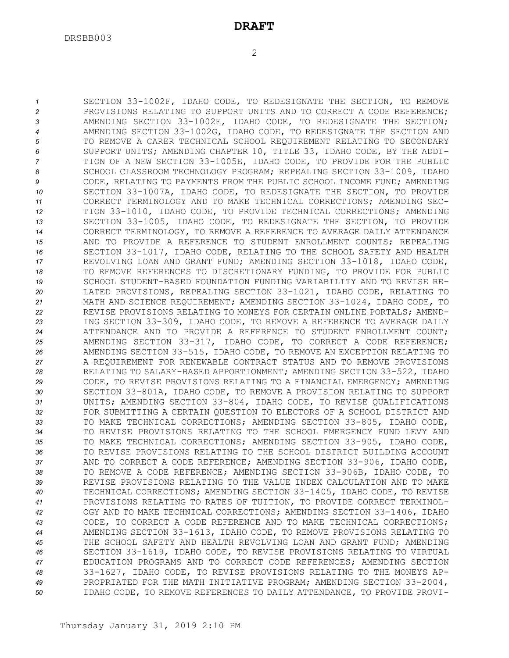SECTION 33-1002F, IDAHO CODE, TO REDESIGNATE THE SECTION, TO REMOVE PROVISIONS RELATING TO SUPPORT UNITS AND TO CORRECT A CODE REFERENCE; AMENDING SECTION 33-1002E, IDAHO CODE, TO REDESIGNATE THE SECTION; AMENDING SECTION 33-1002G, IDAHO CODE, TO REDESIGNATE THE SECTION AND TO REMOVE A CARER TECHNICAL SCHOOL REQUIREMENT RELATING TO SECONDARY SUPPORT UNITS; AMENDING CHAPTER 10, TITLE 33, IDAHO CODE, BY THE ADDI- TION OF A NEW SECTION 33-1005E, IDAHO CODE, TO PROVIDE FOR THE PUBLIC 8 SCHOOL CLASSROOM TECHNOLOGY PROGRAM; REPEALING SECTION 33-1009, IDAHO CODE, RELATING TO PAYMENTS FROM THE PUBLIC SCHOOL INCOME FUND; AMENDING SECTION 33-1007A, IDAHO CODE, TO REDESIGNATE THE SECTION, TO PROVIDE CORRECT TERMINOLOGY AND TO MAKE TECHNICAL CORRECTIONS; AMENDING SEC- TION 33-1010, IDAHO CODE, TO PROVIDE TECHNICAL CORRECTIONS; AMENDING SECTION 33-1005, IDAHO CODE, TO REDESIGNATE THE SECTION, TO PROVIDE CORRECT TERMINOLOGY, TO REMOVE A REFERENCE TO AVERAGE DAILY ATTENDANCE AND TO PROVIDE A REFERENCE TO STUDENT ENROLLMENT COUNTS; REPEALING SECTION 33-1017, IDAHO CODE, RELATING TO THE SCHOOL SAFETY AND HEALTH REVOLVING LOAN AND GRANT FUND; AMENDING SECTION 33-1018, IDAHO CODE, TO REMOVE REFERENCES TO DISCRETIONARY FUNDING, TO PROVIDE FOR PUBLIC SCHOOL STUDENT-BASED FOUNDATION FUNDING VARIABILITY AND TO REVISE RE- LATED PROVISIONS, REPEALING SECTION 33-1021, IDAHO CODE, RELATING TO MATH AND SCIENCE REQUIREMENT; AMENDING SECTION 33-1024, IDAHO CODE, TO REVISE PROVISIONS RELATING TO MONEYS FOR CERTAIN ONLINE PORTALS; AMEND- ING SECTION 33-309, IDAHO CODE, TO REMOVE A REFERENCE TO AVERAGE DAILY ATTENDANCE AND TO PROVIDE A REFERENCE TO STUDENT ENROLLMENT COUNT; AMENDING SECTION 33-317, IDAHO CODE, TO CORRECT A CODE REFERENCE; AMENDING SECTION 33-515, IDAHO CODE, TO REMOVE AN EXCEPTION RELATING TO A REQUIREMENT FOR RENEWABLE CONTRACT STATUS AND TO REMOVE PROVISIONS RELATING TO SALARY-BASED APPORTIONMENT; AMENDING SECTION 33-522, IDAHO CODE, TO REVISE PROVISIONS RELATING TO A FINANCIAL EMERGENCY; AMENDING SECTION 33-801A, IDAHO CODE, TO REMOVE A PROVISION RELATING TO SUPPORT UNITS; AMENDING SECTION 33-804, IDAHO CODE, TO REVISE QUALIFICATIONS FOR SUBMITTING A CERTAIN QUESTION TO ELECTORS OF A SCHOOL DISTRICT AND TO MAKE TECHNICAL CORRECTIONS; AMENDING SECTION 33-805, IDAHO CODE, TO REVISE PROVISIONS RELATING TO THE SCHOOL EMERGENCY FUND LEVY AND TO MAKE TECHNICAL CORRECTIONS; AMENDING SECTION 33-905, IDAHO CODE, TO REVISE PROVISIONS RELATING TO THE SCHOOL DISTRICT BUILDING ACCOUNT AND TO CORRECT A CODE REFERENCE; AMENDING SECTION 33-906, IDAHO CODE, TO REMOVE A CODE REFERENCE; AMENDING SECTION 33-906B, IDAHO CODE, TO REVISE PROVISIONS RELATING TO THE VALUE INDEX CALCULATION AND TO MAKE TECHNICAL CORRECTIONS; AMENDING SECTION 33-1405, IDAHO CODE, TO REVISE PROVISIONS RELATING TO RATES OF TUITION, TO PROVIDE CORRECT TERMINOL- OGY AND TO MAKE TECHNICAL CORRECTIONS; AMENDING SECTION 33-1406, IDAHO CODE, TO CORRECT A CODE REFERENCE AND TO MAKE TECHNICAL CORRECTIONS; AMENDING SECTION 33-1613, IDAHO CODE, TO REMOVE PROVISIONS RELATING TO THE SCHOOL SAFETY AND HEALTH REVOLVING LOAN AND GRANT FUND; AMENDING SECTION 33-1619, IDAHO CODE, TO REVISE PROVISIONS RELATING TO VIRTUAL EDUCATION PROGRAMS AND TO CORRECT CODE REFERENCES; AMENDING SECTION 33-1627, IDAHO CODE, TO REVISE PROVISIONS RELATING TO THE MONEYS AP- PROPRIATED FOR THE MATH INITIATIVE PROGRAM; AMENDING SECTION 33-2004, IDAHO CODE, TO REMOVE REFERENCES TO DAILY ATTENDANCE, TO PROVIDE PROVI-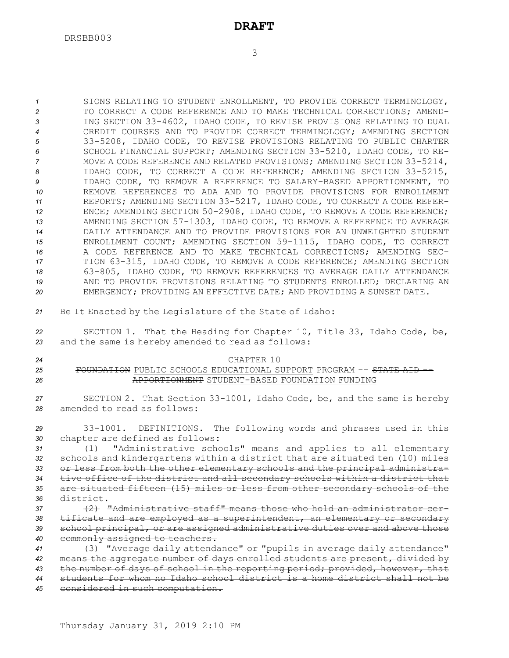SIONS RELATING TO STUDENT ENROLLMENT, TO PROVIDE CORRECT TERMINOLOGY, TO CORRECT A CODE REFERENCE AND TO MAKE TECHNICAL CORRECTIONS; AMEND- ING SECTION 33-4602, IDAHO CODE, TO REVISE PROVISIONS RELATING TO DUAL CREDIT COURSES AND TO PROVIDE CORRECT TERMINOLOGY; AMENDING SECTION 33-5208, IDAHO CODE, TO REVISE PROVISIONS RELATING TO PUBLIC CHARTER SCHOOL FINANCIAL SUPPORT; AMENDING SECTION 33-5210, IDAHO CODE, TO RE- MOVE A CODE REFERENCE AND RELATED PROVISIONS; AMENDING SECTION 33-5214, IDAHO CODE, TO CORRECT A CODE REFERENCE; AMENDING SECTION 33-5215, IDAHO CODE, TO REMOVE A REFERENCE TO SALARY-BASED APPORTIONMENT, TO REMOVE REFERENCES TO ADA AND TO PROVIDE PROVISIONS FOR ENROLLMENT REPORTS; AMENDING SECTION 33-5217, IDAHO CODE, TO CORRECT A CODE REFER- ENCE; AMENDING SECTION 50-2908, IDAHO CODE, TO REMOVE A CODE REFERENCE; AMENDING SECTION 57-1303, IDAHO CODE, TO REMOVE A REFERENCE TO AVERAGE DAILY ATTENDANCE AND TO PROVIDE PROVISIONS FOR AN UNWEIGHTED STUDENT ENROLLMENT COUNT; AMENDING SECTION 59-1115, IDAHO CODE, TO CORRECT A CODE REFERENCE AND TO MAKE TECHNICAL CORRECTIONS; AMENDING SEC- TION 63-315, IDAHO CODE, TO REMOVE A CODE REFERENCE; AMENDING SECTION 63-805, IDAHO CODE, TO REMOVE REFERENCES TO AVERAGE DAILY ATTENDANCE AND TO PROVIDE PROVISIONS RELATING TO STUDENTS ENROLLED; DECLARING AN EMERGENCY; PROVIDING AN EFFECTIVE DATE; AND PROVIDING A SUNSET DATE.

*<sup>21</sup>* Be It Enacted by the Legislature of the State of Idaho:

*<sup>22</sup>* SECTION 1. That the Heading for Chapter 10, Title 33, Idaho Code, be, *<sup>23</sup>* and the same is hereby amended to read as follows:

#### *24* CHAPTER 10 25 FOUNDATION PUBLIC SCHOOLS EDUCATIONAL SUPPORT PROGRAM -- STATE AID --*26* APPORTIONMENT STUDENT-BASED FOUNDATION FUNDING

*<sup>27</sup>* SECTION 2. That Section 33-1001, Idaho Code, be, and the same is hereby *28* amended to read as follows:

*<sup>29</sup>* 33-1001. DEFINITIONS. The following words and phrases used in this *<sup>30</sup>* chapter are defined as follows:

 (1) "Administrative schools" means and applies to all elementary schools and kindergartens within <sup>a</sup> district that are situated ten (10) miles or less from both the other elementary schools and the principal administra- tive office of the district and all secondary schools within <sup>a</sup> district that are situated fifteen (15) miles or less from other secondary schools of the district.

 (2) "Administrative staff" means those who hold an administrator cer- tificate and are employed as <sup>a</sup> superintendent, an elementary or secondary school principal, or are assigned administrative duties over and above those commonly assigned to teachers.

 (3) "Average daily attendance" or "pupils in average daily attendance" means the aggregate number of days enrolled students are present, divided by the number of days of school in the reporting period; provided, however, that students for whom no Idaho school district is <sup>a</sup> home district shall not be considered in such computation.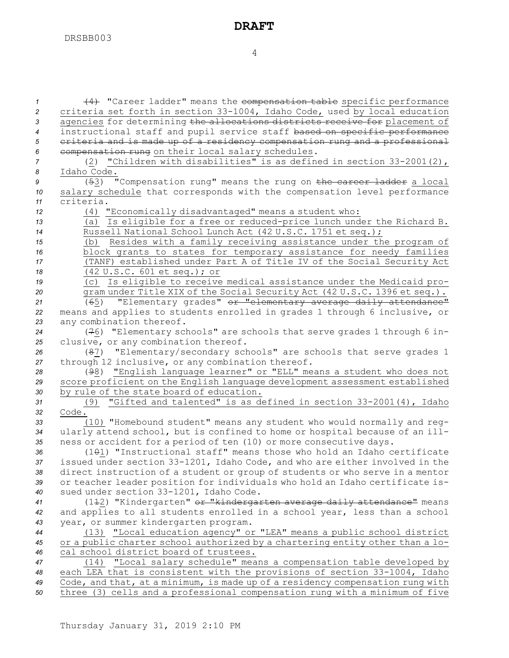(4) "Career ladder" means the compensation table specific performance criteria set forth in section 33-1004, Idaho Code, used by local education agencies for determining the allocations districts receive for placement of instructional staff and pupil service staff based on specific performance criteria and is made up of <sup>a</sup> residency compensation rung and <sup>a</sup> professional compensation rung on their local salary schedules. (2) "Children with disabilities" is as defined in section 33-2001(2), Idaho Code. (53) "Compensation rung" means the rung on the career ladder <sup>a</sup> local salary schedule that corresponds with the compensation level performance criteria. (4) "Economically disadvantaged" means <sup>a</sup> student who: (a) Is eligible for <sup>a</sup> free or reduced-price lunch under the Richard B. Russell National School Lunch Act (42 U.S.C. 1751 et seq.); (b) Resides with <sup>a</sup> family receiving assistance under the program of block grants to states for temporary assistance for needy families (TANF) established under Part <sup>A</sup> of Title IV of the Social Security Act (42 U.S.C. 601 et seq.); or (c) Is eligible to receive medical assistance under the Medicaid pro- gram under Title XIX of the Social Security Act (42 U.S.C. 1396 et seq.). (65) "Elementary grades" or "elementary average daily attendance" means and applies to students enrolled in grades 1 through 6 inclusive, or any combination thereof. (76) "Elementary schools" are schools that serve grades 1 through 6 in- clusive, or any combination thereof. (87) "Elementary/secondary schools" are schools that serve grades 1 through 12 inclusive, or any combination thereof. (98) "English language learner" or "ELL" means <sup>a</sup> student who does not score proficient on the English language development assessment established by rule of the state board of education. (9) "Gifted and talented" is as defined in section 33-2001(4), Idaho *32* Code. (10) "Homebound student" means any student who would normally and reg- ularly attend school, but is confined to home or hospital because of an ill- ness or accident for <sup>a</sup> period of ten (10) or more consecutive days. 36 (101) "Instructional staff" means those who hold an Idaho certificate issued under section 33-1201, Idaho Code, and who are either involved in the direct instruction of <sup>a</sup> student or group of students or who serve in <sup>a</sup> mentor or teacher leader position for individuals who hold an Idaho certificate is- sued under section 33-1201, Idaho Code. 41 (142) "Kindergarten" or "kindergarten average daily attendance" means and applies to all students enrolled in <sup>a</sup> school year, less than <sup>a</sup> school year, or summer kindergarten program. (13) "Local education agency" or "LEA" means <sup>a</sup> public school district or <sup>a</sup> public charter school authorized by <sup>a</sup> chartering entity other than <sup>a</sup> lo- cal school district board of trustees. (14) "Local salary schedule" means <sup>a</sup> compensation table developed by each LEA that is consistent with the provisions of section 33-1004, Idaho Code, and that, at <sup>a</sup> minimum, is made up of <sup>a</sup> residency compensation rung with three (3) cells and <sup>a</sup> professional compensation rung with <sup>a</sup> minimum of five

4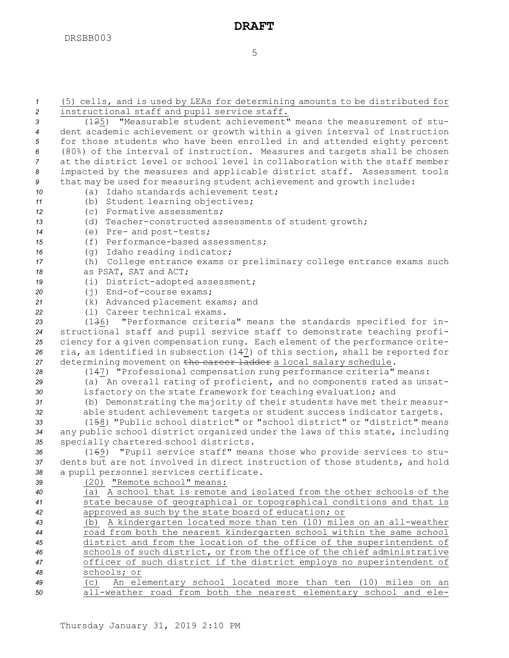| $\mathcal{I}$  | (5) cells, and is used by LEAs for determining amounts to be distributed for                                                            |
|----------------|-----------------------------------------------------------------------------------------------------------------------------------------|
| $\overline{2}$ | instructional staff and pupil service staff.                                                                                            |
| 3              | (1 <del>2</del> 5) "Measurable student achievement" means the measurement of stu-                                                       |
| $\overline{4}$ | dent academic achievement or growth within a given interval of instruction                                                              |
| 5              | for those students who have been enrolled in and attended eighty percent                                                                |
| 6              | (80%) of the interval of instruction. Measures and targets shall be chosen                                                              |
| 7              | at the district level or school level in collaboration with the staff member                                                            |
| 8              | impacted by the measures and applicable district staff. Assessment tools                                                                |
| 9              | that may be used for measuring student achievement and growth include:                                                                  |
| 10             | (a) Idaho standards achievement test;                                                                                                   |
| 11             | (b) Student learning objectives;                                                                                                        |
| 12             | (c) Formative assessments;                                                                                                              |
| 13             | (d) Teacher-constructed assessments of student growth;                                                                                  |
| 14             | (e) Pre- and post-tests;                                                                                                                |
| 15             | (f) Performance-based assessments;                                                                                                      |
| 16             | (g) Idaho reading indicator;                                                                                                            |
| 17             | (h) College entrance exams or preliminary college entrance exams such                                                                   |
| 18             | as PSAT, SAT and ACT;                                                                                                                   |
| 19             | (i) District-adopted assessment;                                                                                                        |
| 20             | (j) End-of-course exams;                                                                                                                |
| 21             | (k) Advanced placement exams; and                                                                                                       |
| 22             | (1) Career technical exams.                                                                                                             |
| 23             | "Performance criteria" means the standards specified for in-<br>(136)                                                                   |
| 24             | structional staff and pupil service staff to demonstrate teaching profi-                                                                |
| 25             | ciency for a given compensation rung. Each element of the performance crite-                                                            |
| 26             | ria, as identified in subsection (147) of this section, shall be reported for                                                           |
| 27             | determining movement on the career ladder a local salary schedule.                                                                      |
| 28             | (147) "Professional compensation rung performance criteria" means:                                                                      |
| 29             | (a) An overall rating of proficient, and no components rated as unsat-<br>isfactory on the state framework for teaching evaluation; and |
| 30<br>31       | (b) Demonstrating the majority of their students have met their measur-                                                                 |
| 32             | able student achievement targets or student success indicator targets.                                                                  |
| 33             | (158) "Public school district" or "school district" or "district" means                                                                 |
| 34             | any public school district organized under the laws of this state, including                                                            |
| 35             | specially chartered school districts.                                                                                                   |
| 36             | "Pupil service staff" means those who provide services to stu-<br>(169)                                                                 |
| 37             | dents but are not involved in direct instruction of those students, and hold                                                            |
| 38             | a pupil personnel services certificate.                                                                                                 |
| 39             | (20) "Remote school" means:                                                                                                             |
| 40             | (a) A school that is remote and isolated from the other schools of the                                                                  |
| 41             | state because of geographical or topographical conditions and that is                                                                   |
| 42             | approved as such by the state board of education; or                                                                                    |
| 43             | (b) A kindergarten located more than ten (10) miles on an all-weather                                                                   |
| 44             | road from both the nearest kindergarten school within the same school                                                                   |
| 45             | district and from the location of the office of the superintendent of                                                                   |
| 46             | schools of such district, or from the office of the chief administrative                                                                |
| 47             | officer of such district if the district employs no superintendent of                                                                   |
| 48             | schools; or                                                                                                                             |
| 49             | An elementary school located more than ten (10) miles on an<br>(C)                                                                      |
| 50             | all-weather road from both the nearest elementary school and ele-                                                                       |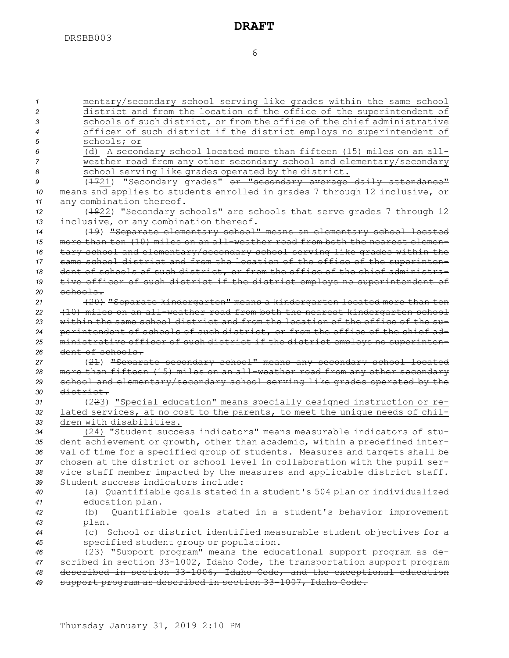mentary/secondary school serving like grades within the same school district and from the location of the office of the superintendent of schools of such district, or from the office of the chief administrative officer of such district if the district employs no superintendent of schools; or (d) <sup>A</sup> secondary school located more than fifteen (15) miles on an all- weather road from any other secondary school and elementary/secondary 8 school serving like grades operated by the district. 9 (1721) "Secondary grades" or "secondary average daily attendance" means and applies to students enrolled in grades 7 through 12 inclusive, or any combination thereof. (1822) "Secondary schools" are schools that serve grades 7 through 12 inclusive, or any combination thereof. (19) "Separate elementary school" means an elementary school located more than ten (10) miles on an all-weather road from both the nearest elemen- tary school and elementary/secondary school serving like grades within the same school district and from the location of the office of the superinten- dent of schools of such district, or from the office of the chief administra- tive officer of such district if the district employs no superintendent of *20* schools. (20) "Separate kindergarten" means <sup>a</sup> kindergarten located more than ten (10) miles on an all-weather road from both the nearest kindergarten school within the same school district and from the location of the office of the su- perintendent of schools of such district, or from the office of the chief ad- ministrative officer of such district if the district employs no superinten- dent of schools. (21) "Separate secondary school" means any secondary school located more than fifteen (15) miles on an all-weather road from any other secondary school and elementary/secondary school serving like grades operated by the district. (223) "Special education" means specially designed instruction or re- lated services, at no cost to the parents, to meet the unique needs of chil- dren with disabilities. (24) "Student success indicators" means measurable indicators of stu- dent achievement or growth, other than academic, within <sup>a</sup> predefined inter- val of time for <sup>a</sup> specified group of students. Measures and targets shall be chosen at the district or school level in collaboration with the pupil ser- vice staff member impacted by the measures and applicable district staff. Student success indicators include: (a) Quantifiable goals stated in <sup>a</sup> student's 504 plan or individualized education plan. (b) Quantifiable goals stated in <sup>a</sup> student's behavior improvement *<sup>43</sup>* plan. (c) School or district identified measurable student objectives for <sup>a</sup> specified student group or population. (23) "Support program" means the educational support program as de- scribed in section 33-1002, Idaho Code, the transportation support program described in section 33-1006, Idaho Code, and the exceptional education support program as described in section 33-1007, Idaho Code.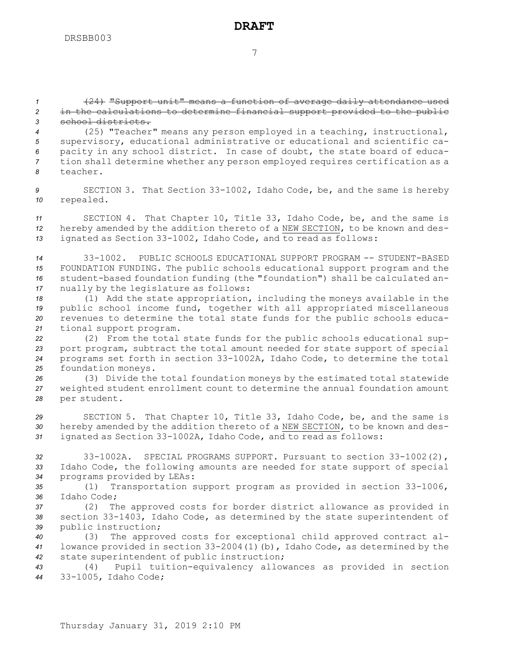7

*<sup>1</sup>* (24) "Support unit" means <sup>a</sup> function of average daily attendance used *<sup>2</sup>* in the calculations to determine financial support provided to the public *3* school districts.

 (25) "Teacher" means any person employed in <sup>a</sup> teaching, instructional, supervisory, educational administrative or educational and scientific ca- pacity in any school district. In case of doubt, the state board of educa- tion shall determine whether any person employed requires certification as <sup>a</sup> *8* teacher.

*<sup>9</sup>* SECTION 3. That Section 33-1002, Idaho Code, be, and the same is hereby *<sup>10</sup>* repealed.

*<sup>11</sup>* SECTION 4. That Chapter 10, Title 33, Idaho Code, be, and the same is *<sup>12</sup>* hereby amended by the addition thereto of <sup>a</sup> NEW SECTION, to be known and des-*<sup>13</sup>* ignated as Section 33-1002, Idaho Code, and to read as follows:

 33-1002. PUBLIC SCHOOLS EDUCATIONAL SUPPORT PROGRAM -- STUDENT-BASED FOUNDATION FUNDING. The public schools educational support program and the student-based foundation funding (the "foundation") shall be calculated an-nually by the legislature as follows:

 (1) Add the state appropriation, including the moneys available in the public school income fund, together with all appropriated miscellaneous revenues to determine the total state funds for the public schools educa-tional support program.

 (2) From the total state funds for the public schools educational sup- port program, subtract the total amount needed for state support of special programs set forth in section 33-1002A, Idaho Code, to determine the total foundation moneys.

*<sup>26</sup>* (3) Divide the total foundation moneys by the estimated total statewide *<sup>27</sup>* weighted student enrollment count to determine the annual foundation amount *<sup>28</sup>* per student.

*<sup>29</sup>* SECTION 5. That Chapter 10, Title 33, Idaho Code, be, and the same is *<sup>30</sup>* hereby amended by the addition thereto of <sup>a</sup> NEW SECTION, to be known and des-*<sup>31</sup>* ignated as Section 33-1002A, Idaho Code, and to read as follows:

*<sup>32</sup>* 33-1002A. SPECIAL PROGRAMS SUPPORT. Pursuant to section 33-1002(2), *<sup>33</sup>* Idaho Code, the following amounts are needed for state support of special *<sup>34</sup>* programs provided by LEAs:

*<sup>35</sup>* (1) Transportation support program as provided in section 33-1006, *36* Idaho Code;

*<sup>37</sup>* (2) The approved costs for border district allowance as provided in *<sup>38</sup>* section 33-1403, Idaho Code, as determined by the state superintendent of *<sup>39</sup>* public instruction;

*<sup>40</sup>* (3) The approved costs for exceptional child approved contract al-*<sup>41</sup>* lowance provided in section 33-2004(1)(b), Idaho Code, as determined by the *<sup>42</sup>* state superintendent of public instruction;

*<sup>43</sup>* (4) Pupil tuition-equivalency allowances as provided in section *<sup>44</sup>* 33-1005, Idaho Code;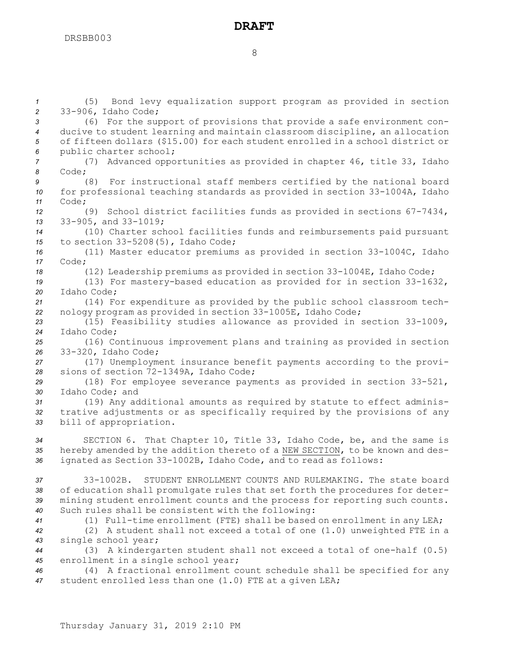(5) Bond levy equalization support program as provided in section 33-906, Idaho Code; (6) For the support of provisions that provide <sup>a</sup> safe environment con- ducive to student learning and maintain classroom discipline, an allocation of fifteen dollars (\$15.00) for each student enrolled in <sup>a</sup> school district or public charter school; (7) Advanced opportunities as provided in chapter 46, title 33, Idaho *8* Code; (8) For instructional staff members certified by the national board for professional teaching standards as provided in section 33-1004A, Idaho *11* Code; (9) School district facilities funds as provided in sections 67-7434, 33-905, and 33-1019; (10) Charter school facilities funds and reimbursements paid pursuant to section 33-5208(5), Idaho Code; (11) Master educator premiums as provided in section 33-1004C, Idaho *17* Code; (12) Leadership premiums as provided in section 33-1004E, Idaho Code; (13) For mastery-based education as provided for in section 33-1632, Idaho Code; (14) For expenditure as provided by the public school classroom tech- nology program as provided in section 33-1005E, Idaho Code; (15) Feasibility studies allowance as provided in section 33-1009, Idaho Code; (16) Continuous improvement plans and training as provided in section 33-320, Idaho Code; (17) Unemployment insurance benefit payments according to the provi- sions of section 72-1349A, Idaho Code; (18) For employee severance payments as provided in section 33-521, Idaho Code; and (19) Any additional amounts as required by statute to effect adminis- trative adjustments or as specifically required by the provisions of any bill of appropriation. SECTION 6. That Chapter 10, Title 33, Idaho Code, be, and the same is hereby amended by the addition thereto of <sup>a</sup> NEW SECTION, to be known and des- ignated as Section 33-1002B, Idaho Code, and to read as follows: 33-1002B. STUDENT ENROLLMENT COUNTS AND RULEMAKING. The state board of education shall promulgate rules that set forth the procedures for deter- mining student enrollment counts and the process for reporting such counts. Such rules shall be consistent with the following: (1) Full-time enrollment (FTE) shall be based on enrollment in any LEA; (2) <sup>A</sup> student shall not exceed <sup>a</sup> total of one (1.0) unweighted FTE in <sup>a</sup> single school year; (3) <sup>A</sup> kindergarten student shall not exceed <sup>a</sup> total of one-half (0.5) enrollment in <sup>a</sup> single school year; (4) <sup>A</sup> fractional enrollment count schedule shall be specified for any

*<sup>47</sup>* student enrolled less than one (1.0) FTE at <sup>a</sup> given LEA;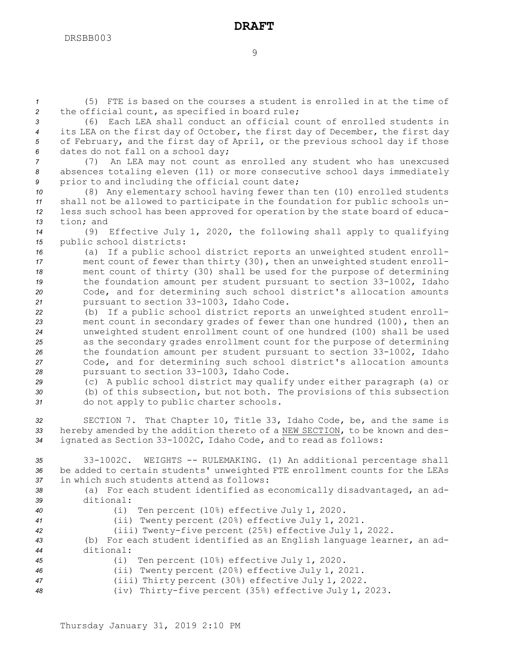*<sup>1</sup>* (5) FTE is based on the courses <sup>a</sup> student is enrolled in at the time of *<sup>2</sup>* the official count, as specified in board rule;

 (6) Each LEA shall conduct an official count of enrolled students in its LEA on the first day of October, the first day of December, the first day of February, and the first day of April, or the previous school day if those dates do not fall on <sup>a</sup> school day;

*<sup>7</sup>* (7) An LEA may not count as enrolled any student who has unexcused *<sup>8</sup>* absences totaling eleven (11) or more consecutive school days immediately *<sup>9</sup>* prior to and including the official count date;

 (8) Any elementary school having fewer than ten (10) enrolled students shall not be allowed to participate in the foundation for public schools un- less such school has been approved for operation by the state board of educa-tion; and

*<sup>14</sup>* (9) Effective July 1, 2020, the following shall apply to qualifying *<sup>15</sup>* public school districts:

 (a) If <sup>a</sup> public school district reports an unweighted student enroll- ment count of fewer than thirty (30), then an unweighted student enroll- ment count of thirty (30) shall be used for the purpose of determining the foundation amount per student pursuant to section 33-1002, Idaho Code, and for determining such school district's allocation amounts pursuant to section 33-1003, Idaho Code.

 (b) If <sup>a</sup> public school district reports an unweighted student enroll- ment count in secondary grades of fewer than one hundred (100), then an unweighted student enrollment count of one hundred (100) shall be used as the secondary grades enrollment count for the purpose of determining the foundation amount per student pursuant to section 33-1002, Idaho Code, and for determining such school district's allocation amounts pursuant to section 33-1003, Idaho Code.

*<sup>29</sup>* (c) <sup>A</sup> public school district may qualify under either paragraph (a) or *<sup>30</sup>* (b) of this subsection, but not both. The provisions of this subsection *<sup>31</sup>* do not apply to public charter schools.

*<sup>32</sup>* SECTION 7. That Chapter 10, Title 33, Idaho Code, be, and the same is *<sup>33</sup>* hereby amended by the addition thereto of <sup>a</sup> NEW SECTION, to be known and des-*<sup>34</sup>* ignated as Section 33-1002C, Idaho Code, and to read as follows:

*<sup>35</sup>* 33-1002C. WEIGHTS -- RULEMAKING. (1) An additional percentage shall *<sup>36</sup>* be added to certain students' unweighted FTE enrollment counts for the LEAs *37* in which such students attend as follows:

*<sup>38</sup>* (a) For each student identified as economically disadvantaged, an ad-*39* ditional:

*<sup>40</sup>* (i) Ten percent (10%) effective July 1, 2020.

*<sup>41</sup>* (ii) Twenty percent (20%) effective July 1, 2021.

*<sup>42</sup>* (iii) Twenty-five percent (25%) effective July 1, 2022.

*<sup>43</sup>* (b) For each student identified as an English language learner, an ad-*44* ditional:

- *<sup>45</sup>* (i) Ten percent (10%) effective July 1, 2020.
- *<sup>46</sup>* (ii) Twenty percent (20%) effective July 1, 2021.
- *<sup>47</sup>* (iii) Thirty percent (30%) effective July 1, 2022.

*<sup>48</sup>* (iv) Thirty-five percent (35%) effective July 1, 2023.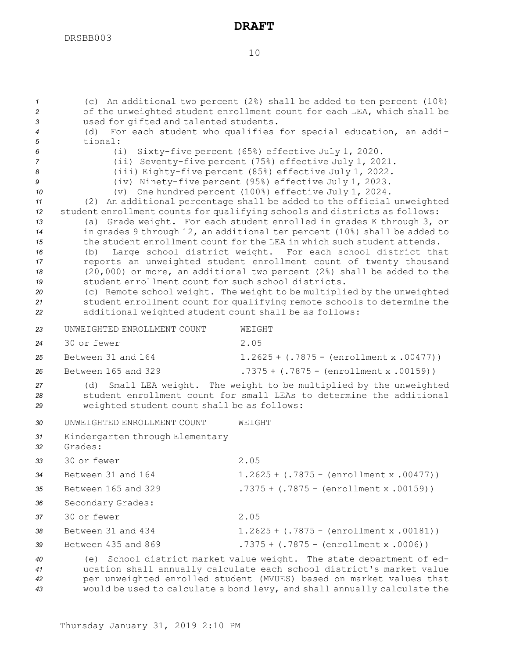| $\mathcal I$<br>2    |                                                                                                                                                     | (c) An additional two percent $(28)$ shall be added to ten percent $(108)$<br>of the unweighted student enrollment count for each LEA, which shall be                                                                                                                                           |  |  |
|----------------------|-----------------------------------------------------------------------------------------------------------------------------------------------------|-------------------------------------------------------------------------------------------------------------------------------------------------------------------------------------------------------------------------------------------------------------------------------------------------|--|--|
| 3                    | used for gifted and talented students.                                                                                                              |                                                                                                                                                                                                                                                                                                 |  |  |
| 4                    | For each student who qualifies for special education, an addi-<br>(d)                                                                               |                                                                                                                                                                                                                                                                                                 |  |  |
| 5<br>6               | tional:<br>Sixty-five percent (65%) effective July 1, 2020.<br>(i)                                                                                  |                                                                                                                                                                                                                                                                                                 |  |  |
| 7                    | (ii) Seventy-five percent (75%) effective July 1, 2021.                                                                                             |                                                                                                                                                                                                                                                                                                 |  |  |
| 8                    | (iii) Eighty-five percent (85%) effective July 1, 2022.                                                                                             |                                                                                                                                                                                                                                                                                                 |  |  |
| 9                    | (iv) Ninety-five percent (95%) effective July 1, 2023.                                                                                              |                                                                                                                                                                                                                                                                                                 |  |  |
| 10                   | One hundred percent (100%) effective July 1, 2024.<br>$(\nabla)$                                                                                    |                                                                                                                                                                                                                                                                                                 |  |  |
| 11                   | (2) An additional percentage shall be added to the official unweighted                                                                              |                                                                                                                                                                                                                                                                                                 |  |  |
| 12<br>13             | student enrollment counts for qualifying schools and districts as follows:<br>(a) Grade weight. For each student enrolled in grades K through 3, or |                                                                                                                                                                                                                                                                                                 |  |  |
| 14                   | in grades 9 through 12, an additional ten percent (10%) shall be added to                                                                           |                                                                                                                                                                                                                                                                                                 |  |  |
| 15                   | the student enrollment count for the LEA in which such student attends.                                                                             |                                                                                                                                                                                                                                                                                                 |  |  |
| 16                   | Large school district weight. For each school district that<br>(b)                                                                                  |                                                                                                                                                                                                                                                                                                 |  |  |
| 17                   |                                                                                                                                                     | reports an unweighted student enrollment count of twenty thousand                                                                                                                                                                                                                               |  |  |
| 18                   | student enrollment count for such school districts.                                                                                                 | $(20,000)$ or more, an additional two percent $(2%)$ shall be added to the                                                                                                                                                                                                                      |  |  |
| 19<br>20             |                                                                                                                                                     | (c) Remote school weight. The weight to be multiplied by the unweighted                                                                                                                                                                                                                         |  |  |
| 21                   |                                                                                                                                                     | student enrollment count for qualifying remote schools to determine the                                                                                                                                                                                                                         |  |  |
| 22                   | additional weighted student count shall be as follows:                                                                                              |                                                                                                                                                                                                                                                                                                 |  |  |
| 23                   | UNWEIGHTED ENROLLMENT COUNT                                                                                                                         | WEIGHT                                                                                                                                                                                                                                                                                          |  |  |
| 24                   | 30 or fewer                                                                                                                                         | 2.05                                                                                                                                                                                                                                                                                            |  |  |
| 25                   | Between 31 and 164                                                                                                                                  | $1.2625 + (.7875 - (enrollment x .00477))$                                                                                                                                                                                                                                                      |  |  |
| 26                   | Between 165 and 329                                                                                                                                 | $.7375 + (.7875 - (enrollment x .00159))$                                                                                                                                                                                                                                                       |  |  |
| 27<br>28<br>29       | (d)<br>weighted student count shall be as follows:                                                                                                  | Small LEA weight. The weight to be multiplied by the unweighted<br>student enrollment count for small LEAs to determine the additional                                                                                                                                                          |  |  |
| 30                   | UNWEIGHTED ENROLLMENT COUNT                                                                                                                         | WEIGHT                                                                                                                                                                                                                                                                                          |  |  |
| 31<br>32             | Kindergarten through Elementary<br>Grades:                                                                                                          |                                                                                                                                                                                                                                                                                                 |  |  |
| 33                   | 30 or fewer                                                                                                                                         | 2.05                                                                                                                                                                                                                                                                                            |  |  |
| 34                   | Between 31 and 164                                                                                                                                  | $1.2625 + (.7875 - (enrollment x .00477))$                                                                                                                                                                                                                                                      |  |  |
| 35                   | Between 165 and 329                                                                                                                                 | $.7375 + (.7875 - (enrollment x .00159))$                                                                                                                                                                                                                                                       |  |  |
| 36                   | Secondary Grades:                                                                                                                                   |                                                                                                                                                                                                                                                                                                 |  |  |
| 37                   | 30 or fewer                                                                                                                                         | 2.05                                                                                                                                                                                                                                                                                            |  |  |
| 38                   | Between 31 and 434                                                                                                                                  | $1.2625 + (.7875 - (enrollment x .00181))$                                                                                                                                                                                                                                                      |  |  |
| 39                   | Between 435 and 869                                                                                                                                 | .7375 + $(.7875 - (enrollment x .0006))$                                                                                                                                                                                                                                                        |  |  |
| 40<br>41<br>42<br>43 |                                                                                                                                                     | (e) School district market value weight. The state department of ed-<br>ucation shall annually calculate each school district's market value<br>per unweighted enrolled student (MVUES) based on market values that<br>would be used to calculate a bond levy, and shall annually calculate the |  |  |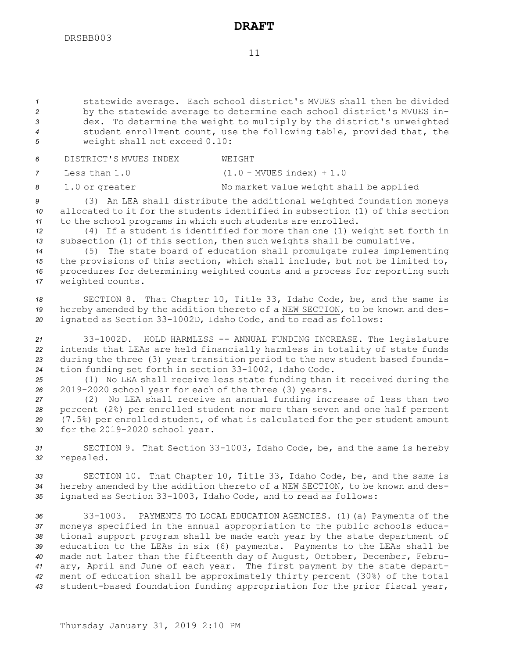11

 statewide average. Each school district's MVUES shall then be divided by the statewide average to determine each school district's MVUES in- dex. To determine the weight to multiply by the district's unweighted student enrollment count, use the following table, provided that, the weight shall not exceed 0.10:

*6* DISTRICT'S MVUES INDEX WEIGHT

*<sup>7</sup>* Less than 1.0 (1.0 - MVUES index) <sup>+</sup> 1.0

8 1.0 or greater No market value weight shall be applied

*<sup>9</sup>* (3) An LEA shall distribute the additional weighted foundation moneys *10* allocated to it for the students identified in subsection (1) of this section *<sup>11</sup>* to the school programs in which such students are enrolled.

*<sup>12</sup>* (4) If <sup>a</sup> student is identified for more than one (1) weight set forth in *<sup>13</sup>* subsection (1) of this section, then such weights shall be cumulative.

 (5) The state board of education shall promulgate rules implementing the provisions of this section, which shall include, but not be limited to, procedures for determining weighted counts and <sup>a</sup> process for reporting such weighted counts.

*<sup>18</sup>* SECTION 8. That Chapter 10, Title 33, Idaho Code, be, and the same is *<sup>19</sup>* hereby amended by the addition thereto of <sup>a</sup> NEW SECTION, to be known and des-*<sup>20</sup>* ignated as Section 33-1002D, Idaho Code, and to read as follows:

 33-1002D. HOLD HARMLESS -- ANNUAL FUNDING INCREASE. The legislature intends that LEAs are held financially harmless in totality of state funds during the three (3) year transition period to the new student based founda-tion funding set forth in section 33-1002, Idaho Code.

*<sup>25</sup>* (1) No LEA shall receive less state funding than it received during the *<sup>26</sup>* 2019-2020 school year for each of the three (3) years.

 (2) No LEA shall receive an annual funding increase of less than two percent (2%) per enrolled student nor more than seven and one half percent (7.5%) per enrolled student, of what is calculated for the per student amount for the 2019-2020 school year.

*<sup>31</sup>* SECTION 9. That Section 33-1003, Idaho Code, be, and the same is hereby *<sup>32</sup>* repealed.

*<sup>33</sup>* SECTION 10. That Chapter 10, Title 33, Idaho Code, be, and the same is *<sup>34</sup>* hereby amended by the addition thereto of <sup>a</sup> NEW SECTION, to be known and des-*<sup>35</sup>* ignated as Section 33-1003, Idaho Code, and to read as follows:

 33-1003. PAYMENTS TO LOCAL EDUCATION AGENCIES. (1)(a) Payments of the moneys specified in the annual appropriation to the public schools educa- tional support program shall be made each year by the state department of education to the LEAs in six (6) payments. Payments to the LEAs shall be made not later than the fifteenth day of August, October, December, Febru- ary, April and June of each year. The first payment by the state depart- ment of education shall be approximately thirty percent (30%) of the total student-based foundation funding appropriation for the prior fiscal year,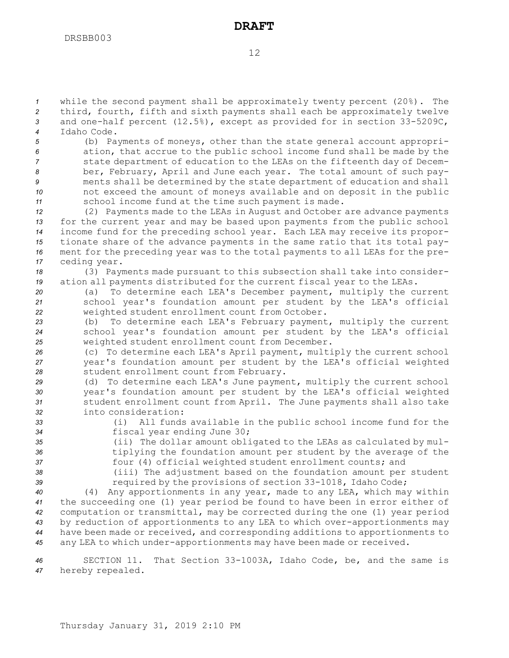while the second payment shall be approximately twenty percent (20%). The third, fourth, fifth and sixth payments shall each be approximately twelve and one-half percent (12.5%), except as provided for in section 33-5209C, Idaho Code.

 (b) Payments of moneys, other than the state general account appropri- ation, that accrue to the public school income fund shall be made by the state department of education to the LEAs on the fifteenth day of Decem- ber, February, April and June each year. The total amount of such pay- ments shall be determined by the state department of education and shall not exceed the amount of moneys available and on deposit in the public school income fund at the time such payment is made.

 (2) Payments made to the LEAs in August and October are advance payments for the current year and may be based upon payments from the public school income fund for the preceding school year. Each LEA may receive its propor- tionate share of the advance payments in the same ratio that its total pay- ment for the preceding year was to the total payments to all LEAs for the pre-ceding year.

*<sup>18</sup>* (3) Payments made pursuant to this subsection shall take into consider-*<sup>19</sup>* ation all payments distributed for the current fiscal year to the LEAs.

- *<sup>20</sup>* (a) To determine each LEA's December payment, multiply the current *<sup>21</sup>* school year's foundation amount per student by the LEA's official *<sup>22</sup>* weighted student enrollment count from October.
- *<sup>23</sup>* (b) To determine each LEA's February payment, multiply the current *<sup>24</sup>* school year's foundation amount per student by the LEA's official *<sup>25</sup>* weighted student enrollment count from December.
- *<sup>26</sup>* (c) To determine each LEA's April payment, multiply the current school *<sup>27</sup>* year's foundation amount per student by the LEA's official weighted *<sup>28</sup>* student enrollment count from February.
- *<sup>29</sup>* (d) To determine each LEA's June payment, multiply the current school *<sup>30</sup>* year's foundation amount per student by the LEA's official weighted *<sup>31</sup>* student enrollment count from April. The June payments shall also take *32* into consideration:
- 
- *<sup>33</sup>* (i) All funds available in the public school income fund for the *<sup>34</sup>* fiscal year ending June 30;
- 

*<sup>35</sup>* (ii) The dollar amount obligated to the LEAs as calculated by mul-*<sup>36</sup>* tiplying the foundation amount per student by the average of the

- *<sup>37</sup>* four (4) official weighted student enrollment counts; and
- 
- *<sup>38</sup>* (iii) The adjustment based on the foundation amount per student *<sup>39</sup>* required by the provisions of section 33-1018, Idaho Code;

 (4) Any apportionments in any year, made to any LEA, which may within the succeeding one (1) year period be found to have been in error either of computation or transmittal, may be corrected during the one (1) year period by reduction of apportionments to any LEA to which over-apportionments may have been made or received, and corresponding additions to apportionments to any LEA to which under-apportionments may have been made or received.

*<sup>46</sup>* SECTION 11. That Section 33-1003A, Idaho Code, be, and the same is *<sup>47</sup>* hereby repealed.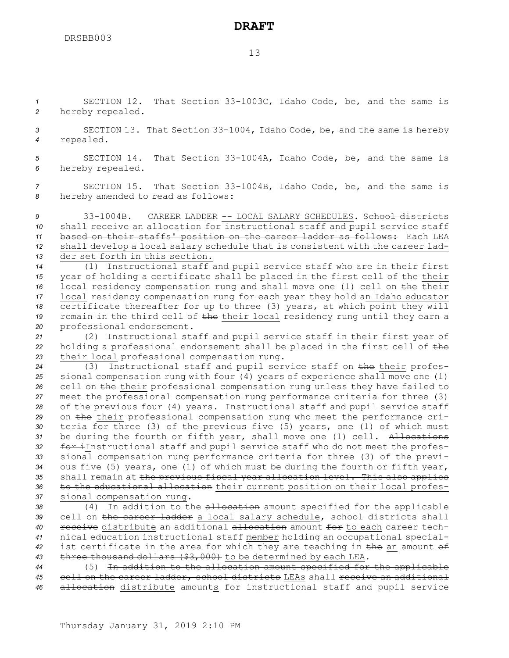*<sup>1</sup>* SECTION 12. That Section 33-1003C, Idaho Code, be, and the same is *<sup>2</sup>* hereby repealed.

*<sup>3</sup>* SECTION 13. That Section 33-1004, Idaho Code, be, and the same is hereby *<sup>4</sup>* repealed.

*<sup>5</sup>* SECTION 14. That Section 33-1004A, Idaho Code, be, and the same is *<sup>6</sup>* hereby repealed.

*<sup>7</sup>* SECTION 15. That Section 33-1004B, Idaho Code, be, and the same is *<sup>8</sup>* hereby amended to read as follows:

 33-1004B. CAREER LADDER -- LOCAL SALARY SCHEDULES. School districts shall receive an allocation for instructional staff and pupil service staff based on their staffs' position on the career ladder as follows: Each LEA shall develop <sup>a</sup> local salary schedule that is consistent with the career lad-der set forth in this section.

 (1) Instructional staff and pupil service staff who are in their first year of holding <sup>a</sup> certificate shall be placed in the first cell of the their local residency compensation rung and shall move one (1) cell on the their local residency compensation rung for each year they hold an Idaho educator certificate thereafter for up to three (3) years, at which point they will 19 remain in the third cell of the their local residency rung until they earn a professional endorsement.

*<sup>21</sup>* (2) Instructional staff and pupil service staff in their first year of *<sup>22</sup>* holding <sup>a</sup> professional endorsement shall be placed in the first cell of the *<sup>23</sup>* their local professional compensation rung.

 (3) Instructional staff and pupil service staff on the their profes- sional compensation rung with four (4) years of experience shall move one (1) cell on the their professional compensation rung unless they have failed to meet the professional compensation rung performance criteria for three (3) of the previous four (4) years. Instructional staff and pupil service staff on the their professional compensation rung who meet the performance cri- teria for three (3) of the previous five (5) years, one (1) of which must be during the fourth or fifth year, shall move one (1) cell. Allocations for iInstructional staff and pupil service staff who do not meet the profes- sional compensation rung performance criteria for three (3) of the previ- ous five (5) years, one (1) of which must be during the fourth or fifth year, shall remain at the previous fiscal year allocation level. This also applies to the educational allocation their current position on their local profes-sional compensation rung.

 (4) In addition to the allocation amount specified for the applicable cell on the career ladder <sup>a</sup> local salary schedule, school districts shall receive distribute an additional allocation amount for to each career tech- nical education instructional staff member holding an occupational special- ist certificate in the area for which they are teaching in the an amount of three thousand dollars (\$3,000) to be determined by each LEA.

*<sup>44</sup>* (5) In addition to the allocation amount specified for the applicable *<sup>45</sup>* cell on the career ladder, school districts LEAs shall receive an additional *<sup>46</sup>* allocation distribute amounts for instructional staff and pupil service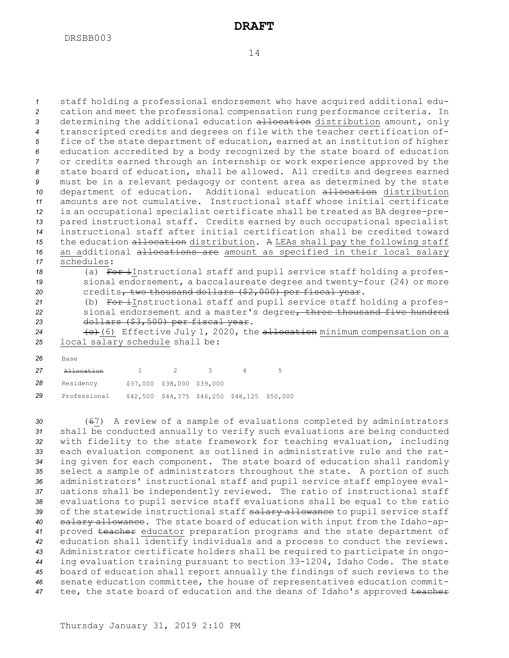staff holding <sup>a</sup> professional endorsement who have acquired additional edu- cation and meet the professional compensation rung performance criteria. In determining the additional education allocation distribution amount, only transcripted credits and degrees on file with the teacher certification of- fice of the state department of education, earned at an institution of higher education accredited by <sup>a</sup> body recognized by the state board of education or credits earned through an internship or work experience approved by the state board of education, shall be allowed. All credits and degrees earned must be in <sup>a</sup> relevant pedagogy or content area as determined by the state department of education. Additional education allocation distribution amounts are not cumulative. Instructional staff whose initial certificate is an occupational specialist certificate shall be treated as BA degree-pre- pared instructional staff. Credits earned by such occupational specialist instructional staff after initial certification shall be credited toward 15 the education allocation distribution. A LEAs shall pay the following staff 16 an additional allocations are amount as specified in their local salary schedules: 18 (a) For instructional staff and pupil service staff holding a profes-

- *<sup>19</sup>* sional endorsement, <sup>a</sup> baccalaureate degree and twenty-four (24) or more *<sup>20</sup>* credits, two thousand dollars (\$2,000) per fiscal year.
- 21 (b) For iInstructional staff and pupil service staff holding a profes-*<sup>22</sup>* sional endorsement and <sup>a</sup> master's degree, three thousand five hundred *<sup>23</sup>* dollars (\$3,500) per fiscal year.
- 24 (c) Effective July 1, 2020, the allocation minimum compensation on a *<sup>25</sup>* local salary schedule shall be:
- *26* Base

| 27 | A <del>llocation</del> |                            |                                                   | - 5 |
|----|------------------------|----------------------------|---------------------------------------------------|-----|
| 28 | Residency              | \$37,000 \$38,000 \$39,000 |                                                   |     |
| 29 | Professional           |                            | $$42,500$ $$44,375$ $$46,250$ $$48,125$ $$50,000$ |     |

 (67) <sup>A</sup> review of <sup>a</sup> sample of evaluations completed by administrators shall be conducted annually to verify such evaluations are being conducted with fidelity to the state framework for teaching evaluation, including each evaluation component as outlined in administrative rule and the rat- ing given for each component. The state board of education shall randomly select <sup>a</sup> sample of administrators throughout the state. <sup>A</sup> portion of such administrators' instructional staff and pupil service staff employee eval- uations shall be independently reviewed. The ratio of instructional staff evaluations to pupil service staff evaluations shall be equal to the ratio 39 of the statewide instructional staff salary allowance to pupil service staff salary allowance. The state board of education with input from the Idaho-ap- proved teacher educator preparation programs and the state department of education shall identify individuals and <sup>a</sup> process to conduct the reviews. Administrator certificate holders shall be required to participate in ongo- ing evaluation training pursuant to section 33-1204, Idaho Code. The state board of education shall report annually the findings of such reviews to the senate education committee, the house of representatives education commit-47 tee, the state board of education and the deans of Idaho's approved teacher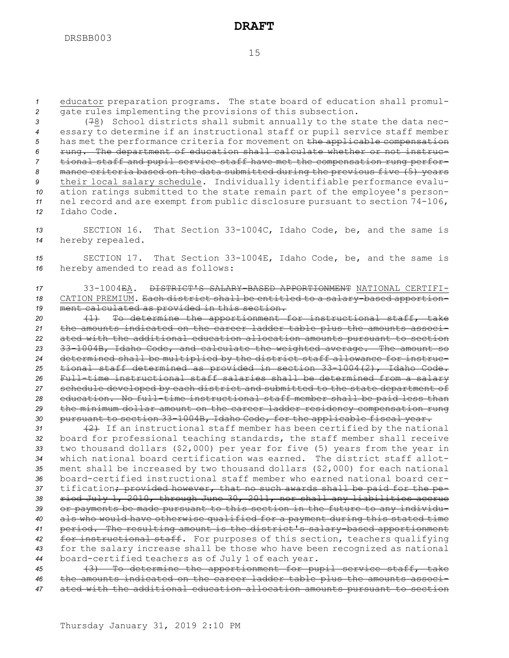*<sup>1</sup>* educator preparation programs. The state board of education shall promul-*<sup>2</sup>* gate rules implementing the provisions of this subsection.

 (78) School districts shall submit annually to the state the data nec- essary to determine if an instructional staff or pupil service staff member has met the performance criteria for movement on the applicable compensation rung. The department of education shall calculate whether or not instruc- tional staff and pupil service staff have met the compensation rung perfor- mance criteria based on the data submitted during the previous five (5) years their local salary schedule. Individually identifiable performance evalu- ation ratings submitted to the state remain part of the employee's person- nel record and are exempt from public disclosure pursuant to section 74-106, Idaho Code.

*<sup>13</sup>* SECTION 16. That Section 33-1004C, Idaho Code, be, and the same is *<sup>14</sup>* hereby repealed.

*<sup>15</sup>* SECTION 17. That Section 33-1004E, Idaho Code, be, and the same is *<sup>16</sup>* hereby amended to read as follows:

*17* 33-1004EA. DISTRICT'S SALARY-BASED APPORTIONMENT NATIONAL CERTIFI-*<sup>18</sup>* CATION PREMIUM. Each district shall be entitled to <sup>a</sup> salary-based apportion-*<sup>19</sup>* ment calculated as provided in this section.

 (1) To determine the apportionment for instructional staff, take the amounts indicated on the career ladder table plus the amounts associ- ated with the additional education allocation amounts pursuant to section 33-1004B, Idaho Code, and calculate the weighted average. The amount so determined shall be multiplied by the district staff allowance for instruc- tional staff determined as provided in section 33-1004(2), Idaho Code. Full-time instructional staff salaries shall be determined from <sup>a</sup> salary schedule developed by each district and submitted to the state department of education. No full-time instructional staff member shall be paid less than the minimum dollar amount on the career ladder residency compensation rung pursuant to section 33-1004B, Idaho Code, for the applicable fiscal year.

31 (2) If an instructional staff member has been certified by the national board for professional teaching standards, the staff member shall receive two thousand dollars (\$2,000) per year for five (5) years from the year in which national board certification was earned. The district staff allot- ment shall be increased by two thousand dollars (\$2,000) for each national board-certified instructional staff member who earned national board cer- tification; provided however, that no such awards shall be paid for the pe- riod July 1, 2010, through June 30, 2011, nor shall any liabilities accrue or payments be made pursuant to this section in the future to any individu- als who would have otherwise qualified for <sup>a</sup> payment during this stated time period. The resulting amount is the district's salary-based apportionment for instructional staff. For purposes of this section, teachers qualifying for the salary increase shall be those who have been recognized as national board-certified teachers as of July 1 of each year.

*<sup>45</sup>* (3) To determine the apportionment for pupil service staff, take *<sup>46</sup>* the amounts indicated on the career ladder table plus the amounts associ-*<sup>47</sup>* ated with the additional education allocation amounts pursuant to section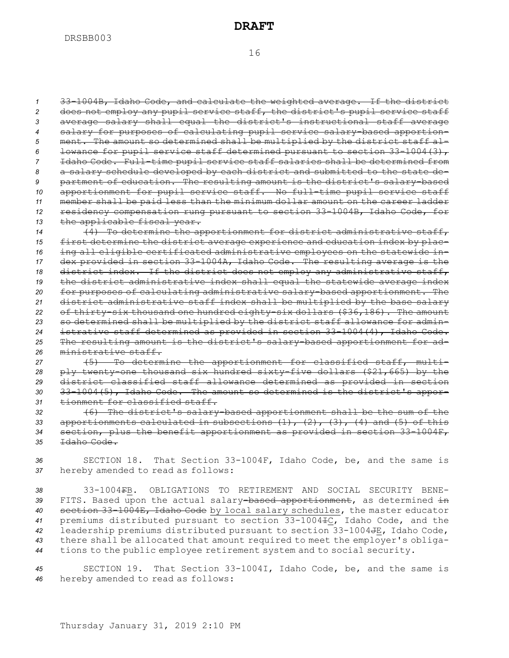33-1004B, Idaho Code, and calculate the weighted average. If the district does not employ any pupil service staff, the district's pupil service staff average salary shall equal the district's instructional staff average salary for purposes of calculating pupil service salary-based apportion- ment. The amount so determined shall be multiplied by the district staff al- lowance for pupil service staff determined pursuant to section 33-1004(3), Idaho Code. Full-time pupil service staff salaries shall be determined from <sup>a</sup> salary schedule developed by each district and submitted to the state de- partment of education. The resulting amount is the district's salary-based apportionment for pupil service staff. No full-time pupil service staff member shall be paid less than the minimum dollar amount on the career ladder residency compensation rung pursuant to section 33-1004B, Idaho Code, for the applicable fiscal year.

14 (4) To determine the apportionment for district administrative staff, first determine the district average experience and education index by plac- ing all eligible certificated administrative employees on the statewide in- dex provided in section 33-1004A, Idaho Code. The resulting average is the district index. If the district does not employ any administrative staff, the district administrative index shall equal the statewide average index for purposes of calculating administrative salary-based apportionment. The district administrative staff index shall be multiplied by the base salary of thirty-six thousand one hundred eighty-six dollars (\$36,186). The amount so determined shall be multiplied by the district staff allowance for admin- istrative staff determined as provided in section 33-1004(4), Idaho Code. The resulting amount is the district's salary-based apportionment for ad-ministrative staff.

 (5) To determine the apportionment for classified staff, multi- ply twenty-one thousand six hundred sixty-five dollars (\$21,665) by the district classified staff allowance determined as provided in section 33-1004(5), Idaho Code. The amount so determined is the district's appor-tionment for classified staff.

 (6) The district's salary-based apportionment shall be the sum of the apportionments calculated in subsections (1), (2), (3), (4) and (5) of this section, plus the benefit apportionment as provided in section 33-1004F, Idaho Code.

*<sup>36</sup>* SECTION 18. That Section 33-1004F, Idaho Code, be, and the same is *<sup>37</sup>* hereby amended to read as follows:

 33-1004FB. OBLIGATIONS TO RETIREMENT AND SOCIAL SECURITY BENE- FITS. Based upon the actual salary-based apportionment, as determined in section 33-1004E, Idaho Code by local salary schedules, the master educator premiums distributed pursuant to section 33-1004IC, Idaho Code, and the leadership premiums distributed pursuant to section 33-1004JE, Idaho Code, there shall be allocated that amount required to meet the employer's obliga-tions to the public employee retirement system and to social security.

*<sup>45</sup>* SECTION 19. That Section 33-1004I, Idaho Code, be, and the same is *<sup>46</sup>* hereby amended to read as follows: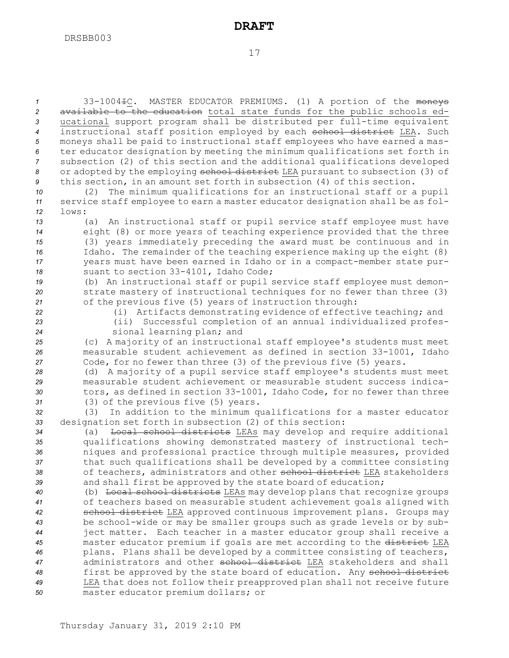| $\mathbf{1}$   | 33-1004 +C. MASTER EDUCATOR PREMIUMS. (1) A portion of the moneys                                                                  |
|----------------|------------------------------------------------------------------------------------------------------------------------------------|
| $\overline{2}$ | available to the education total state funds for the public schools ed-                                                            |
| 3              | ucational support program shall be distributed per full-time equivalent                                                            |
| $\overline{4}$ | instructional staff position employed by each school district LEA. Such                                                            |
| 5              | moneys shall be paid to instructional staff employees who have earned a mas-                                                       |
| 6              | ter educator designation by meeting the minimum qualifications set forth in                                                        |
| $\overline{7}$ | subsection (2) of this section and the additional qualifications developed                                                         |
| 8              | or adopted by the employing school district LEA pursuant to subsection (3) of                                                      |
| 9              | this section, in an amount set forth in subsection (4) of this section.                                                            |
| 10             | The minimum qualifications for an instructional staff or a pupil<br>(2)                                                            |
| 11             | service staff employee to earn a master educator designation shall be as fol-                                                      |
| 12             | lows:                                                                                                                              |
| 13             | (a) An instructional staff or pupil service staff employee must have                                                               |
| 14             | eight (8) or more years of teaching experience provided that the three                                                             |
| 15             | (3) years immediately preceding the award must be continuous and in                                                                |
| 16             | Idaho. The remainder of the teaching experience making up the eight (8)                                                            |
| 17             | years must have been earned in Idaho or in a compact-member state pur-                                                             |
| 18             | suant to section 33-4101, Idaho Code;                                                                                              |
| 19             | (b) An instructional staff or pupil service staff employee must demon-                                                             |
| 20             | strate mastery of instructional techniques for no fewer than three (3)                                                             |
| 21             | of the previous five (5) years of instruction through:                                                                             |
| 22             | (i) Artifacts demonstrating evidence of effective teaching; and                                                                    |
| 23             | (ii) Successful completion of an annual individualized profes-                                                                     |
| 24             | sional learning plan; and                                                                                                          |
| 25             | (c) A majority of an instructional staff employee's students must meet                                                             |
| 26             | measurable student achievement as defined in section 33-1001, Idaho                                                                |
| 27             | Code, for no fewer than three (3) of the previous five (5) years.                                                                  |
| 28             | (d) A majority of a pupil service staff employee's students must meet                                                              |
| 29             | measurable student achievement or measurable student success indica-                                                               |
| 30             | tors, as defined in section 33-1001, Idaho Code, for no fewer than three                                                           |
| 31             | (3) of the previous five (5) years.                                                                                                |
| 32<br>33       | In addition to the minimum qualifications for a master educator<br>(3)<br>designation set forth in subsection (2) of this section: |
| 34             | Local school districts LEAs may develop and require additional<br>(a)                                                              |
| 35             | qualifications showing demonstrated mastery of instructional tech-                                                                 |
| 36             | niques and professional practice through multiple measures, provided                                                               |
| 37             | that such qualifications shall be developed by a committee consisting                                                              |
| 38             | of teachers, administrators and other school district LEA stakeholders                                                             |
| 39             | and shall first be approved by the state board of education;                                                                       |
| 40             | (b) Local school districts LEAs may develop plans that recognize groups                                                            |
| 41             | of teachers based on measurable student achievement goals aligned with                                                             |
| 42             | school district LEA approved continuous improvement plans. Groups may                                                              |
| 43             | be school-wide or may be smaller groups such as grade levels or by sub-                                                            |
| 44             | ject matter. Each teacher in a master educator group shall receive a                                                               |
| 45             | master educator premium if goals are met according to the district LEA                                                             |
| 46             | plans. Plans shall be developed by a committee consisting of teachers,                                                             |
| 47             | administrators and other school district LEA stakeholders and shall                                                                |
| 48             | first be approved by the state board of education. Any school district                                                             |
| 49             | LEA that does not follow their preapproved plan shall not receive future                                                           |
| 50             | master educator premium dollars; or                                                                                                |
|                |                                                                                                                                    |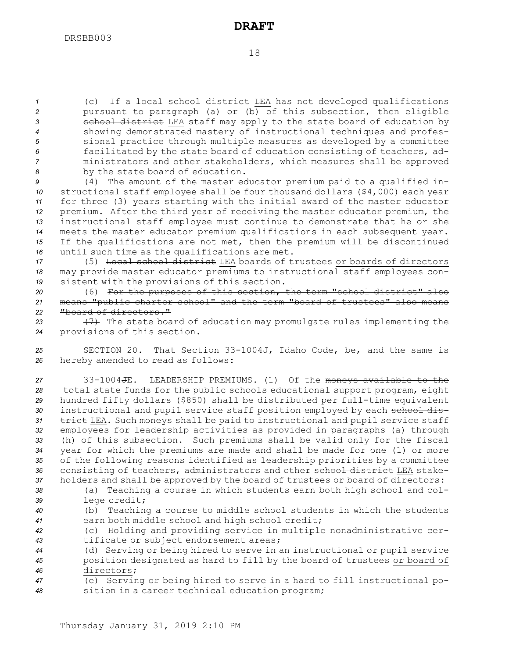(c) If <sup>a</sup> local school district LEA has not developed qualifications pursuant to paragraph (a) or (b) of this subsection, then eligible **3 3 school district** LEA staff may apply to the state board of education by showing demonstrated mastery of instructional techniques and profes- sional practice through multiple measures as developed by <sup>a</sup> committee facilitated by the state board of education consisting of teachers, ad- ministrators and other stakeholders, which measures shall be approved by the state board of education.

 (4) The amount of the master educator premium paid to <sup>a</sup> qualified in- structional staff employee shall be four thousand dollars (\$4,000) each year for three (3) years starting with the initial award of the master educator premium. After the third year of receiving the master educator premium, the instructional staff employee must continue to demonstrate that he or she meets the master educator premium qualifications in each subsequent year. If the qualifications are not met, then the premium will be discontinued until such time as the qualifications are met.

*<sup>17</sup>* (5) Local school district LEA boards of trustees or boards of directors *<sup>18</sup>* may provide master educator premiums to instructional staff employees con-*<sup>19</sup>* sistent with the provisions of this section.

*<sup>20</sup>* (6) For the purposes of this section, the term "school district" also *<sup>21</sup>* means "public charter school" and the term "board of trustees" also means *22* "board of directors."

23 (7) The state board of education may promulgate rules implementing the *<sup>24</sup>* provisions of this section.

*<sup>25</sup>* SECTION 20. That Section 33-1004J, Idaho Code, be, and the same is *<sup>26</sup>* hereby amended to read as follows:

 33-1004JE. LEADERSHIP PREMIUMS. (1) Of the moneys available to the total state funds for the public schools educational support program, eight hundred fifty dollars (\$850) shall be distributed per full-time equivalent 30 instructional and pupil service staff position employed by each school dis-31 trict LEA. Such moneys shall be paid to instructional and pupil service staff employees for leadership activities as provided in paragraphs (a) through (h) of this subsection. Such premiums shall be valid only for the fiscal year for which the premiums are made and shall be made for one (1) or more of the following reasons identified as leadership priorities by <sup>a</sup> committee 36 consisting of teachers, administrators and other school district LEA stake-holders and shall be approved by the board of trustees or board of directors:

*<sup>38</sup>* (a) Teaching <sup>a</sup> course in which students earn both high school and col-*<sup>39</sup>* lege credit;

*<sup>40</sup>* (b) Teaching <sup>a</sup> course to middle school students in which the students *<sup>41</sup>* earn both middle school and high school credit;

*<sup>42</sup>* (c) Holding and providing service in multiple nonadministrative cer-*<sup>43</sup>* tificate or subject endorsement areas;

*<sup>44</sup>* (d) Serving or being hired to serve in an instructional or pupil service *<sup>45</sup>* position designated as hard to fill by the board of trustees or board of *46* directors;

*<sup>47</sup>* (e) Serving or being hired to serve in <sup>a</sup> hard to fill instructional po-*<sup>48</sup>* sition in <sup>a</sup> career technical education program;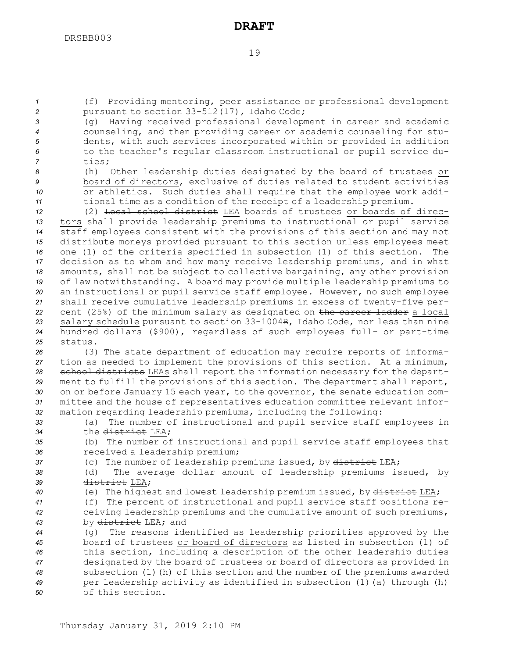*<sup>1</sup>* (f) Providing mentoring, peer assistance or professional development *<sup>2</sup>* pursuant to section 33-512(17), Idaho Code;

 (g) Having received professional development in career and academic counseling, and then providing career or academic counseling for stu- dents, with such services incorporated within or provided in addition to the teacher's regular classroom instructional or pupil service du-*<sup>7</sup>* ties;

 (h) Other leadership duties designated by the board of trustees or board of directors, exclusive of duties related to student activities or athletics. Such duties shall require that the employee work addi-tional time as <sup>a</sup> condition of the receipt of <sup>a</sup> leadership premium.

 (2) Local school district LEA boards of trustees or boards of direc- tors shall provide leadership premiums to instructional or pupil service staff employees consistent with the provisions of this section and may not distribute moneys provided pursuant to this section unless employees meet one (1) of the criteria specified in subsection (1) of this section. The decision as to whom and how many receive leadership premiums, and in what amounts, shall not be subject to collective bargaining, any other provision of law notwithstanding. <sup>A</sup> board may provide multiple leadership premiums to an instructional or pupil service staff employee. However, no such employee shall receive cumulative leadership premiums in excess of twenty-five per- cent (25%) of the minimum salary as designated on the career ladder <sup>a</sup> local salary schedule pursuant to section 33-1004B, Idaho Code, nor less than nine hundred dollars (\$900), regardless of such employees full- or part-time *25* status.

 (3) The state department of education may require reports of informa- tion as needed to implement the provisions of this section. At <sup>a</sup> minimum, school districts LEAs shall report the information necessary for the depart- ment to fulfill the provisions of this section. The department shall report, on or before January 15 each year, to the governor, the senate education com- mittee and the house of representatives education committee relevant infor-mation regarding leadership premiums, including the following:

*<sup>33</sup>* (a) The number of instructional and pupil service staff employees in *34* the district LEA;

*<sup>35</sup>* (b) The number of instructional and pupil service staff employees that *<sup>36</sup>* received <sup>a</sup> leadership premium;

37 (c) The number of leadership premiums issued, by district LEA;

*<sup>38</sup>* (d) The average dollar amount of leadership premiums issued, by *39* district LEA;

40 (e) The highest and lowest leadership premium issued, by district LEA;

*<sup>41</sup>* (f) The percent of instructional and pupil service staff positions re-*<sup>42</sup>* ceiving leadership premiums and the cumulative amount of such premiums, *<sup>43</sup>* by district LEA; and

 (g) The reasons identified as leadership priorities approved by the board of trustees or board of directors as listed in subsection (1) of this section, including <sup>a</sup> description of the other leadership duties designated by the board of trustees or board of directors as provided in subsection (1)(h) of this section and the number of the premiums awarded per leadership activity as identified in subsection (1)(a) through (h) of this section.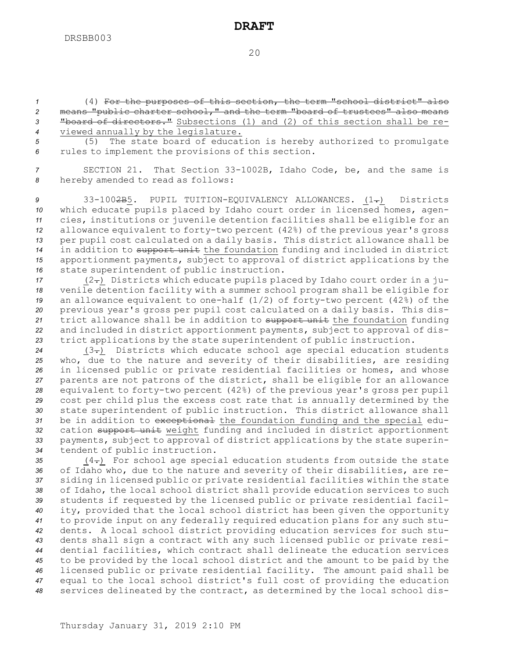(4) For the purposes of this section, the term "school district" also means "public charter school," and the term "board of trustees" also means "board of directors." Subsections (1) and (2) of this section shall be re-viewed annually by the legislature.

*<sup>5</sup>* (5) The state board of education is hereby authorized to promulgate *<sup>6</sup>* rules to implement the provisions of this section.

*<sup>7</sup>* SECTION 21. That Section 33-1002B, Idaho Code, be, and the same is *<sup>8</sup>* hereby amended to read as follows:

9 33-100<del>2B</del>5. PUPIL TUITION-EQUIVALENCY ALLOWANCES. (1-) Districts which educate pupils placed by Idaho court order in licensed homes, agen- cies, institutions or juvenile detention facilities shall be eligible for an allowance equivalent to forty-two percent (42%) of the previous year's gross per pupil cost calculated on <sup>a</sup> daily basis. This district allowance shall be in addition to support unit the foundation funding and included in district apportionment payments, subject to approval of district applications by the state superintendent of public instruction.

17 (2-) Districts which educate pupils placed by Idaho court order in a ju- venile detention facility with <sup>a</sup> summer school program shall be eligible for an allowance equivalent to one-half (1/2) of forty-two percent (42%) of the previous year's gross per pupil cost calculated on <sup>a</sup> daily basis. This dis- trict allowance shall be in addition to support unit the foundation funding and included in district apportionment payments, subject to approval of dis-trict applications by the state superintendent of public instruction.

24 (3-) Districts which educate school age special education students who, due to the nature and severity of their disabilities, are residing in licensed public or private residential facilities or homes, and whose parents are not patrons of the district, shall be eligible for an allowance equivalent to forty-two percent (42%) of the previous year's gross per pupil cost per child plus the excess cost rate that is annually determined by the state superintendent of public instruction. This district allowance shall be in addition to exceptional the foundation funding and the special edu- cation support unit weight funding and included in district apportionment payments, subject to approval of district applications by the state superin-tendent of public instruction.

35 (4-) For school age special education students from outside the state of Idaho who, due to the nature and severity of their disabilities, are re- siding in licensed public or private residential facilities within the state of Idaho, the local school district shall provide education services to such students if requested by the licensed public or private residential facil- ity, provided that the local school district has been given the opportunity to provide input on any federally required education plans for any such stu- dents. <sup>A</sup> local school district providing education services for such stu- dents shall sign <sup>a</sup> contract with any such licensed public or private resi- dential facilities, which contract shall delineate the education services to be provided by the local school district and the amount to be paid by the licensed public or private residential facility. The amount paid shall be equal to the local school district's full cost of providing the education services delineated by the contract, as determined by the local school dis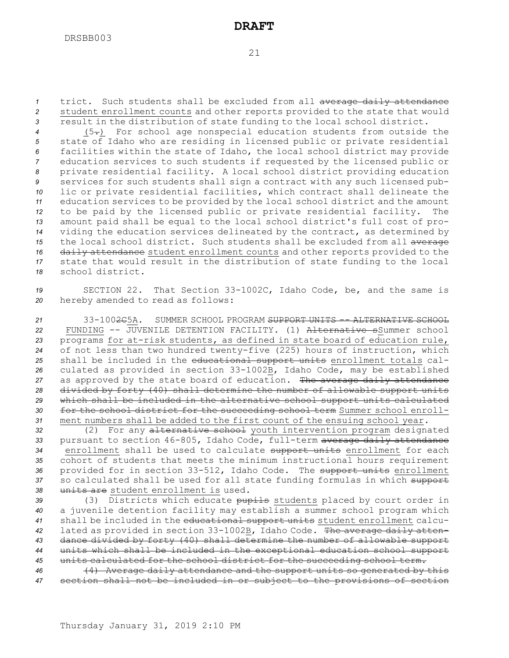*<sup>1</sup>* trict. Such students shall be excluded from all average daily attendance *<sup>2</sup>* student enrollment counts and other reports provided to the state that would *<sup>3</sup>* result in the distribution of state funding to the local school district.

 (5.) For school age nonspecial education students from outside the state of Idaho who are residing in licensed public or private residential facilities within the state of Idaho, the local school district may provide education services to such students if requested by the licensed public or private residential facility. <sup>A</sup> local school district providing education services for such students shall sign <sup>a</sup> contract with any such licensed pub- lic or private residential facilities, which contract shall delineate the education services to be provided by the local school district and the amount to be paid by the licensed public or private residential facility. The amount paid shall be equal to the local school district's full cost of pro- viding the education services delineated by the contract, as determined by the local school district. Such students shall be excluded from all average daily attendance student enrollment counts and other reports provided to the state that would result in the distribution of state funding to the local school district.

*<sup>19</sup>* SECTION 22. That Section 33-1002C, Idaho Code, be, and the same is *<sup>20</sup>* hereby amended to read as follows:

 33-1002C5A. SUMMER SCHOOL PROGRAM SUPPORT UNITS -- ALTERNATIVE SCHOOL FUNDING -- JUVENILE DETENTION FACILITY. (1) Alternative sSummer school programs for at-risk students, as defined in state board of education rule, of not less than two hundred twenty-five (225) hours of instruction, which shall be included in the educational support units enrollment totals cal- culated as provided in section 33-1002B, Idaho Code, may be established 27 as approved by the state board of education. The average daily attendance divided by forty (40) shall determine the number of allowable support units which shall be included in the alternative school support units calculated for the school district for the succeeding school term Summer school enroll-ment numbers shall be added to the first count of the ensuing school year.

 (2) For any alternative school youth intervention program designated pursuant to section 46-805, Idaho Code, full-term average daily attendance enrollment shall be used to calculate support units enrollment for each cohort of students that meets the minimum instructional hours requirement provided for in section 33-512, Idaho Code. The support units enrollment 37 so calculated shall be used for all state funding formulas in which support units are student enrollment is used.

 (3) Districts which educate pupils students placed by court order in <sup>a</sup> juvenile detention facility may establish <sup>a</sup> summer school program which shall be included in the educational support units student enrollment calcu- lated as provided in section 33-1002B, Idaho Code. The average daily atten- dance divided by forty (40) shall determine the number of allowable support units which shall be included in the exceptional education school support units calculated for the school district for the succeeding school term.

*<sup>46</sup>* (4) Average daily attendance and the support units so generated by this *<sup>47</sup>* section shall not be included in or subject to the provisions of section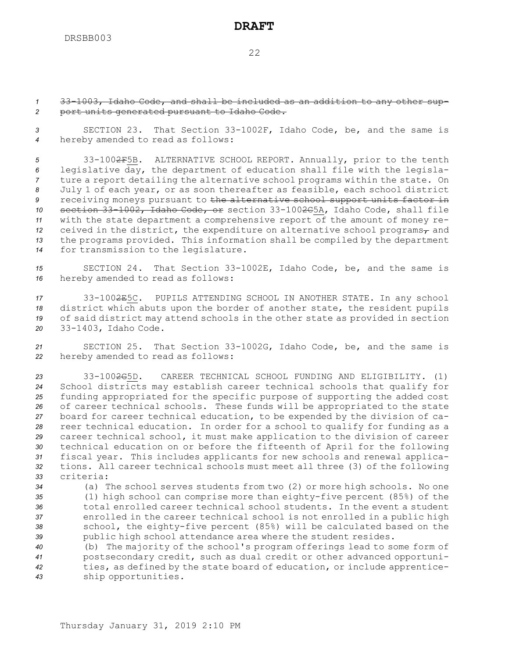#### 22

*<sup>1</sup>* 33-1003, Idaho Code, and shall be included as an addition to any other sup-*<sup>2</sup>* port units generated pursuant to Idaho Code.

*<sup>3</sup>* SECTION 23. That Section 33-1002F, Idaho Code, be, and the same is *<sup>4</sup>* hereby amended to read as follows:

 33-1002F5B. ALTERNATIVE SCHOOL REPORT. Annually, prior to the tenth legislative day, the department of education shall file with the legisla- ture <sup>a</sup> report detailing the alternative school programs within the state. On July 1 of each year, or as soon thereafter as feasible, each school district receiving moneys pursuant to the alternative school support units factor in section 33-1002, Idaho Code, or section 33-1002C5A, Idaho Code, shall file with the state department <sup>a</sup> comprehensive report of the amount of money re- ceived in the district, the expenditure on alternative school programs<sub> $\tau$ </sub> and the programs provided. This information shall be compiled by the department for transmission to the legislature.

*<sup>15</sup>* SECTION 24. That Section 33-1002E, Idaho Code, be, and the same is *<sup>16</sup>* hereby amended to read as follows:

 33-1002E5C. PUPILS ATTENDING SCHOOL IN ANOTHER STATE. In any school district which abuts upon the border of another state, the resident pupils of said district may attend schools in the other state as provided in section 33-1403, Idaho Code.

*<sup>21</sup>* SECTION 25. That Section 33-1002G, Idaho Code, be, and the same is *<sup>22</sup>* hereby amended to read as follows:

 33-1002G5D. CAREER TECHNICAL SCHOOL FUNDING AND ELIGIBILITY. (1) School districts may establish career technical schools that qualify for funding appropriated for the specific purpose of supporting the added cost of career technical schools. These funds will be appropriated to the state board for career technical education, to be expended by the division of ca- reer technical education. In order for <sup>a</sup> school to qualify for funding as <sup>a</sup> career technical school, it must make application to the division of career technical education on or before the fifteenth of April for the following fiscal year. This includes applicants for new schools and renewal applica- tions. All career technical schools must meet all three (3) of the following criteria:

 (a) The school serves students from two (2) or more high schools. No one (1) high school can comprise more than eighty-five percent (85%) of the total enrolled career technical school students. In the event <sup>a</sup> student enrolled in the career technical school is not enrolled in <sup>a</sup> public high school, the eighty-five percent (85%) will be calculated based on the public high school attendance area where the student resides.

 (b) The majority of the school's program offerings lead to some form of postsecondary credit, such as dual credit or other advanced opportuni- ties, as defined by the state board of education, or include apprentice-ship opportunities.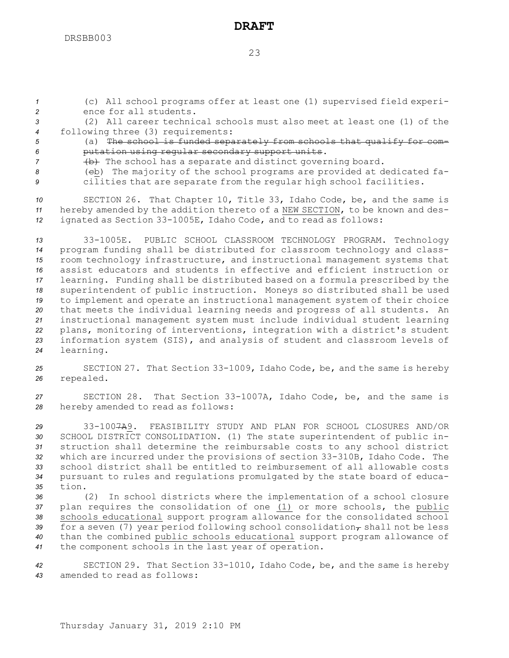*<sup>1</sup>* (c) All school programs offer at least one (1) supervised field experi-*2* ence for all students.

*3* (2) All career technical schools must also meet at least one (1) of the *<sup>4</sup>* following three (3) requirements:

*<sup>5</sup>* (a) The school is funded separately from schools that qualify for com-*<sup>6</sup>* putation using regular secondary support units.

7 (b) The school has a separate and distinct governing board.

*<sup>8</sup>* (cb) The majority of the school programs are provided at dedicated fa-*<sup>9</sup>* cilities that are separate from the regular high school facilities.

*<sup>10</sup>* SECTION 26. That Chapter 10, Title 33, Idaho Code, be, and the same is *<sup>11</sup>* hereby amended by the addition thereto of <sup>a</sup> NEW SECTION, to be known and des-*<sup>12</sup>* ignated as Section 33-1005E, Idaho Code, and to read as follows:

 33-1005E. PUBLIC SCHOOL CLASSROOM TECHNOLOGY PROGRAM. Technology program funding shall be distributed for classroom technology and class- room technology infrastructure, and instructional management systems that assist educators and students in effective and efficient instruction or learning. Funding shall be distributed based on <sup>a</sup> formula prescribed by the superintendent of public instruction. Moneys so distributed shall be used to implement and operate an instructional management system of their choice that meets the individual learning needs and progress of all students. An instructional management system must include individual student learning plans, monitoring of interventions, integration with <sup>a</sup> district's student information system (SIS), and analysis of student and classroom levels of learning.

*<sup>25</sup>* SECTION 27. That Section 33-1009, Idaho Code, be, and the same is hereby *<sup>26</sup>* repealed.

*<sup>27</sup>* SECTION 28. That Section 33-1007A, Idaho Code, be, and the same is *<sup>28</sup>* hereby amended to read as follows:

 33-1007A9. FEASIBILITY STUDY AND PLAN FOR SCHOOL CLOSURES AND/OR SCHOOL DISTRICT CONSOLIDATION. (1) The state superintendent of public in- struction shall determine the reimbursable costs to any school district which are incurred under the provisions of section 33-310B, Idaho Code. The school district shall be entitled to reimbursement of all allowable costs pursuant to rules and regulations promulgated by the state board of educa-*35* tion.

 (2) In school districts where the implementation of <sup>a</sup> school closure plan requires the consolidation of one (1) or more schools, the public schools educational support program allowance for the consolidated school 39 for a seven (7) year period following school consolidation<sub>*r*</sub> shall not be less than the combined public schools educational support program allowance of the component schools in the last year of operation.

*<sup>42</sup>* SECTION 29. That Section 33-1010, Idaho Code, be, and the same is hereby *43* amended to read as follows: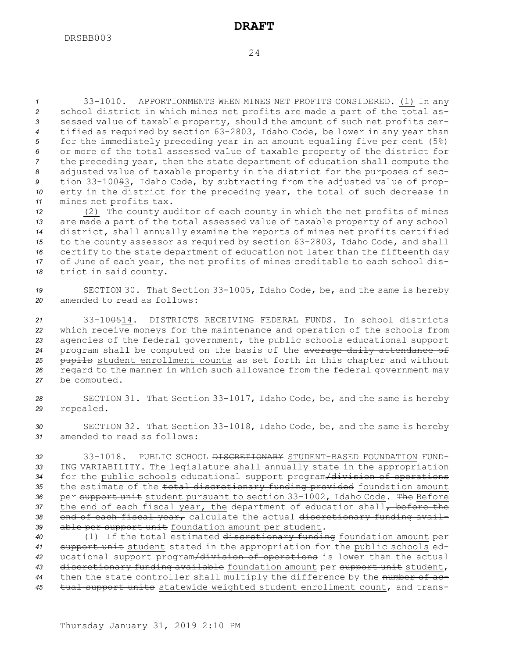33-1010. APPORTIONMENTS WHEN MINES NET PROFITS CONSIDERED. (1) In any school district in which mines net profits are made <sup>a</sup> part of the total as- sessed value of taxable property, should the amount of such net profits cer- tified as required by section 63-2803, Idaho Code, be lower in any year than for the immediately preceding year in an amount equaling five per cent (5%) or more of the total assessed value of taxable property of the district for the preceding year, then the state department of education shall compute the adjusted value of taxable property in the district for the purposes of sec- tion 33-10093, Idaho Code, by subtracting from the adjusted value of prop- erty in the district for the preceding year, the total of such decrease in mines net profits tax.

 (2) The county auditor of each county in which the net profits of mines are made <sup>a</sup> part of the total assessed value of taxable property of any school district, shall annually examine the reports of mines net profits certified to the county assessor as required by section 63-2803, Idaho Code, and shall certify to the state department of education not later than the fifteenth day of June of each year, the net profits of mines creditable to each school dis-trict in said county.

*<sup>19</sup>* SECTION 30. That Section 33-1005, Idaho Code, be, and the same is hereby *20* amended to read as follows:

 33-100514. DISTRICTS RECEIVING FEDERAL FUNDS. In school districts which receive moneys for the maintenance and operation of the schools from agencies of the federal government, the public schools educational support program shall be computed on the basis of the average daily attendance of pupils student enrollment counts as set forth in this chapter and without regard to the manner in which such allowance from the federal government may be computed.

*<sup>28</sup>* SECTION 31. That Section 33-1017, Idaho Code, be, and the same is hereby *<sup>29</sup>* repealed.

*<sup>30</sup>* SECTION 32. That Section 33-1018, Idaho Code, be, and the same is hereby *31* amended to read as follows:

 33-1018. PUBLIC SCHOOL DISCRETIONARY STUDENT-BASED FOUNDATION FUND- ING VARIABILITY. The legislature shall annually state in the appropriation for the public schools educational support program/division of operations the estimate of the total discretionary funding provided foundation amount per support unit student pursuant to section 33-1002, Idaho Code. The Before 37 the end of each fiscal year, the department of education shall, before the end of each fiscal year, calculate the actual discretionary funding avail-able per support unit foundation amount per student.

 (1) If the total estimated discretionary funding foundation amount per support unit student stated in the appropriation for the public schools ed- ucational support program/division of operations is lower than the actual discretionary funding available foundation amount per support unit student, then the state controller shall multiply the difference by the number of ac-tual support units statewide weighted student enrollment count, and trans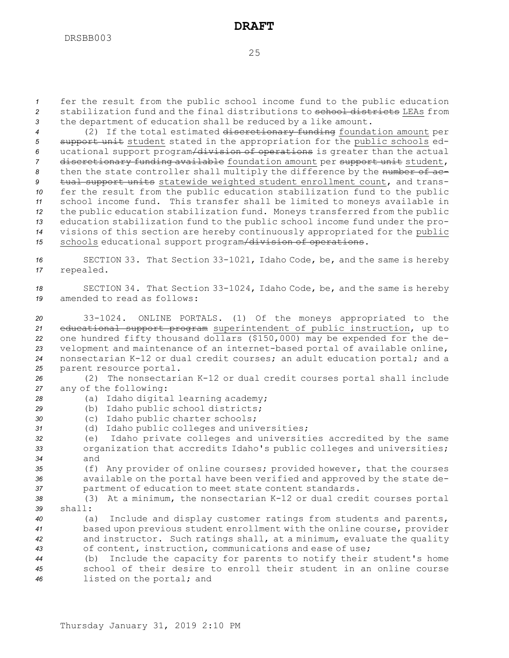*<sup>1</sup>* fer the result from the public school income fund to the public education 2 stabilization fund and the final distributions to school districts LEAs from *<sup>3</sup>* the department of education shall be reduced by <sup>a</sup> like amount.

 (2) If the total estimated discretionary funding foundation amount per support unit student stated in the appropriation for the public schools ed- ucational support program/division of operations is greater than the actual discretionary funding available foundation amount per support unit student, 8 then the state controller shall multiply the difference by the number of ac- tual support units statewide weighted student enrollment count, and trans- fer the result from the public education stabilization fund to the public school income fund. This transfer shall be limited to moneys available in the public education stabilization fund. Moneys transferred from the public education stabilization fund to the public school income fund under the pro- visions of this section are hereby continuously appropriated for the public schools educational support program/division of operations.

*<sup>16</sup>* SECTION 33. That Section 33-1021, Idaho Code, be, and the same is hereby *<sup>17</sup>* repealed.

*<sup>18</sup>* SECTION 34. That Section 33-1024, Idaho Code, be, and the same is hereby *19* amended to read as follows:

 33-1024. ONLINE PORTALS. (1) Of the moneys appropriated to the educational support program superintendent of public instruction, up to one hundred fifty thousand dollars (\$150,000) may be expended for the de- velopment and maintenance of an internet-based portal of available online, nonsectarian K-12 or dual credit courses; an adult education portal; and <sup>a</sup> parent resource portal.

*<sup>26</sup>* (2) The nonsectarian K-12 or dual credit courses portal shall include *<sup>27</sup>* any of the following:

- *<sup>28</sup>* (a) Idaho digital learning academy;
- *<sup>29</sup>* (b) Idaho public school districts;
- *<sup>30</sup>* (c) Idaho public charter schools;
- *<sup>31</sup>* (d) Idaho public colleges and universities;
- *<sup>32</sup>* (e) Idaho private colleges and universities accredited by the same *<sup>33</sup>* organization that accredits Idaho's public colleges and universities; *34* and
- *<sup>35</sup>* (f) Any provider of online courses; provided however, that the courses *<sup>36</sup>* available on the portal have been verified and approved by the state de-*<sup>37</sup>* partment of education to meet state content standards.
- *<sup>38</sup>* (3) At <sup>a</sup> minimum, the nonsectarian K-12 or dual credit courses portal *39* shall:
- *<sup>40</sup>* (a) Include and display customer ratings from students and parents, *<sup>41</sup>* based upon previous student enrollment with the online course, provider *<sup>42</sup>* and instructor. Such ratings shall, at <sup>a</sup> minimum, evaluate the quality *<sup>43</sup>* of content, instruction, communications and ease of use;
- *<sup>44</sup>* (b) Include the capacity for parents to notify their student's home *45* school of their desire to enroll their student in an online course *<sup>46</sup>* listed on the portal; and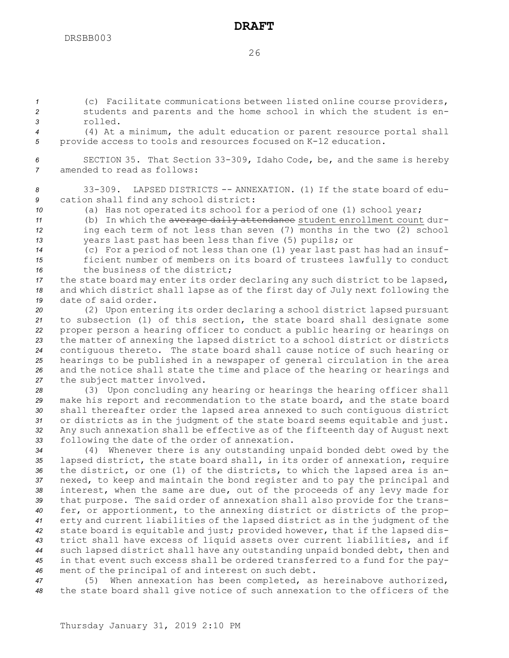*<sup>1</sup>* (c) Facilitate communications between listed online course providers, *<sup>2</sup>* students and parents and the home school in which the student is en-*3* rolled.

*<sup>4</sup>* (4) At <sup>a</sup> minimum, the adult education or parent resource portal shall *<sup>5</sup>* provide access to tools and resources focused on K-12 education.

*<sup>6</sup>* SECTION 35. That Section 33-309, Idaho Code, be, and the same is hereby *7* amended to read as follows:

*8* 33-309. LAPSED DISTRICTS -- ANNEXATION. (1) If the state board of edu-*<sup>9</sup>* cation shall find any school district:

*<sup>10</sup>* (a) Has not operated its school for <sup>a</sup> period of one (1) school year;

11 (b) In which the average daily attendance student enrollment count dur-*<sup>12</sup>* ing each term of not less than seven (7) months in the two (2) school *<sup>13</sup>* years last past has been less than five (5) pupils; or

*<sup>14</sup>* (c) For <sup>a</sup> period of not less than one (1) year last past has had an insuf-*<sup>15</sup>* ficient number of members on its board of trustees lawfully to conduct *16* the business of the district;

*<sup>17</sup>* the state board may enter its order declaring any such district to be lapsed, *<sup>18</sup>* and which district shall lapse as of the first day of July next following the *19* date of said order.

 (2) Upon entering its order declaring <sup>a</sup> school district lapsed pursuant to subsection (1) of this section, the state board shall designate some proper person <sup>a</sup> hearing officer to conduct <sup>a</sup> public hearing or hearings on the matter of annexing the lapsed district to <sup>a</sup> school district or districts contiguous thereto. The state board shall cause notice of such hearing or hearings to be published in <sup>a</sup> newspaper of general circulation in the area and the notice shall state the time and place of the hearing or hearings and the subject matter involved.

 (3) Upon concluding any hearing or hearings the hearing officer shall make his report and recommendation to the state board, and the state board shall thereafter order the lapsed area annexed to such contiguous district or districts as in the judgment of the state board seems equitable and just. Any such annexation shall be effective as of the fifteenth day of August next following the date of the order of annexation.

 (4) Whenever there is any outstanding unpaid bonded debt owed by the lapsed district, the state board shall, in its order of annexation, require the district, or one (1) of the districts, to which the lapsed area is an- nexed, to keep and maintain the bond register and to pay the principal and interest, when the same are due, out of the proceeds of any levy made for that purpose. The said order of annexation shall also provide for the trans- fer, or apportionment, to the annexing district or districts of the prop- erty and current liabilities of the lapsed district as in the judgment of the state board is equitable and just; provided however, that if the lapsed dis- trict shall have excess of liquid assets over current liabilities, and if such lapsed district shall have any outstanding unpaid bonded debt, then and in that event such excess shall be ordered transferred to <sup>a</sup> fund for the pay-ment of the principal of and interest on such debt.

*<sup>47</sup>* (5) When annexation has been completed, as hereinabove authorized, *<sup>48</sup>* the state board shall give notice of such annexation to the officers of the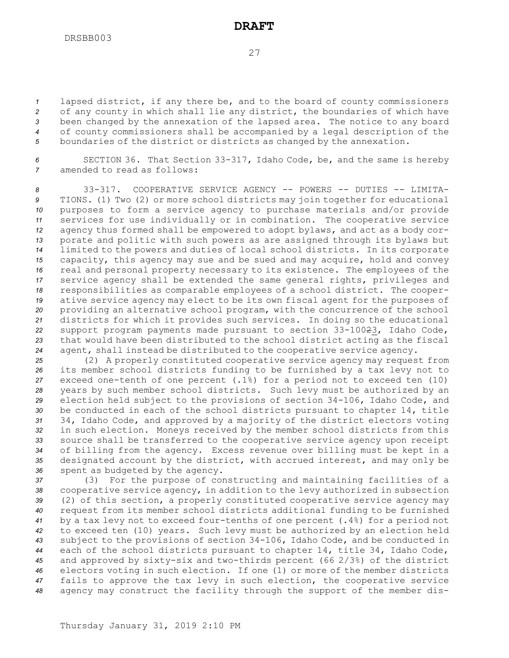lapsed district, if any there be, and to the board of county commissioners of any county in which shall lie any district, the boundaries of which have been changed by the annexation of the lapsed area. The notice to any board of county commissioners shall be accompanied by <sup>a</sup> legal description of the boundaries of the district or districts as changed by the annexation.

*<sup>6</sup>* SECTION 36. That Section 33-317, Idaho Code, be, and the same is hereby *7* amended to read as follows:

 33-317. COOPERATIVE SERVICE AGENCY -- POWERS -- DUTIES -- LIMITA- TIONS. (1) Two (2) or more school districts may join together for educational purposes to form <sup>a</sup> service agency to purchase materials and/or provide services for use individually or in combination. The cooperative service agency thus formed shall be empowered to adopt bylaws, and act as <sup>a</sup> body cor- porate and politic with such powers as are assigned through its bylaws but limited to the powers and duties of local school districts. In its corporate capacity, this agency may sue and be sued and may acquire, hold and convey real and personal property necessary to its existence. The employees of the service agency shall be extended the same general rights, privileges and responsibilities as comparable employees of <sup>a</sup> school district. The cooper- ative service agency may elect to be its own fiscal agent for the purposes of providing an alternative school program, with the concurrence of the school districts for which it provides such services. In doing so the educational support program payments made pursuant to section 33-10023, Idaho Code, that would have been distributed to the school district acting as the fiscal agent, shall instead be distributed to the cooperative service agency.

 (2) <sup>A</sup> properly constituted cooperative service agency may request from its member school districts funding to be furnished by <sup>a</sup> tax levy not to exceed one-tenth of one percent (.1%) for <sup>a</sup> period not to exceed ten (10) years by such member school districts. Such levy must be authorized by an election held subject to the provisions of section 34-106, Idaho Code, and be conducted in each of the school districts pursuant to chapter 14, title 34, Idaho Code, and approved by <sup>a</sup> majority of the district electors voting in such election. Moneys received by the member school districts from this source shall be transferred to the cooperative service agency upon receipt of billing from the agency. Excess revenue over billing must be kept in <sup>a</sup> designated account by the district, with accrued interest, and may only be spent as budgeted by the agency.

 (3) For the purpose of constructing and maintaining facilities of <sup>a</sup> cooperative service agency, in addition to the levy authorized in subsection (2) of this section, <sup>a</sup> properly constituted cooperative service agency may request from its member school districts additional funding to be furnished by <sup>a</sup> tax levy not to exceed four-tenths of one percent (.4%) for <sup>a</sup> period not to exceed ten (10) years. Such levy must be authorized by an election held subject to the provisions of section 34-106, Idaho Code, and be conducted in each of the school districts pursuant to chapter 14, title 34, Idaho Code, and approved by sixty-six and two-thirds percent (66 2/3%) of the district electors voting in such election. If one (1) or more of the member districts fails to approve the tax levy in such election, the cooperative service agency may construct the facility through the support of the member dis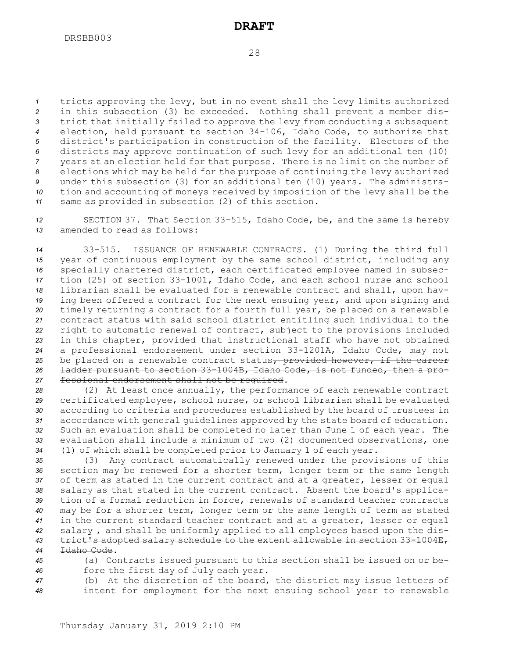tricts approving the levy, but in no event shall the levy limits authorized in this subsection (3) be exceeded. Nothing shall prevent <sup>a</sup> member dis- trict that initially failed to approve the levy from conducting <sup>a</sup> subsequent election, held pursuant to section 34-106, Idaho Code, to authorize that district's participation in construction of the facility. Electors of the districts may approve continuation of such levy for an additional ten (10) years at an election held for that purpose. There is no limit on the number of elections which may be held for the purpose of continuing the levy authorized under this subsection (3) for an additional ten (10) years. The administra- tion and accounting of moneys received by imposition of the levy shall be the same as provided in subsection (2) of this section.

*<sup>12</sup>* SECTION 37. That Section 33-515, Idaho Code, be, and the same is hereby *13* amended to read as follows:

 33-515. ISSUANCE OF RENEWABLE CONTRACTS. (1) During the third full year of continuous employment by the same school district, including any specially chartered district, each certificated employee named in subsec- tion (25) of section 33-1001, Idaho Code, and each school nurse and school librarian shall be evaluated for <sup>a</sup> renewable contract and shall, upon hav- ing been offered <sup>a</sup> contract for the next ensuing year, and upon signing and timely returning <sup>a</sup> contract for <sup>a</sup> fourth full year, be placed on <sup>a</sup> renewable contract status with said school district entitling such individual to the right to automatic renewal of contract, subject to the provisions included in this chapter, provided that instructional staff who have not obtained <sup>a</sup> professional endorsement under section 33-1201A, Idaho Code, may not 25 be placed on a renewable contract status<sub>r</sub> provided however, if the career ladder pursuant to section 33-1004B, Idaho Code, is not funded, then <sup>a</sup> pro-fessional endorsement shall not be required.

 (2) At least once annually, the performance of each renewable contract certificated employee, school nurse, or school librarian shall be evaluated according to criteria and procedures established by the board of trustees in accordance with general guidelines approved by the state board of education. Such an evaluation shall be completed no later than June 1 of each year. The evaluation shall include <sup>a</sup> minimum of two (2) documented observations, one (1) of which shall be completed prior to January 1 of each year.

 (3) Any contract automatically renewed under the provisions of this section may be renewed for <sup>a</sup> shorter term, longer term or the same length of term as stated in the current contract and at <sup>a</sup> greater, lesser or equal salary as that stated in the current contract. Absent the board's applica- tion of <sup>a</sup> formal reduction in force, renewals of standard teacher contracts may be for <sup>a</sup> shorter term, longer term or the same length of term as stated in the current standard teacher contract and at <sup>a</sup> greater, lesser or equal salary , and shall be uniformly applied to all employees based upon the dis- trict's adopted salary schedule to the extent allowable in section 33-1004E, Idaho Code.

*<sup>45</sup>* (a) Contracts issued pursuant to this section shall be issued on or be-*<sup>46</sup>* fore the first day of July each year.

*<sup>47</sup>* (b) At the discretion of the board, the district may issue letters of *<sup>48</sup>* intent for employment for the next ensuing school year to renewable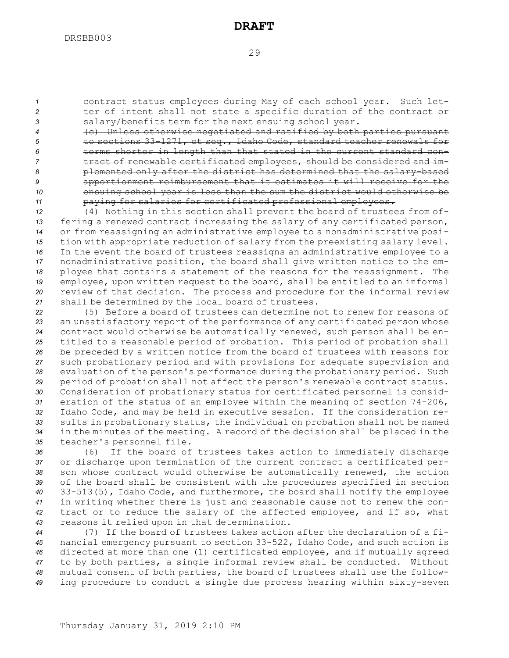*<sup>1</sup>* contract status employees during May of each school year. Such let-*<sup>2</sup>* ter of intent shall not state <sup>a</sup> specific duration of the contract or *<sup>3</sup>* salary/benefits term for the next ensuing school year.

 (c) Unless otherwise negotiated and ratified by both parties pursuant to sections 33-1271, et seq., Idaho Code, standard teacher renewals for terms shorter in length than that stated in the current standard con- tract of renewable certificated employees, should be considered and im- plemented only after the district has determined that the salary-based apportionment reimbursement that it estimates it will receive for the ensuing school year is less than the sum the district would otherwise be paying for salaries for certificated professional employees.

 (4) Nothing in this section shall prevent the board of trustees from of- fering <sup>a</sup> renewed contract increasing the salary of any certificated person, or from reassigning an administrative employee to <sup>a</sup> nonadministrative posi- tion with appropriate reduction of salary from the preexisting salary level. In the event the board of trustees reassigns an administrative employee to <sup>a</sup> nonadministrative position, the board shall give written notice to the em- ployee that contains <sup>a</sup> statement of the reasons for the reassignment. The employee, upon written request to the board, shall be entitled to an informal review of that decision. The process and procedure for the informal review shall be determined by the local board of trustees.

 (5) Before <sup>a</sup> board of trustees can determine not to renew for reasons of an unsatisfactory report of the performance of any certificated person whose contract would otherwise be automatically renewed, such person shall be en- titled to <sup>a</sup> reasonable period of probation. This period of probation shall be preceded by <sup>a</sup> written notice from the board of trustees with reasons for such probationary period and with provisions for adequate supervision and evaluation of the person's performance during the probationary period. Such period of probation shall not affect the person's renewable contract status. Consideration of probationary status for certificated personnel is consid- eration of the status of an employee within the meaning of section 74-206, Idaho Code, and may be held in executive session. If the consideration re- sults in probationary status, the individual on probation shall not be named in the minutes of the meeting. <sup>A</sup> record of the decision shall be placed in the teacher's personnel file.

 (6) If the board of trustees takes action to immediately discharge or discharge upon termination of the current contract <sup>a</sup> certificated per- son whose contract would otherwise be automatically renewed, the action of the board shall be consistent with the procedures specified in section 33-513(5), Idaho Code, and furthermore, the board shall notify the employee in writing whether there is just and reasonable cause not to renew the con- tract or to reduce the salary of the affected employee, and if so, what reasons it relied upon in that determination.

 (7) If the board of trustees takes action after the declaration of <sup>a</sup> fi- nancial emergency pursuant to section 33-522, Idaho Code, and such action is directed at more than one (1) certificated employee, and if mutually agreed to by both parties, <sup>a</sup> single informal review shall be conducted. Without mutual consent of both parties, the board of trustees shall use the follow-ing procedure to conduct <sup>a</sup> single due process hearing within sixty-seven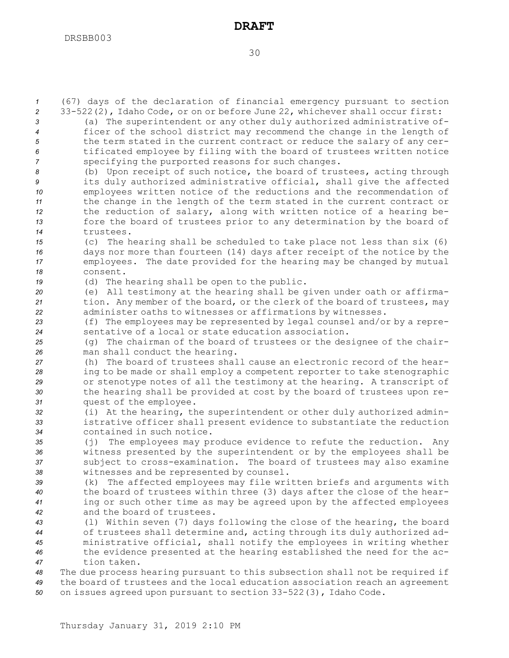(67) days of the declaration of financial emergency pursuant to section 33-522(2), Idaho Code, or on or before June 22, whichever shall occur first: (a) The superintendent or any other duly authorized administrative of-ficer of the school district may recommend the change in the length of

 the term stated in the current contract or reduce the salary of any cer- tificated employee by filing with the board of trustees written notice specifying the purported reasons for such changes. (b) Upon receipt of such notice, the board of trustees, acting through its duly authorized administrative official, shall give the affected employees written notice of the reductions and the recommendation of the change in the length of the term stated in the current contract or the reduction of salary, along with written notice of <sup>a</sup> hearing be- fore the board of trustees prior to any determination by the board of trustees. (c) The hearing shall be scheduled to take place not less than six (6) days nor more than fourteen (14) days after receipt of the notice by the employees. The date provided for the hearing may be changed by mutual *18* consent. (d) The hearing shall be open to the public. (e) All testimony at the hearing shall be given under oath or affirma- tion. Any member of the board, or the clerk of the board of trustees, may administer oaths to witnesses or affirmations by witnesses. (f) The employees may be represented by legal counsel and/or by <sup>a</sup> repre- sentative of <sup>a</sup> local or state education association. (g) The chairman of the board of trustees or the designee of the chair- man shall conduct the hearing. (h) The board of trustees shall cause an electronic record of the hear- ing to be made or shall employ <sup>a</sup> competent reporter to take stenographic or stenotype notes of all the testimony at the hearing. <sup>A</sup> transcript of the hearing shall be provided at cost by the board of trustees upon re- quest of the employee. (i) At the hearing, the superintendent or other duly authorized admin- istrative officer shall present evidence to substantiate the reduction contained in such notice. (j) The employees may produce evidence to refute the reduction. Any witness presented by the superintendent or by the employees shall be subject to cross-examination. The board of trustees may also examine witnesses and be represented by counsel. (k) The affected employees may file written briefs and arguments with the board of trustees within three (3) days after the close of the hear- ing or such other time as may be agreed upon by the affected employees and the board of trustees.

 (l) Within seven (7) days following the close of the hearing, the board of trustees shall determine and, acting through its duly authorized ad- ministrative official, shall notify the employees in writing whether the evidence presented at the hearing established the need for the ac-tion taken.

*<sup>48</sup>* The due process hearing pursuant to this subsection shall not be required if *<sup>49</sup>* the board of trustees and the local education association reach an agreement *<sup>50</sup>* on issues agreed upon pursuant to section 33-522(3), Idaho Code.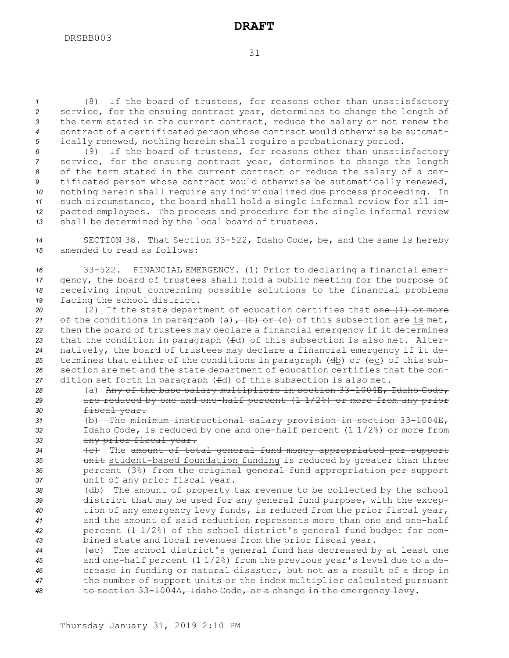(8) If the board of trustees, for reasons other than unsatisfactory service, for the ensuing contract year, determines to change the length of the term stated in the current contract, reduce the salary or not renew the contract of <sup>a</sup> certificated person whose contract would otherwise be automat-ically renewed, nothing herein shall require <sup>a</sup> probationary period.

 (9) If the board of trustees, for reasons other than unsatisfactory service, for the ensuing contract year, determines to change the length of the term stated in the current contract or reduce the salary of <sup>a</sup> cer- tificated person whose contract would otherwise be automatically renewed, nothing herein shall require any individualized due process proceeding. In such circumstance, the board shall hold <sup>a</sup> single informal review for all im- pacted employees. The process and procedure for the single informal review shall be determined by the local board of trustees.

*<sup>14</sup>* SECTION 38. That Section 33-522, Idaho Code, be, and the same is hereby *15* amended to read as follows:

 33-522. FINANCIAL EMERGENCY. (1) Prior to declaring <sup>a</sup> financial emer- gency, the board of trustees shall hold <sup>a</sup> public meeting for the purpose of receiving input concerning possible solutions to the financial problems facing the school district.

20 (2) If the state department of education certifies that one (1) or more 21 of the conditions in paragraph (a)  $\rightarrow$  (b) or (c) of this subsection are is met, then the board of trustees may declare <sup>a</sup> financial emergency if it determines that the condition in paragraph (fd) of this subsection is also met. Alter- natively, the board of trustees may declare <sup>a</sup> financial emergency if it de- termines that either of the conditions in paragraph (db) or (ec) of this sub- section are met and the state department of education certifies that the con-dition set forth in paragraph (fd) of this subsection is also met.

- *<sup>28</sup>* (a) Any of the base salary multipliers in section 33-1004E, Idaho Code, *<sup>29</sup>* are reduced by one and one-half percent (1 1/2%) or more from any prior *<sup>30</sup>* fiscal year.
- *<sup>31</sup>* (b) The minimum instructional salary provision in section 33-1004E, *<sup>32</sup>* Idaho Code, is reduced by one and one-half percent (1 1/2%) or more from *<sup>33</sup>* any prior fiscal year.
- *<sup>34</sup>* (c) The amount of total general fund money appropriated per support 35 **unit** student-based foundation funding is reduced by greater than three *<sup>36</sup>* percent (3%) from the original general fund appropriation per support 37 **unit of** any prior fiscal year.
- *<sup>38</sup>* (db) The amount of property tax revenue to be collected by the school *<sup>39</sup>* district that may be used for any general fund purpose, with the excep-*<sup>40</sup>* tion of any emergency levy funds, is reduced from the prior fiscal year, *<sup>41</sup>* and the amount of said reduction represents more than one and one-half *<sup>42</sup>* percent (1 1/2%) of the school district's general fund budget for com-*<sup>43</sup>* bined state and local revenues from the prior fiscal year.
- *<sup>44</sup>* (ec) The school district's general fund has decreased by at least one *<sup>45</sup>* and one-half percent (1 1/2%) from the previous year's level due to <sup>a</sup> de-*<sup>46</sup>* crease in funding or natural disaster, but not as <sup>a</sup> result of <sup>a</sup> drop in *<sup>47</sup>* the number of support units or the index multiplier calculated pursuant *<sup>48</sup>* to section 33-1004A, Idaho Code, or <sup>a</sup> change in the emergency levy.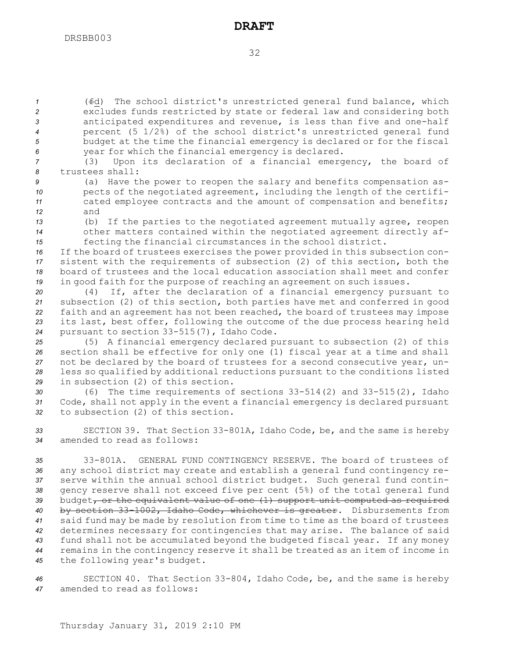(fd) The school district's unrestricted general fund balance, which excludes funds restricted by state or federal law and considering both anticipated expenditures and revenue, is less than five and one-half percent (5 1/2%) of the school district's unrestricted general fund budget at the time the financial emergency is declared or for the fiscal year for which the financial emergency is declared.

*<sup>7</sup>* (3) Upon its declaration of <sup>a</sup> financial emergency, the board of *8* trustees shall:

*<sup>9</sup>* (a) Have the power to reopen the salary and benefits compensation as-10 pects of the negotiated agreement, including the length of the certifi-*<sup>11</sup>* cated employee contracts and the amount of compensation and benefits; *12* and

*<sup>13</sup>* (b) If the parties to the negotiated agreement mutually agree, reopen *<sup>14</sup>* other matters contained within the negotiated agreement directly af-*<sup>15</sup>* fecting the financial circumstances in the school district.

 If the board of trustees exercises the power provided in this subsection con- sistent with the requirements of subsection (2) of this section, both the board of trustees and the local education association shall meet and confer in good faith for the purpose of reaching an agreement on such issues.

 (4) If, after the declaration of <sup>a</sup> financial emergency pursuant to subsection (2) of this section, both parties have met and conferred in good faith and an agreement has not been reached, the board of trustees may impose its last, best offer, following the outcome of the due process hearing held pursuant to section 33-515(7), Idaho Code.

 (5) <sup>A</sup> financial emergency declared pursuant to subsection (2) of this section shall be effective for only one (1) fiscal year at <sup>a</sup> time and shall not be declared by the board of trustees for <sup>a</sup> second consecutive year, un- less so qualified by additional reductions pursuant to the conditions listed in subsection (2) of this section.

*<sup>30</sup>* (6) The time requirements of sections 33-514(2) and 33-515(2), Idaho *<sup>31</sup>* Code, shall not apply in the event <sup>a</sup> financial emergency is declared pursuant *32* to subsection (2) of this section.

*<sup>33</sup>* SECTION 39. That Section 33-801A, Idaho Code, be, and the same is hereby *34* amended to read as follows:

 33-801A. GENERAL FUND CONTINGENCY RESERVE. The board of trustees of any school district may create and establish <sup>a</sup> general fund contingency re- serve within the annual school district budget. Such general fund contin- gency reserve shall not exceed five per cent (5%) of the total general fund budget, or the equivalent value of one (1) support unit computed as required by section 33-1002, Idaho Code, whichever is greater. Disbursements from said fund may be made by resolution from time to time as the board of trustees determines necessary for contingencies that may arise. The balance of said fund shall not be accumulated beyond the budgeted fiscal year. If any money remains in the contingency reserve it shall be treated as an item of income in the following year's budget.

*<sup>46</sup>* SECTION 40. That Section 33-804, Idaho Code, be, and the same is hereby *47* amended to read as follows: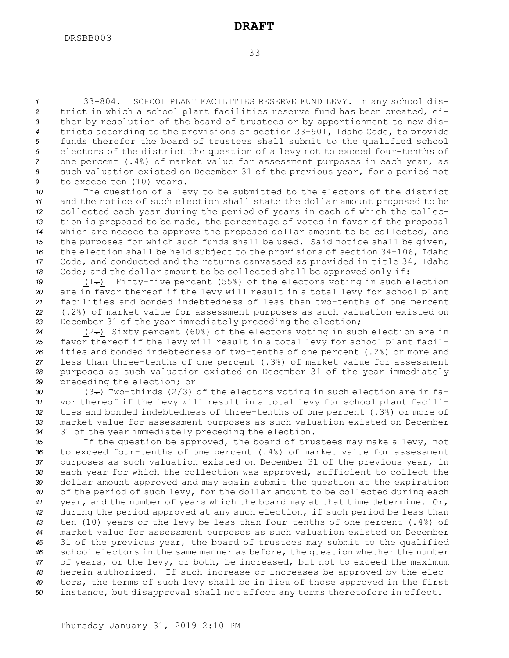33-804. SCHOOL PLANT FACILITIES RESERVE FUND LEVY. In any school dis- trict in which <sup>a</sup> school plant facilities reserve fund has been created, ei- ther by resolution of the board of trustees or by apportionment to new dis- tricts according to the provisions of section 33-901, Idaho Code, to provide funds therefor the board of trustees shall submit to the qualified school electors of the district the question of <sup>a</sup> levy not to exceed four-tenths of one percent (.4%) of market value for assessment purposes in each year, as such valuation existed on December 31 of the previous year, for <sup>a</sup> period not to exceed ten (10) years.

 The question of <sup>a</sup> levy to be submitted to the electors of the district and the notice of such election shall state the dollar amount proposed to be collected each year during the period of years in each of which the collec- tion is proposed to be made, the percentage of votes in favor of the proposal which are needed to approve the proposed dollar amount to be collected, and the purposes for which such funds shall be used. Said notice shall be given, the election shall be held subject to the provisions of section 34-106, Idaho Code, and conducted and the returns canvassed as provided in title 34, Idaho Code; and the dollar amount to be collected shall be approved only if:

19 (1-) Fifty-five percent (55%) of the electors voting in such election are in favor thereof if the levy will result in <sup>a</sup> total levy for school plant facilities and bonded indebtedness of less than two-tenths of one percent (.2%) of market value for assessment purposes as such valuation existed on December 31 of the year immediately preceding the election;

 (2.) Sixty percent (60%) of the electors voting in such election are in favor thereof if the levy will result in <sup>a</sup> total levy for school plant facil- ities and bonded indebtedness of two-tenths of one percent (.2%) or more and less than three-tenths of one percent (.3%) of market value for assessment purposes as such valuation existed on December 31 of the year immediately preceding the election; or

30 (3-) Two-thirds (2/3) of the electors voting in such election are in fa- vor thereof if the levy will result in <sup>a</sup> total levy for school plant facili- ties and bonded indebtedness of three-tenths of one percent (.3%) or more of market value for assessment purposes as such valuation existed on December 31 of the year immediately preceding the election.

 If the question be approved, the board of trustees may make <sup>a</sup> levy, not to exceed four-tenths of one percent (.4%) of market value for assessment purposes as such valuation existed on December 31 of the previous year, in each year for which the collection was approved, sufficient to collect the dollar amount approved and may again submit the question at the expiration of the period of such levy, for the dollar amount to be collected during each year, and the number of years which the board may at that time determine. Or, during the period approved at any such election, if such period be less than ten (10) years or the levy be less than four-tenths of one percent (.4%) of market value for assessment purposes as such valuation existed on December 31 of the previous year, the board of trustees may submit to the qualified school electors in the same manner as before, the question whether the number of years, or the levy, or both, be increased, but not to exceed the maximum herein authorized. If such increase or increases be approved by the elec- tors, the terms of such levy shall be in lieu of those approved in the first instance, but disapproval shall not affect any terms theretofore in effect.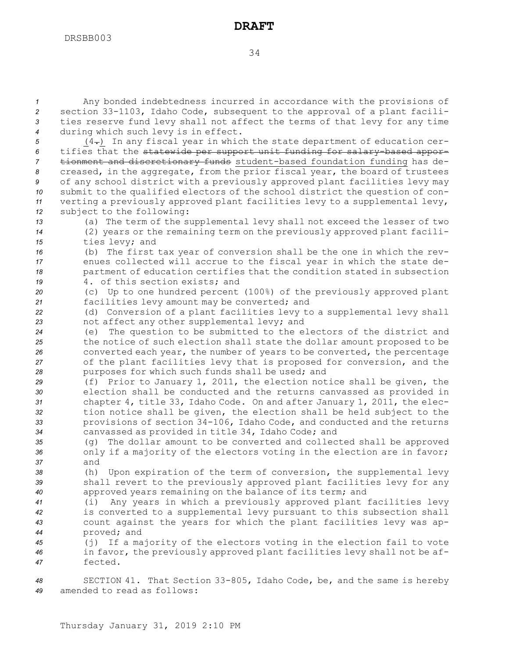Any bonded indebtedness incurred in accordance with the provisions of section 33-1103, Idaho Code, subsequent to the approval of <sup>a</sup> plant facili- ties reserve fund levy shall not affect the terms of that levy for any time during which such levy is in effect.

 (4.) In any fiscal year in which the state department of education cer- tifies that the statewide per support unit funding for salary-based appor- tionment and discretionary funds student-based foundation funding has de- creased, in the aggregate, from the prior fiscal year, the board of trustees of any school district with <sup>a</sup> previously approved plant facilities levy may submit to the qualified electors of the school district the question of con- verting <sup>a</sup> previously approved plant facilities levy to <sup>a</sup> supplemental levy, subject to the following:

*<sup>13</sup>* (a) The term of the supplemental levy shall not exceed the lesser of two *<sup>14</sup>* (2) years or the remaining term on the previously approved plant facili-*<sup>15</sup>* ties levy; and

*<sup>16</sup>* (b) The first tax year of conversion shall be the one in which the rev-*<sup>17</sup>* enues collected will accrue to the fiscal year in which the state de-*<sup>18</sup>* partment of education certifies that the condition stated in subsection

*19* 4. of this section exists; and

*<sup>20</sup>* (c) Up to one hundred percent (100%) of the previously approved plant *<sup>21</sup>* facilities levy amount may be converted; and

*<sup>22</sup>* (d) Conversion of <sup>a</sup> plant facilities levy to <sup>a</sup> supplemental levy shall *<sup>23</sup>* not affect any other supplemental levy; and

 (e) The question to be submitted to the electors of the district and the notice of such election shall state the dollar amount proposed to be converted each year, the number of years to be converted, the percentage of the plant facilities levy that is proposed for conversion, and the purposes for which such funds shall be used; and

 (f) Prior to January 1, 2011, the election notice shall be given, the election shall be conducted and the returns canvassed as provided in chapter 4, title 33, Idaho Code. On and after January 1, 2011, the elec- tion notice shall be given, the election shall be held subject to the provisions of section 34-106, Idaho Code, and conducted and the returns canvassed as provided in title 34, Idaho Code; and

*<sup>35</sup>* (g) The dollar amount to be converted and collected shall be approved *<sup>36</sup>* only if <sup>a</sup> majority of the electors voting in the election are in favor; *37* and

*<sup>38</sup>* (h) Upon expiration of the term of conversion, the supplemental levy *<sup>39</sup>* shall revert to the previously approved plant facilities levy for any *<sup>40</sup>* approved years remaining on the balance of its term; and

 (i) Any years in which <sup>a</sup> previously approved plant facilities levy is converted to <sup>a</sup> supplemental levy pursuant to this subsection shall count against the years for which the plant facilities levy was ap-proved; and

*<sup>45</sup>* (j) If <sup>a</sup> majority of the electors voting in the election fail to vote *<sup>46</sup>* in favor, the previously approved plant facilities levy shall not be af-*47* fected.

*<sup>48</sup>* SECTION 41. That Section 33-805, Idaho Code, be, and the same is hereby *49* amended to read as follows: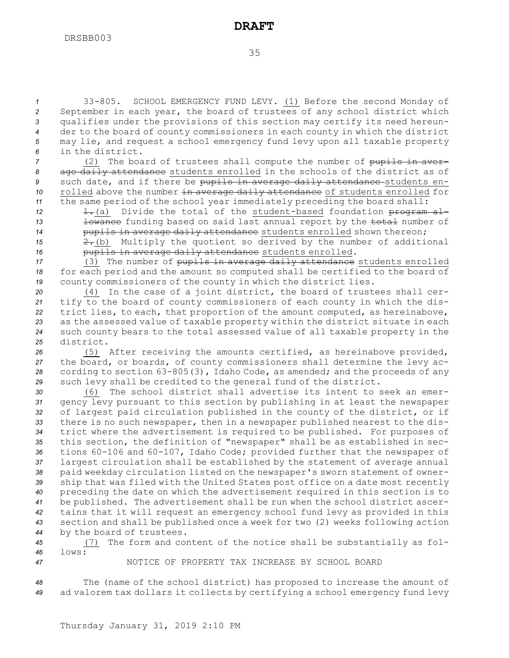33-805. SCHOOL EMERGENCY FUND LEVY. (1) Before the second Monday of September in each year, the board of trustees of any school district which qualifies under the provisions of this section may certify its need hereun- der to the board of county commissioners in each county in which the district may lie, and request <sup>a</sup> school emergency fund levy upon all taxable property in the district.

 (2) The board of trustees shall compute the number of pupils in aver- age daily attendance students enrolled in the schools of the district as of such date, and if there be pupils in average daily attendance students en-10 rolled above the number in average daily attendance of students enrolled for the same period of the school year immediately preceding the board shall:

12 1.(a) Divide the total of the student-based foundation program al-13 **lowance** funding based on said last annual report by the total number of 14 **pupils in average daily attendance** students enrolled shown thereon;

*<sup>15</sup>* 2.(b) Multiply the quotient so derived by the number of additional *<sup>16</sup>* pupils in average daily attendance students enrolled.

17 (3) The number of pupils in average daily attendance students enrolled *<sup>18</sup>* for each period and the amount so computed shall be certified to the board of *<sup>19</sup>* county commissioners of the county in which the district lies.

 (4) In the case of <sup>a</sup> joint district, the board of trustees shall cer- tify to the board of county commissioners of each county in which the dis- trict lies, to each, that proportion of the amount computed, as hereinabove, as the assessed value of taxable property within the district situate in each such county bears to the total assessed value of all taxable property in the district.

 (5) After receiving the amounts certified, as hereinabove provided, the board, or boards, of county commissioners shall determine the levy ac- cording to section 63-805(3), Idaho Code, as amended; and the proceeds of any such levy shall be credited to the general fund of the district.

 (6) The school district shall advertise its intent to seek an emer- gency levy pursuant to this section by publishing in at least the newspaper of largest paid circulation published in the county of the district, or if there is no such newspaper, then in <sup>a</sup> newspaper published nearest to the dis- trict where the advertisement is required to be published. For purposes of this section, the definition of "newspaper" shall be as established in sec- tions 60-106 and 60-107, Idaho Code; provided further that the newspaper of largest circulation shall be established by the statement of average annual paid weekday circulation listed on the newspaper's sworn statement of owner- ship that was filed with the United States post office on <sup>a</sup> date most recently preceding the date on which the advertisement required in this section is to be published. The advertisement shall be run when the school district ascer- tains that it will request an emergency school fund levy as provided in this section and shall be published once <sup>a</sup> week for two (2) weeks following action by the board of trustees.

*<sup>45</sup>* (7) The form and content of the notice shall be substantially as fol-*46* lows:

*47* NOTICE OF PROPERTY TAX INCREASE BY SCHOOL BOARD

*<sup>48</sup>* The (name of the school district) has proposed to increase the amount of *<sup>49</sup>* ad valorem tax dollars it collects by certifying <sup>a</sup> school emergency fund levy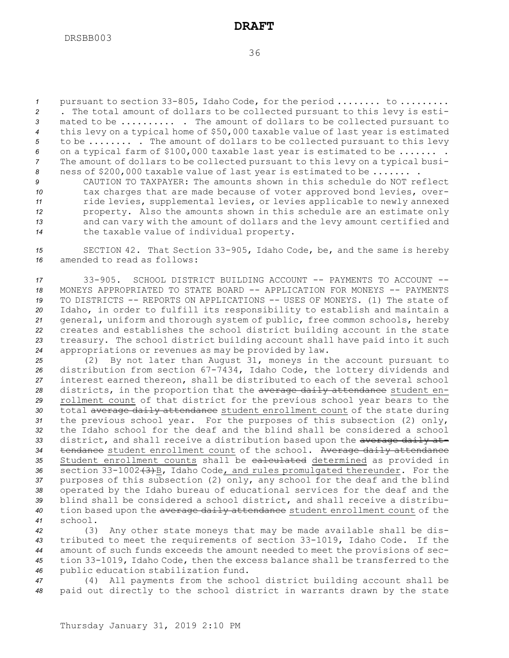pursuant to section 33-805, Idaho Code, for the period ........ to ......... . The total amount of dollars to be collected pursuant to this levy is esti- mated to be .......... . The amount of dollars to be collected pursuant to this levy on <sup>a</sup> typical home of \$50,000 taxable value of last year is estimated to be ........ . The amount of dollars to be collected pursuant to this levy on <sup>a</sup> typical farm of \$100,000 taxable last year is estimated to be ....... . The amount of dollars to be collected pursuant to this levy on <sup>a</sup> typical busi-ness of \$200,000 taxable value of last year is estimated to be ....... .

 CAUTION TO TAXPAYER: The amounts shown in this schedule do NOT reflect tax charges that are made because of voter approved bond levies, over- ride levies, supplemental levies, or levies applicable to newly annexed property. Also the amounts shown in this schedule are an estimate only and can vary with the amount of dollars and the levy amount certified and the taxable value of individual property.

*<sup>15</sup>* SECTION 42. That Section 33-905, Idaho Code, be, and the same is hereby *16* amended to read as follows:

 33-905. SCHOOL DISTRICT BUILDING ACCOUNT -- PAYMENTS TO ACCOUNT -- MONEYS APPROPRIATED TO STATE BOARD -- APPLICATION FOR MONEYS -- PAYMENTS TO DISTRICTS -- REPORTS ON APPLICATIONS -- USES OF MONEYS. (1) The state of Idaho, in order to fulfill its responsibility to establish and maintain <sup>a</sup> general, uniform and thorough system of public, free common schools, hereby creates and establishes the school district building account in the state treasury. The school district building account shall have paid into it such appropriations or revenues as may be provided by law.

 (2) By not later than August 31, moneys in the account pursuant to distribution from section 67-7434, Idaho Code, the lottery dividends and interest earned thereon, shall be distributed to each of the several school districts, in the proportion that the average daily attendance student en- rollment count of that district for the previous school year bears to the 30 total average daily attendance student enrollment count of the state during the previous school year. For the purposes of this subsection (2) only, the Idaho school for the deaf and the blind shall be considered <sup>a</sup> school district, and shall receive <sup>a</sup> distribution based upon the average daily at- tendance student enrollment count of the school. Average daily attendance Student enrollment counts shall be calculated determined as provided in 36 section 33-1002 (3) B, Idaho Code, and rules promulgated thereunder. For the purposes of this subsection (2) only, any school for the deaf and the blind operated by the Idaho bureau of educational services for the deaf and the blind shall be considered <sup>a</sup> school district, and shall receive <sup>a</sup> distribu- tion based upon the average daily attendance student enrollment count of the *41* school.

 (3) Any other state moneys that may be made available shall be dis- tributed to meet the requirements of section 33-1019, Idaho Code. If the amount of such funds exceeds the amount needed to meet the provisions of sec- tion 33-1019, Idaho Code, then the excess balance shall be transferred to the public education stabilization fund.

*<sup>47</sup>* (4) All payments from the school district building account shall be *<sup>48</sup>* paid out directly to the school district in warrants drawn by the state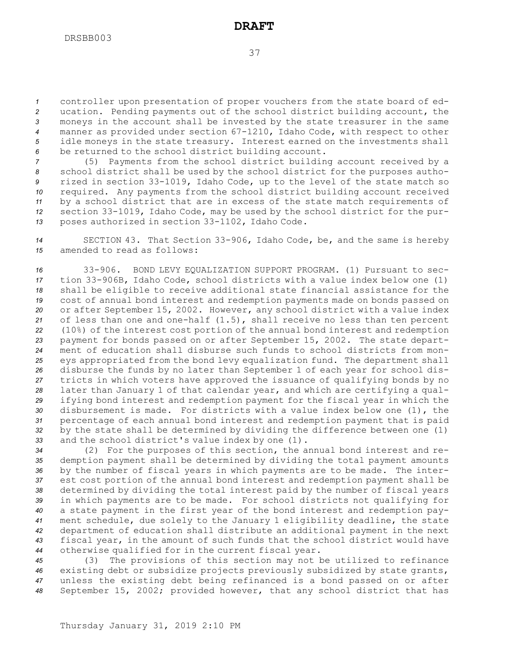controller upon presentation of proper vouchers from the state board of ed- ucation. Pending payments out of the school district building account, the moneys in the account shall be invested by the state treasurer in the same manner as provided under section 67-1210, Idaho Code, with respect to other idle moneys in the state treasury. Interest earned on the investments shall be returned to the school district building account.

 (5) Payments from the school district building account received by <sup>a</sup> school district shall be used by the school district for the purposes autho- rized in section 33-1019, Idaho Code, up to the level of the state match so required. Any payments from the school district building account received by <sup>a</sup> school district that are in excess of the state match requirements of section 33-1019, Idaho Code, may be used by the school district for the pur-poses authorized in section 33-1102, Idaho Code.

*<sup>14</sup>* SECTION 43. That Section 33-906, Idaho Code, be, and the same is hereby *15* amended to read as follows:

 33-906. BOND LEVY EQUALIZATION SUPPORT PROGRAM. (1) Pursuant to sec- tion 33-906B, Idaho Code, school districts with <sup>a</sup> value index below one (1) shall be eligible to receive additional state financial assistance for the cost of annual bond interest and redemption payments made on bonds passed on or after September 15, 2002. However, any school district with <sup>a</sup> value index of less than one and one-half (1.5), shall receive no less than ten percent (10%) of the interest cost portion of the annual bond interest and redemption payment for bonds passed on or after September 15, 2002. The state depart- ment of education shall disburse such funds to school districts from mon- eys appropriated from the bond levy equalization fund. The department shall disburse the funds by no later than September 1 of each year for school dis- tricts in which voters have approved the issuance of qualifying bonds by no later than January 1 of that calendar year, and which are certifying <sup>a</sup> qual- ifying bond interest and redemption payment for the fiscal year in which the disbursement is made. For districts with <sup>a</sup> value index below one (1), the percentage of each annual bond interest and redemption payment that is paid by the state shall be determined by dividing the difference between one (1) and the school district's value index by one (1).

 (2) For the purposes of this section, the annual bond interest and re- demption payment shall be determined by dividing the total payment amounts by the number of fiscal years in which payments are to be made. The inter- est cost portion of the annual bond interest and redemption payment shall be determined by dividing the total interest paid by the number of fiscal years in which payments are to be made. For school districts not qualifying for <sup>a</sup> state payment in the first year of the bond interest and redemption pay- ment schedule, due solely to the January 1 eligibility deadline, the state department of education shall distribute an additional payment in the next fiscal year, in the amount of such funds that the school district would have otherwise qualified for in the current fiscal year.

 (3) The provisions of this section may not be utilized to refinance existing debt or subsidize projects previously subsidized by state grants, unless the existing debt being refinanced is <sup>a</sup> bond passed on or after September 15, 2002; provided however, that any school district that has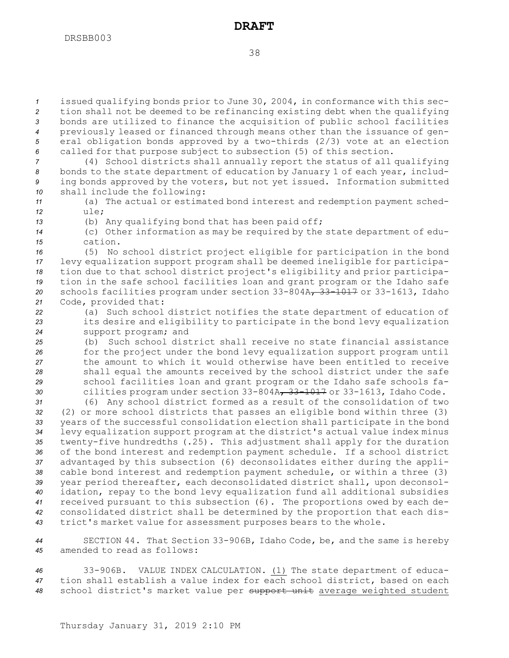issued qualifying bonds prior to June 30, 2004, in conformance with this sec- tion shall not be deemed to be refinancing existing debt when the qualifying bonds are utilized to finance the acquisition of public school facilities previously leased or financed through means other than the issuance of gen- eral obligation bonds approved by <sup>a</sup> two-thirds (2/3) vote at an election called for that purpose subject to subsection (5) of this section. (4) School districts shall annually report the status of all qualifying

*<sup>8</sup>* bonds to the state department of education by January 1 of each year, includ-*<sup>9</sup>* ing bonds approved by the voters, but not yet issued. Information submitted *<sup>10</sup>* shall include the following:

*<sup>11</sup>* (a) The actual or estimated bond interest and redemption payment sched-*12* ule;

*<sup>13</sup>* (b) Any qualifying bond that has been paid off;

*<sup>14</sup>* (c) Other information as may be required by the state department of edu-*15* cation.

 (5) No school district project eligible for participation in the bond levy equalization support program shall be deemed ineligible for participa- tion due to that school district project's eligibility and prior participa- tion in the safe school facilities loan and grant program or the Idaho safe schools facilities program under section 33-804A, 33-1017 or 33-1613, Idaho Code, provided that:

*<sup>22</sup>* (a) Such school district notifies the state department of education of *<sup>23</sup>* its desire and eligibility to participate in the bond levy equalization *<sup>24</sup>* support program; and

 (b) Such school district shall receive no state financial assistance for the project under the bond levy equalization support program until the amount to which it would otherwise have been entitled to receive shall equal the amounts received by the school district under the safe school facilities loan and grant program or the Idaho safe schools fa-cilities program under section 33-804A, 33-1017 or 33-1613, Idaho Code.

 (6) Any school district formed as <sup>a</sup> result of the consolidation of two (2) or more school districts that passes an eligible bond within three (3) years of the successful consolidation election shall participate in the bond levy equalization support program at the district's actual value index minus twenty-five hundredths (.25). This adjustment shall apply for the duration of the bond interest and redemption payment schedule. If <sup>a</sup> school district advantaged by this subsection (6) deconsolidates either during the appli- cable bond interest and redemption payment schedule, or within <sup>a</sup> three (3) year period thereafter, each deconsolidated district shall, upon deconsol- idation, repay to the bond levy equalization fund all additional subsidies received pursuant to this subsection (6). The proportions owed by each de- consolidated district shall be determined by the proportion that each dis-trict's market value for assessment purposes bears to the whole.

*<sup>44</sup>* SECTION 44. That Section 33-906B, Idaho Code, be, and the same is hereby *45* amended to read as follows:

*<sup>46</sup>* 33-906B. VALUE INDEX CALCULATION. (1) The state department of educa-*<sup>47</sup>* tion shall establish <sup>a</sup> value index for each school district, based on each *<sup>48</sup>* school district's market value per support unit average weighted student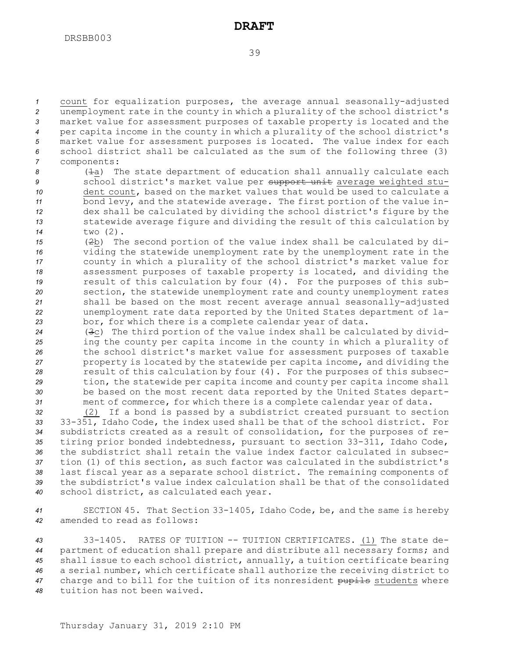count for equalization purposes, the average annual seasonally-adjusted unemployment rate in the county in which <sup>a</sup> plurality of the school district's market value for assessment purposes of taxable property is located and the per capita income in the county in which <sup>a</sup> plurality of the school district's market value for assessment purposes is located. The value index for each school district shall be calculated as the sum of the following three (3) components:

- 8 ( $\pm$ a) The state department of education shall annually calculate each *<sup>9</sup>* school district's market value per support unit average weighted stu-*10* dent count, based on the market values that would be used to calculate <sup>a</sup> *<sup>11</sup>* bond levy, and the statewide average. The first portion of the value in-*<sup>12</sup>* dex shall be calculated by dividing the school district's figure by the *<sup>13</sup>* statewide average figure and dividing the result of this calculation by *<sup>14</sup>* two (2).
- *<sup>15</sup>* (2b) The second portion of the value index shall be calculated by di-*<sup>16</sup>* viding the statewide unemployment rate by the unemployment rate in the *<sup>17</sup>* county in which <sup>a</sup> plurality of the school district's market value for *<sup>18</sup>* assessment purposes of taxable property is located, and dividing the *<sup>19</sup>* result of this calculation by four (4). For the purposes of this sub-*<sup>20</sup>* section, the statewide unemployment rate and county unemployment rates *<sup>21</sup>* shall be based on the most recent average annual seasonally-adjusted *<sup>22</sup>* unemployment rate data reported by the United States department of la-*<sup>23</sup>* bor, for which there is <sup>a</sup> complete calendar year of data.
- *<sup>24</sup>* (3c) The third portion of the value index shall be calculated by divid-*<sup>25</sup>* ing the county per capita income in the county in which <sup>a</sup> plurality of *<sup>26</sup>* the school district's market value for assessment purposes of taxable *<sup>27</sup>* property is located by the statewide per capita income, and dividing the *<sup>28</sup>* result of this calculation by four (4). For the purposes of this subsec-*<sup>29</sup>* tion, the statewide per capita income and county per capita income shall *<sup>30</sup>* be based on the most recent data reported by the United States depart-*<sup>31</sup>* ment of commerce, for which there is <sup>a</sup> complete calendar year of data.

 (2) If <sup>a</sup> bond is passed by <sup>a</sup> subdistrict created pursuant to section 33-351, Idaho Code, the index used shall be that of the school district. For subdistricts created as <sup>a</sup> result of consolidation, for the purposes of re- tiring prior bonded indebtedness, pursuant to section 33-311, Idaho Code, the subdistrict shall retain the value index factor calculated in subsec- tion (1) of this section, as such factor was calculated in the subdistrict's last fiscal year as <sup>a</sup> separate school district. The remaining components of the subdistrict's value index calculation shall be that of the consolidated school district, as calculated each year.

*<sup>41</sup>* SECTION 45. That Section 33-1405, Idaho Code, be, and the same is hereby *42* amended to read as follows:

 33-1405. RATES OF TUITION -- TUITION CERTIFICATES. (1) The state de- partment of education shall prepare and distribute all necessary forms; and shall issue to each school district, annually, <sup>a</sup> tuition certificate bearing <sup>a</sup> serial number, which certificate shall authorize the receiving district to charge and to bill for the tuition of its nonresident pupils students where tuition has not been waived.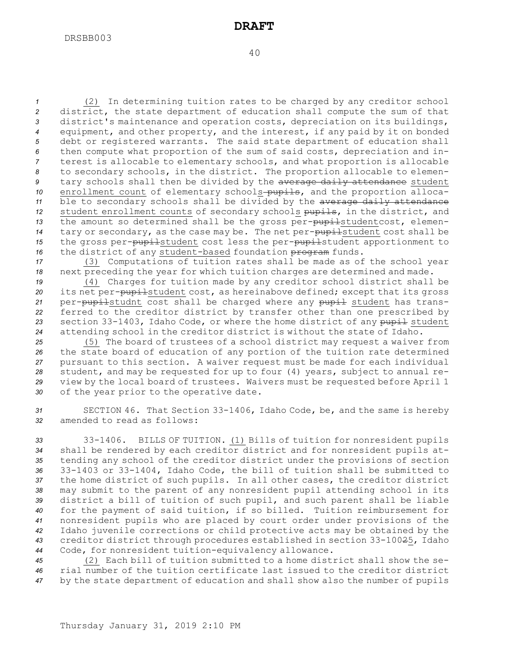(2) In determining tuition rates to be charged by any creditor school district, the state department of education shall compute the sum of that district's maintenance and operation costs, depreciation on its buildings, equipment, and other property, and the interest, if any paid by it on bonded debt or registered warrants. The said state department of education shall then compute what proportion of the sum of said costs, depreciation and in- terest is allocable to elementary schools, and what proportion is allocable to secondary schools, in the district. The proportion allocable to elemen- tary schools shall then be divided by the average daily attendance student 10 enrollment count of elementary schools-pupils, and the proportion alloca- ble to secondary schools shall be divided by the average daily attendance student enrollment counts of secondary schools pupils, in the district, and the amount so determined shall be the gross per-pupilstudentcost, elemen-14 tary or secondary, as the case may be. The net per-pupilstudent cost shall be 15 the gross per-pupilstudent cost less the per-pupilstudent apportionment to 16 the district of any student-based foundation program funds.

*<sup>17</sup>* (3) Computations of tuition rates shall be made as of the school year *<sup>18</sup>* next preceding the year for which tuition charges are determined and made.

 (4) Charges for tuition made by any creditor school district shall be 20 its net per-pupilstudent cost, as hereinabove defined; except that its gross per-pupilstudnt cost shall be charged where any pupil student has trans- ferred to the creditor district by transfer other than one prescribed by section 33-1403, Idaho Code, or where the home district of any pupil student attending school in the creditor district is without the state of Idaho.

 (5) The board of trustees of <sup>a</sup> school district may request <sup>a</sup> waiver from the state board of education of any portion of the tuition rate determined pursuant to this section. <sup>A</sup> waiver request must be made for each individual student, and may be requested for up to four (4) years, subject to annual re- view by the local board of trustees. Waivers must be requested before April 1 of the year prior to the operative date.

*<sup>31</sup>* SECTION 46. That Section 33-1406, Idaho Code, be, and the same is hereby *32* amended to read as follows:

 33-1406. BILLS OF TUITION. (1) Bills of tuition for nonresident pupils shall be rendered by each creditor district and for nonresident pupils at- tending any school of the creditor district under the provisions of section 33-1403 or 33-1404, Idaho Code, the bill of tuition shall be submitted to the home district of such pupils. In all other cases, the creditor district may submit to the parent of any nonresident pupil attending school in its district <sup>a</sup> bill of tuition of such pupil, and such parent shall be liable for the payment of said tuition, if so billed. Tuition reimbursement for nonresident pupils who are placed by court order under provisions of the Idaho juvenile corrections or child protective acts may be obtained by the creditor district through procedures established in section 33-10025, Idaho Code, for nonresident tuition-equivalency allowance.

*<sup>45</sup>* (2) Each bill of tuition submitted to <sup>a</sup> home district shall show the se-*46* rial number of the tuition certificate last issued to the creditor district *<sup>47</sup>* by the state department of education and shall show also the number of pupils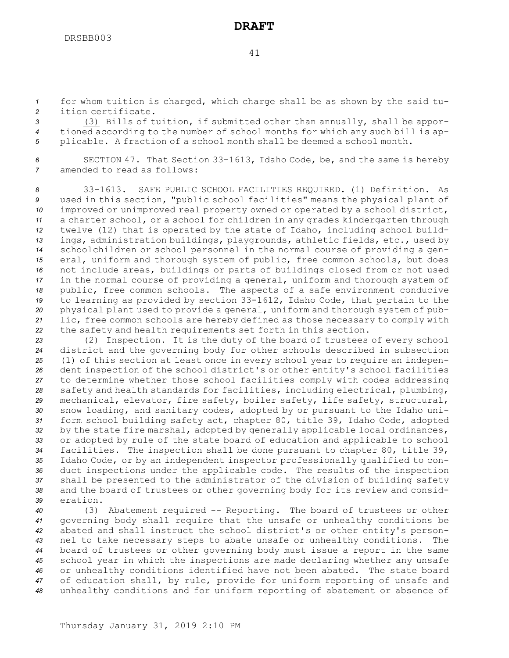*<sup>1</sup>* for whom tuition is charged, which charge shall be as shown by the said tu-*2* ition certificate.

*<sup>3</sup>* (3) Bills of tuition, if submitted other than annually, shall be appor-*<sup>4</sup>* tioned according to the number of school months for which any such bill is ap-*<sup>5</sup>* plicable. <sup>A</sup> fraction of <sup>a</sup> school month shall be deemed <sup>a</sup> school month.

*<sup>6</sup>* SECTION 47. That Section 33-1613, Idaho Code, be, and the same is hereby *7* amended to read as follows:

 33-1613. SAFE PUBLIC SCHOOL FACILITIES REQUIRED. (1) Definition. As used in this section, "public school facilities" means the physical plant of improved or unimproved real property owned or operated by <sup>a</sup> school district, <sup>a</sup> charter school, or <sup>a</sup> school for children in any grades kindergarten through twelve (12) that is operated by the state of Idaho, including school build- ings, administration buildings, playgrounds, athletic fields, etc., used by schoolchildren or school personnel in the normal course of providing <sup>a</sup> gen- eral, uniform and thorough system of public, free common schools, but does not include areas, buildings or parts of buildings closed from or not used in the normal course of providing <sup>a</sup> general, uniform and thorough system of public, free common schools. The aspects of <sup>a</sup> safe environment conducive to learning as provided by section 33-1612, Idaho Code, that pertain to the physical plant used to provide <sup>a</sup> general, uniform and thorough system of pub- lic, free common schools are hereby defined as those necessary to comply with the safety and health requirements set forth in this section.

 (2) Inspection. It is the duty of the board of trustees of every school district and the governing body for other schools described in subsection (1) of this section at least once in every school year to require an indepen- dent inspection of the school district's or other entity's school facilities to determine whether those school facilities comply with codes addressing safety and health standards for facilities, including electrical, plumbing, mechanical, elevator, fire safety, boiler safety, life safety, structural, snow loading, and sanitary codes, adopted by or pursuant to the Idaho uni- form school building safety act, chapter 80, title 39, Idaho Code, adopted by the state fire marshal, adopted by generally applicable local ordinances, or adopted by rule of the state board of education and applicable to school facilities. The inspection shall be done pursuant to chapter 80, title 39, Idaho Code, or by an independent inspector professionally qualified to con- duct inspections under the applicable code. The results of the inspection shall be presented to the administrator of the division of building safety and the board of trustees or other governing body for its review and consid-*39* eration.

 (3) Abatement required -- Reporting. The board of trustees or other governing body shall require that the unsafe or unhealthy conditions be abated and shall instruct the school district's or other entity's person- nel to take necessary steps to abate unsafe or unhealthy conditions. The board of trustees or other governing body must issue <sup>a</sup> report in the same school year in which the inspections are made declaring whether any unsafe or unhealthy conditions identified have not been abated. The state board of education shall, by rule, provide for uniform reporting of unsafe and unhealthy conditions and for uniform reporting of abatement or absence of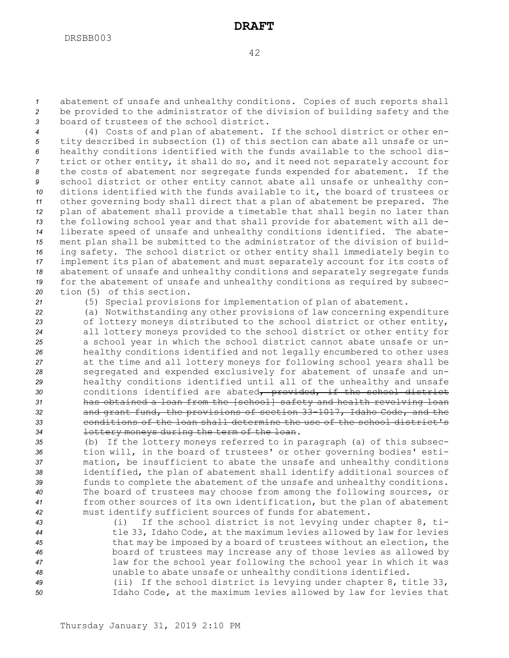*<sup>1</sup>* abatement of unsafe and unhealthy conditions. Copies of such reports shall *<sup>2</sup>* be provided to the administrator of the division of building safety and the *3* board of trustees of the school district.

 (4) Costs of and plan of abatement. If the school district or other en- tity described in subsection (1) of this section can abate all unsafe or un- healthy conditions identified with the funds available to the school dis- trict or other entity, it shall do so, and it need not separately account for the costs of abatement nor segregate funds expended for abatement. If the school district or other entity cannot abate all unsafe or unhealthy con- ditions identified with the funds available to it, the board of trustees or other governing body shall direct that <sup>a</sup> plan of abatement be prepared. The plan of abatement shall provide <sup>a</sup> timetable that shall begin no later than the following school year and that shall provide for abatement with all de- liberate speed of unsafe and unhealthy conditions identified. The abate- ment plan shall be submitted to the administrator of the division of build- ing safety. The school district or other entity shall immediately begin to implement its plan of abatement and must separately account for its costs of abatement of unsafe and unhealthy conditions and separately segregate funds for the abatement of unsafe and unhealthy conditions as required by subsec-tion (5) of this section.

*<sup>21</sup>* (5) Special provisions for implementation of plan of abatement.

 (a) Notwithstanding any other provisions of law concerning expenditure of lottery moneys distributed to the school district or other entity, all lottery moneys provided to the school district or other entity for <sup>a</sup> school year in which the school district cannot abate unsafe or un- healthy conditions identified and not legally encumbered to other uses at the time and all lottery moneys for following school years shall be segregated and expended exclusively for abatement of unsafe and un- healthy conditions identified until all of the unhealthy and unsafe conditions identified are abated, provided, if the school district has obtained <sup>a</sup> loan from the [school] safety and health revolving loan and grant fund, the provisions of section 33-1017, Idaho Code, and the conditions of the loan shall determine the use of the school district's lottery moneys during the term of the loan.

 (b) If the lottery moneys referred to in paragraph (a) of this subsec- tion will, in the board of trustees' or other governing bodies' esti- mation, be insufficient to abate the unsafe and unhealthy conditions identified, the plan of abatement shall identify additional sources of funds to complete the abatement of the unsafe and unhealthy conditions. The board of trustees may choose from among the following sources, or from other sources of its own identification, but the plan of abatement must identify sufficient sources of funds for abatement.

 (i) If the school district is not levying under chapter 8, ti- tle 33, Idaho Code, at the maximum levies allowed by law for levies that may be imposed by <sup>a</sup> board of trustees without an election, the board of trustees may increase any of those levies as allowed by law for the school year following the school year in which it was unable to abate unsafe or unhealthy conditions identified.

*<sup>49</sup>* (ii) If the school district is levying under chapter 8, title 33, *<sup>50</sup>* Idaho Code, at the maximum levies allowed by law for levies that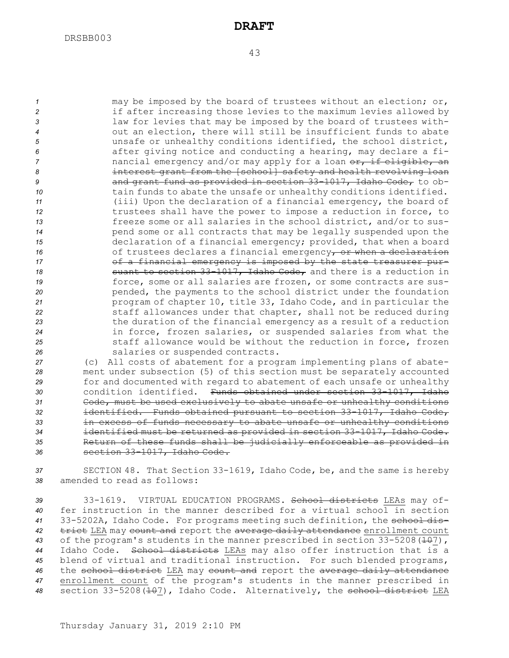#### 43

 may be imposed by the board of trustees without an election; or, **2 2** if after increasing those levies to the maximum levies allowed by law for levies that may be imposed by the board of trustees with- out an election, there will still be insufficient funds to abate unsafe or unhealthy conditions identified, the school district, after giving notice and conducting <sup>a</sup> hearing, may declare <sup>a</sup> fi- hancial emergency and/or may apply for a loan or, if eligible, an interest grant from the [school] safety and health revolving loan and grant fund as provided in section 33-1017, Idaho Code, to ob- tain funds to abate the unsafe or unhealthy conditions identified. (iii) Upon the declaration of <sup>a</sup> financial emergency, the board of trustees shall have the power to impose <sup>a</sup> reduction in force, to freeze some or all salaries in the school district, and/or to sus- pend some or all contracts that may be legally suspended upon the declaration of <sup>a</sup> financial emergency; provided, that when <sup>a</sup> board 16 of trustees declares a financial emergency, or when a declaration **17** of a financial emergency is imposed by the state treasurer pur-**Suant to section 33-1017, Idaho Code,** and there is a reduction in force, some or all salaries are frozen, or some contracts are sus-**pended, the payments to the school district under the foundation**  program of chapter 10, title 33, Idaho Code, and in particular the staff allowances under that chapter, shall not be reduced during the duration of the financial emergency as <sup>a</sup> result of <sup>a</sup> reduction in force, frozen salaries, or suspended salaries from what the staff allowance would be without the reduction in force, frozen salaries or suspended contracts.

 (c) All costs of abatement for <sup>a</sup> program implementing plans of abate- ment under subsection (5) of this section must be separately accounted for and documented with regard to abatement of each unsafe or unhealthy condition identified. Funds obtained under section 33-1017, Idaho Code, must be used exclusively to abate unsafe or unhealthy conditions identified. Funds obtained pursuant to section 33-1017, Idaho Code, in excess of funds necessary to abate unsafe or unhealthy conditions identified must be returned as provided in section 33-1017, Idaho Code. Return of these funds shall be judicially enforceable as provided in section 33-1017, Idaho Code.

*<sup>37</sup>* SECTION 48. That Section 33-1619, Idaho Code, be, and the same is hereby *38* amended to read as follows:

 33-1619. VIRTUAL EDUCATION PROGRAMS. School districts LEAs may of- fer instruction in the manner described for <sup>a</sup> virtual school in section 33-5202A, Idaho Code. For programs meeting such definition, the school dis- trict LEA may count and report the average daily attendance enrollment count 43 of the program's students in the manner prescribed in section 33-5208 (<del>10</del>7), Idaho Code. School districts LEAs may also offer instruction that is <sup>a</sup> blend of virtual and traditional instruction. For such blended programs, the school district LEA may count and report the average daily attendance enrollment count of the program's students in the manner prescribed in 48 section 33-5208 (<del>10</del>7), Idaho Code. Alternatively, the school district LEA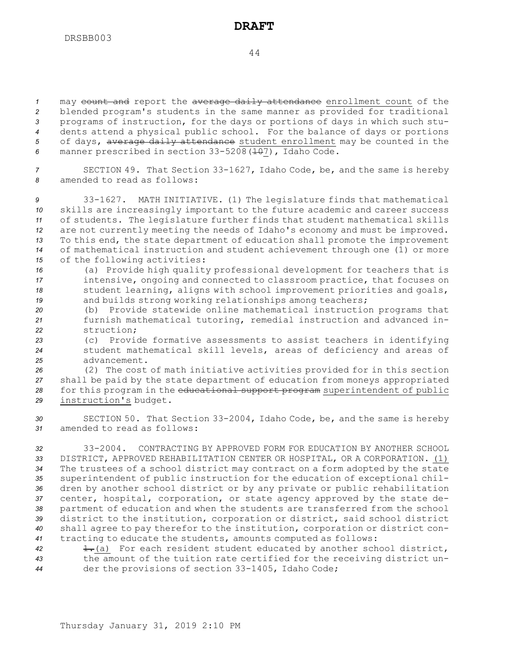44

 may count and report the average daily attendance enrollment count of the blended program's students in the same manner as provided for traditional programs of instruction, for the days or portions of days in which such stu- dents attend <sup>a</sup> physical public school. For the balance of days or portions of days, average daily attendance student enrollment may be counted in the 6 manner prescribed in section 33-5208 (107), Idaho Code.

*<sup>7</sup>* SECTION 49. That Section 33-1627, Idaho Code, be, and the same is hereby *8* amended to read as follows:

 33-1627. MATH INITIATIVE. (1) The legislature finds that mathematical skills are increasingly important to the future academic and career success of students. The legislature further finds that student mathematical skills are not currently meeting the needs of Idaho's economy and must be improved. To this end, the state department of education shall promote the improvement of mathematical instruction and student achievement through one (1) or more of the following activities:

 (a) Provide high quality professional development for teachers that is intensive, ongoing and connected to classroom practice, that focuses on student learning, aligns with school improvement priorities and goals, and builds strong working relationships among teachers;

*<sup>20</sup>* (b) Provide statewide online mathematical instruction programs that *<sup>21</sup>* furnish mathematical tutoring, remedial instruction and advanced in-*22* struction;

*<sup>23</sup>* (c) Provide formative assessments to assist teachers in identifying *<sup>24</sup>* student mathematical skill levels, areas of deficiency and areas of *25* advancement.

 (2) The cost of math initiative activities provided for in this section shall be paid by the state department of education from moneys appropriated for this program in the educational support program superintendent of public instruction's budget.

*<sup>30</sup>* SECTION 50. That Section 33-2004, Idaho Code, be, and the same is hereby *31* amended to read as follows:

 33-2004. CONTRACTING BY APPROVED FORM FOR EDUCATION BY ANOTHER SCHOOL DISTRICT, APPROVED REHABILITATION CENTER OR HOSPITAL, OR A CORPORATION. (1) The trustees of <sup>a</sup> school district may contract on <sup>a</sup> form adopted by the state superintendent of public instruction for the education of exceptional chil- dren by another school district or by any private or public rehabilitation center, hospital, corporation, or state agency approved by the state de- partment of education and when the students are transferred from the school district to the institution, corporation or district, said school district shall agree to pay therefor to the institution, corporation or district con-tracting to educate the students, amounts computed as follows:

42 **1.**(a) For each resident student educated by another school district, *<sup>43</sup>* the amount of the tuition rate certified for the receiving district un-*<sup>44</sup>* der the provisions of section 33-1405, Idaho Code;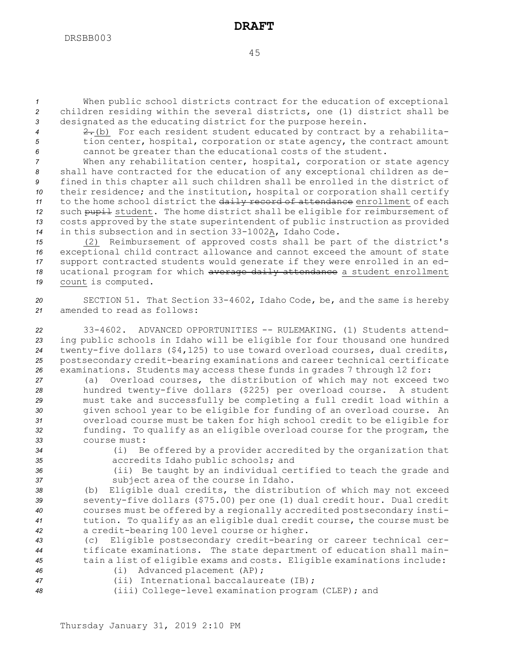*<sup>1</sup>* When public school districts contract for the education of exceptional *<sup>2</sup>* children residing within the several districts, one (1) district shall be *<sup>3</sup>* designated as the educating district for the purpose herein.

*<sup>4</sup>* 2.(b) For each resident student educated by contract by <sup>a</sup> rehabilita-*<sup>5</sup>* tion center, hospital, corporation or state agency, the contract amount *<sup>6</sup>* cannot be greater than the educational costs of the student.

 When any rehabilitation center, hospital, corporation or state agency shall have contracted for the education of any exceptional children as de- fined in this chapter all such children shall be enrolled in the district of their residence; and the institution, hospital or corporation shall certify to the home school district the daily record of attendance enrollment of each 12 such pupil student. The home district shall be eligible for reimbursement of costs approved by the state superintendent of public instruction as provided in this subsection and in section 33-1002A, Idaho Code.

 (2) Reimbursement of approved costs shall be part of the district's exceptional child contract allowance and cannot exceed the amount of state support contracted students would generate if they were enrolled in an ed-18 ucational program for which average daily attendance a student enrollment count is computed.

*<sup>20</sup>* SECTION 51. That Section 33-4602, Idaho Code, be, and the same is hereby *21* amended to read as follows:

 33-4602. ADVANCED OPPORTUNITIES -- RULEMAKING. (1) Students attend- ing public schools in Idaho will be eligible for four thousand one hundred twenty-five dollars (\$4,125) to use toward overload courses, dual credits, postsecondary credit-bearing examinations and career technical certificate examinations. Students may access these funds in grades 7 through 12 for:

 (a) Overload courses, the distribution of which may not exceed two hundred twenty-five dollars (\$225) per overload course. <sup>A</sup> student must take and successfully be completing <sup>a</sup> full credit load within <sup>a</sup> given school year to be eligible for funding of an overload course. An overload course must be taken for high school credit to be eligible for funding. To qualify as an eligible overload course for the program, the course must:

*<sup>34</sup>* (i) Be offered by <sup>a</sup> provider accredited by the organization that *<sup>35</sup>* accredits Idaho public schools; and

*<sup>36</sup>* (ii) Be taught by an individual certified to teach the grade and *<sup>37</sup>* subject area of the course in Idaho.

 (b) Eligible dual credits, the distribution of which may not exceed seventy-five dollars (\$75.00) per one (1) dual credit hour. Dual credit courses must be offered by <sup>a</sup> regionally accredited postsecondary insti- tution. To qualify as an eligible dual credit course, the course must be <sup>a</sup> credit-bearing 100 level course or higher.

*<sup>43</sup>* (c) Eligible postsecondary credit-bearing or career technical cer-*<sup>44</sup>* tificate examinations. The state department of education shall main-*<sup>45</sup>* tain <sup>a</sup> list of eligible exams and costs. Eligible examinations include:

*<sup>46</sup>* (i) Advanced placement (AP); *<sup>47</sup>* (ii) International baccalaureate (IB);

*<sup>48</sup>* (iii) College-level examination program (CLEP); and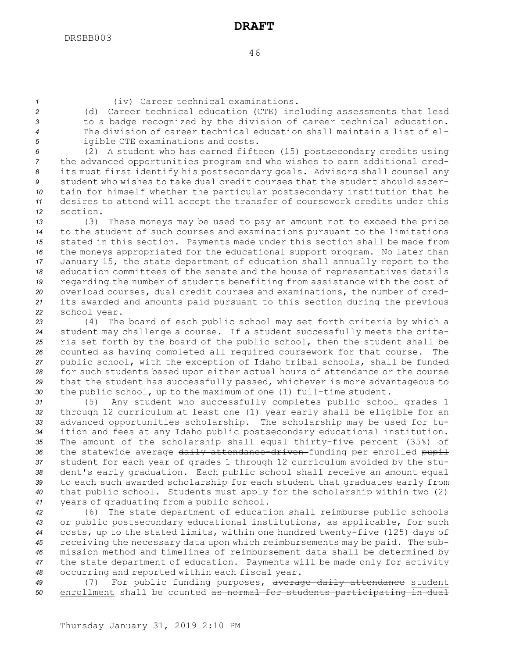*<sup>1</sup>* (iv) Career technical examinations.

 (d) Career technical education (CTE) including assessments that lead to <sup>a</sup> badge recognized by the division of career technical education. The division of career technical education shall maintain <sup>a</sup> list of el-igible CTE examinations and costs.

 (2) <sup>A</sup> student who has earned fifteen (15) postsecondary credits using the advanced opportunities program and who wishes to earn additional cred- its must first identify his postsecondary goals. Advisors shall counsel any student who wishes to take dual credit courses that the student should ascer- tain for himself whether the particular postsecondary institution that he desires to attend will accept the transfer of coursework credits under this *12* section.

 (3) These moneys may be used to pay an amount not to exceed the price to the student of such courses and examinations pursuant to the limitations stated in this section. Payments made under this section shall be made from the moneys appropriated for the educational support program. No later than January 15, the state department of education shall annually report to the education committees of the senate and the house of representatives details regarding the number of students benefiting from assistance with the cost of overload courses, dual credit courses and examinations, the number of cred- its awarded and amounts paid pursuant to this section during the previous school year.

 (4) The board of each public school may set forth criteria by which <sup>a</sup> student may challenge <sup>a</sup> course. If <sup>a</sup> student successfully meets the crite- ria set forth by the board of the public school, then the student shall be counted as having completed all required coursework for that course. The public school, with the exception of Idaho tribal schools, shall be funded for such students based upon either actual hours of attendance or the course that the student has successfully passed, whichever is more advantageous to the public school, up to the maximum of one (1) full-time student.

 (5) Any student who successfully completes public school grades 1 through 12 curriculum at least one (1) year early shall be eligible for an advanced opportunities scholarship. The scholarship may be used for tu- ition and fees at any Idaho public postsecondary educational institution. The amount of the scholarship shall equal thirty-five percent (35%) of 36 the statewide average daily attendance-driven-funding per enrolled pupil student for each year of grades 1 through 12 curriculum avoided by the stu- dent's early graduation. Each public school shall receive an amount equal to each such awarded scholarship for each student that graduates early from that public school. Students must apply for the scholarship within two (2) years of graduating from <sup>a</sup> public school.

 (6) The state department of education shall reimburse public schools or public postsecondary educational institutions, as applicable, for such costs, up to the stated limits, within one hundred twenty-five (125) days of receiving the necessary data upon which reimbursements may be paid. The sub- mission method and timelines of reimbursement data shall be determined by the state department of education. Payments will be made only for activity occurring and reported within each fiscal year.

*<sup>49</sup>* (7) For public funding purposes, average daily attendance student *<sup>50</sup>* enrollment shall be counted as normal for students participating in dual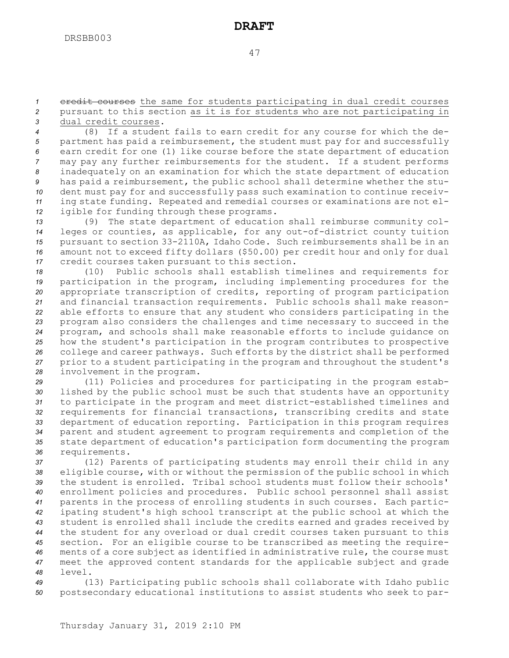*<sup>1</sup>* credit courses the same for students participating in dual credit courses *<sup>2</sup>* pursuant to this section as it is for students who are not participating in *3* dual credit courses.

 (8) If <sup>a</sup> student fails to earn credit for any course for which the de- partment has paid <sup>a</sup> reimbursement, the student must pay for and successfully earn credit for one (1) like course before the state department of education may pay any further reimbursements for the student. If <sup>a</sup> student performs inadequately on an examination for which the state department of education has paid <sup>a</sup> reimbursement, the public school shall determine whether the stu- dent must pay for and successfully pass such examination to continue receiv- ing state funding. Repeated and remedial courses or examinations are not el-igible for funding through these programs.

 (9) The state department of education shall reimburse community col- leges or counties, as applicable, for any out-of-district county tuition pursuant to section 33-2110A, Idaho Code. Such reimbursements shall be in an amount not to exceed fifty dollars (\$50.00) per credit hour and only for dual credit courses taken pursuant to this section.

 (10) Public schools shall establish timelines and requirements for participation in the program, including implementing procedures for the appropriate transcription of credits, reporting of program participation and financial transaction requirements. Public schools shall make reason- able efforts to ensure that any student who considers participating in the program also considers the challenges and time necessary to succeed in the program, and schools shall make reasonable efforts to include guidance on how the student's participation in the program contributes to prospective college and career pathways. Such efforts by the district shall be performed prior to <sup>a</sup> student participating in the program and throughout the student's involvement in the program.

 (11) Policies and procedures for participating in the program estab- lished by the public school must be such that students have an opportunity to participate in the program and meet district-established timelines and requirements for financial transactions, transcribing credits and state department of education reporting. Participation in this program requires parent and student agreement to program requirements and completion of the state department of education's participation form documenting the program requirements.

 (12) Parents of participating students may enroll their child in any eligible course, with or without the permission of the public school in which the student is enrolled. Tribal school students must follow their schools' enrollment policies and procedures. Public school personnel shall assist parents in the process of enrolling students in such courses. Each partic- ipating student's high school transcript at the public school at which the student is enrolled shall include the credits earned and grades received by the student for any overload or dual credit courses taken pursuant to this section. For an eligible course to be transcribed as meeting the require- ments of <sup>a</sup> core subject as identified in administrative rule, the course must meet the approved content standards for the applicable subject and grade *48* level.

*<sup>49</sup>* (13) Participating public schools shall collaborate with Idaho public *<sup>50</sup>* postsecondary educational institutions to assist students who seek to par-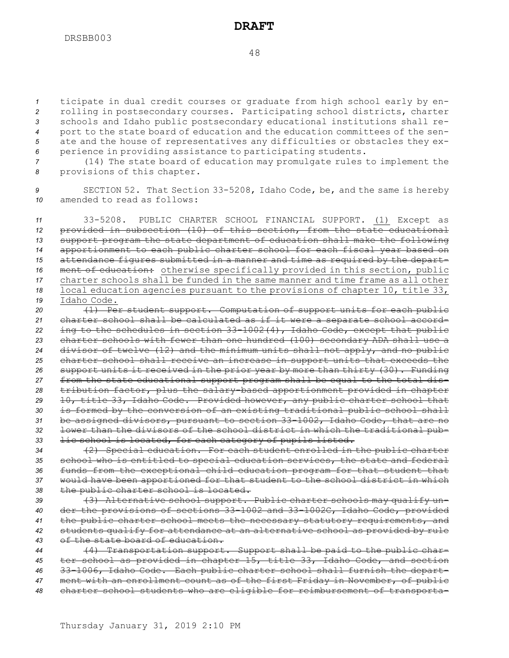ticipate in dual credit courses or graduate from high school early by en- rolling in postsecondary courses. Participating school districts, charter schools and Idaho public postsecondary educational institutions shall re- port to the state board of education and the education committees of the sen- ate and the house of representatives any difficulties or obstacles they ex-perience in providing assistance to participating students.

*<sup>7</sup>* (14) The state board of education may promulgate rules to implement the *<sup>8</sup>* provisions of this chapter.

*<sup>9</sup>* SECTION 52. That Section 33-5208, Idaho Code, be, and the same is hereby *10* amended to read as follows:

 33-5208. PUBLIC CHARTER SCHOOL FINANCIAL SUPPORT. (1) Except as provided in subsection (10) of this section, from the state educational support program the state department of education shall make the following apportionment to each public charter school for each fiscal year based on attendance figures submitted in <sup>a</sup> manner and time as required by the depart- ment of education: otherwise specifically provided in this section, public charter schools shall be funded in the same manner and time frame as all other local education agencies pursuant to the provisions of chapter 10, title 33, Idaho Code.

 (1) Per student support. Computation of support units for each public charter school shall be calculated as if it were <sup>a</sup> separate school accord- ing to the schedules in section 33-1002(4), Idaho Code, except that public charter schools with fewer than one hundred (100) secondary ADA shall use <sup>a</sup> divisor of twelve (12) and the minimum units shall not apply, and no public charter school shall receive an increase in support units that exceeds the support units it received in the prior year by more than thirty (30). Funding from the state educational support program shall be equal to the total dis- tribution factor, plus the salary-based apportionment provided in chapter 10, title 33, Idaho Code. Provided however, any public charter school that is formed by the conversion of an existing traditional public school shall be assigned divisors, pursuant to section 33-1002, Idaho Code, that are no lower than the divisors of the school district in which the traditional pub-lic school is located, for each category of pupils listed.

 (2) Special education. For each student enrolled in the public charter school who is entitled to special education services, the state and federal funds from the exceptional child education program for that student that would have been apportioned for that student to the school district in which the public charter school is located.

 (3) Alternative school support. Public charter schools may qualify un- der the provisions of sections 33-1002 and 33-1002C, Idaho Code, provided the public charter school meets the necessary statutory requirements, and students qualify for attendance at an alternative school as provided by rule of the state board of education.

 (4) Transportation support. Support shall be paid to the public char- ter school as provided in chapter 15, title 33, Idaho Code, and section 33-1006, Idaho Code. Each public charter school shall furnish the depart- ment with an enrollment count as of the first Friday in November, of public charter school students who are eligible for reimbursement of transporta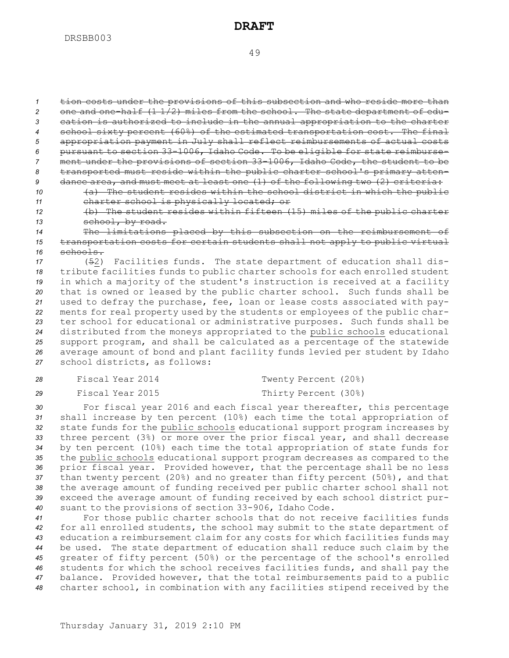tion costs under the provisions of this subsection and who reside more than one and one-half (1 1/2) miles from the school. The state department of edu- cation is authorized to include in the annual appropriation to the charter school sixty percent (60%) of the estimated transportation cost. The final appropriation payment in July shall reflect reimbursements of actual costs pursuant to section 33-1006, Idaho Code. To be eligible for state reimburse- ment under the provisions of section 33-1006, Idaho Code, the student to be transported must reside within the public charter school's primary atten-dance area, and must meet at least one (1) of the following two (2) criteria:

- *<sup>10</sup>* (a) The student resides within the school district in which the public *<sup>11</sup>* charter school is physically located; or
- *<sup>12</sup>* (b) The student resides within fifteen (15) miles of the public charter *<sup>13</sup>* school, by road.

*<sup>14</sup>* The limitations placed by this subsection on the reimbursement of *<sup>15</sup>* transportation costs for certain students shall not apply to public virtual *16* schools.

 (52) Facilities funds. The state department of education shall dis- tribute facilities funds to public charter schools for each enrolled student in which <sup>a</sup> majority of the student's instruction is received at <sup>a</sup> facility that is owned or leased by the public charter school. Such funds shall be used to defray the purchase, fee, loan or lease costs associated with pay- ments for real property used by the students or employees of the public char- ter school for educational or administrative purposes. Such funds shall be distributed from the moneys appropriated to the public schools educational support program, and shall be calculated as <sup>a</sup> percentage of the statewide average amount of bond and plant facility funds levied per student by Idaho school districts, as follows:

| 28 | Fiscal Year 2014 | Twenty Percent (20%) |
|----|------------------|----------------------|
| 29 | Fiscal Year 2015 | Thirty Percent (30%) |

 For fiscal year 2016 and each fiscal year thereafter, this percentage shall increase by ten percent (10%) each time the total appropriation of state funds for the public schools educational support program increases by three percent (3%) or more over the prior fiscal year, and shall decrease by ten percent (10%) each time the total appropriation of state funds for the public schools educational support program decreases as compared to the prior fiscal year. Provided however, that the percentage shall be no less than twenty percent (20%) and no greater than fifty percent (50%), and that the average amount of funding received per public charter school shall not exceed the average amount of funding received by each school district pur-suant to the provisions of section 33-906, Idaho Code.

 For those public charter schools that do not receive facilities funds for all enrolled students, the school may submit to the state department of education <sup>a</sup> reimbursement claim for any costs for which facilities funds may be used. The state department of education shall reduce such claim by the greater of fifty percent (50%) or the percentage of the school's enrolled students for which the school receives facilities funds, and shall pay the balance. Provided however, that the total reimbursements paid to <sup>a</sup> public charter school, in combination with any facilities stipend received by the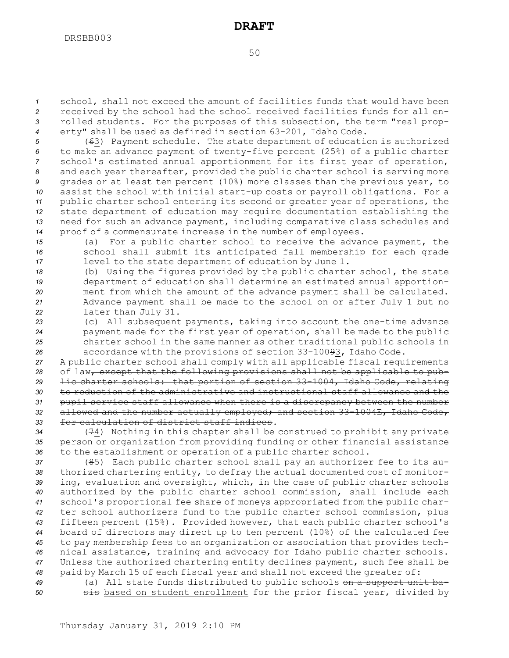school, shall not exceed the amount of facilities funds that would have been received by the school had the school received facilities funds for all en- rolled students. For the purposes of this subsection, the term "real prop-erty" shall be used as defined in section 63-201, Idaho Code.

 (63) Payment schedule. The state department of education is authorized to make an advance payment of twenty-five percent (25%) of <sup>a</sup> public charter school's estimated annual apportionment for its first year of operation, and each year thereafter, provided the public charter school is serving more grades or at least ten percent (10%) more classes than the previous year, to assist the school with initial start-up costs or payroll obligations. For <sup>a</sup> public charter school entering its second or greater year of operations, the

*<sup>12</sup>* state department of education may require documentation establishing the *<sup>13</sup>* need for such an advance payment, including comparative class schedules and *<sup>14</sup>* proof of <sup>a</sup> commensurate increase in the number of employees.

*<sup>15</sup>* (a) For <sup>a</sup> public charter school to receive the advance payment, the *<sup>16</sup>* school shall submit its anticipated fall membership for each grade *<sup>17</sup>* level to the state department of education by June 1.

 (b) Using the figures provided by the public charter school, the state department of education shall determine an estimated annual apportion- ment from which the amount of the advance payment shall be calculated. Advance payment shall be made to the school on or after July 1 but no later than July 31.

 (c) All subsequent payments, taking into account the one-time advance payment made for the first year of operation, shall be made to the public charter school in the same manner as other traditional public schools in accordance with the provisions of section 33-10093, Idaho Code.

 <sup>A</sup> public charter school shall comply with all applicable fiscal requirements of law, except that the following provisions shall not be applicable to pub- lic charter schools: that portion of section 33-1004, Idaho Code, relating to reduction of the administrative and instructional staff allowance and the pupil service staff allowance when there is <sup>a</sup> discrepancy between the number allowed and the number actually employed; and section 33-1004E, Idaho Code, for calculation of district staff indices.

*<sup>34</sup>* (74) Nothing in this chapter shall be construed to prohibit any private *<sup>35</sup>* person or organization from providing funding or other financial assistance *<sup>36</sup>* to the establishment or operation of <sup>a</sup> public charter school.

 (85) Each public charter school shall pay an authorizer fee to its au- thorized chartering entity, to defray the actual documented cost of monitor- ing, evaluation and oversight, which, in the case of public charter schools authorized by the public charter school commission, shall include each school's proportional fee share of moneys appropriated from the public char- ter school authorizers fund to the public charter school commission, plus fifteen percent (15%). Provided however, that each public charter school's board of directors may direct up to ten percent (10%) of the calculated fee to pay membership fees to an organization or association that provides tech- nical assistance, training and advocacy for Idaho public charter schools. Unless the authorized chartering entity declines payment, such fee shall be paid by March 15 of each fiscal year and shall not exceed the greater of:

*<sup>49</sup>* (a) All state funds distributed to public schools on <sup>a</sup> support unit ba-50 **51** sis based on student enrollment for the prior fiscal year, divided by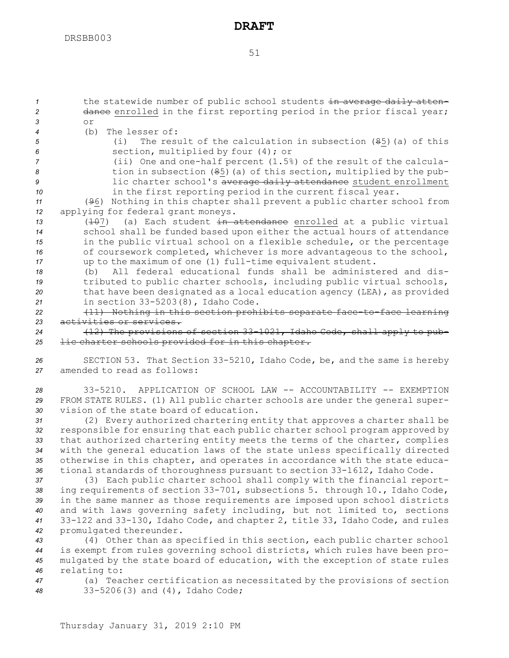1 the statewide number of public school students in average daily atten-2 dance enrolled in the first reporting period in the prior fiscal year; *3* or (b) The lesser of: (i) The result of the calculation in subsection (85)(a) of this section, multiplied by four (4); or (ii) One and one-half percent (1.5%) of the result of the calcula- tion in subsection (85)(a) of this section, multiplied by the pub- lic charter school's average daily attendance student enrollment **in the first reporting period in the current fiscal year.**  (96) Nothing in this chapter shall prevent <sup>a</sup> public charter school from applying for federal grant moneys. 13 (<del>10</del>7) (a) Each student in attendance enrolled at a public virtual school shall be funded based upon either the actual hours of attendance in the public virtual school on <sup>a</sup> flexible schedule, or the percentage of coursework completed, whichever is more advantageous to the school, up to the maximum of one (1) full-time equivalent student. (b) All federal educational funds shall be administered and dis- tributed to public charter schools, including public virtual schools, that have been designated as <sup>a</sup> local education agency (LEA), as provided in section 33-5203(8), Idaho Code. (11) Nothing in this section prohibits separate face-to-face learning activities or services. (12) The provisions of section 33-1021, Idaho Code, shall apply to pub-**lic charter schools provided for in this chapter.**  SECTION 53. That Section 33-5210, Idaho Code, be, and the same is hereby amended to read as follows: 33-5210. APPLICATION OF SCHOOL LAW -- ACCOUNTABILITY -- EXEMPTION FROM STATE RULES. (1) All public charter schools are under the general super- vision of the state board of education. (2) Every authorized chartering entity that approves <sup>a</sup> charter shall be

 responsible for ensuring that each public charter school program approved by that authorized chartering entity meets the terms of the charter, complies with the general education laws of the state unless specifically directed otherwise in this chapter, and operates in accordance with the state educa-tional standards of thoroughness pursuant to section 33-1612, Idaho Code.

 (3) Each public charter school shall comply with the financial report- ing requirements of section 33-701, subsections 5. through 10., Idaho Code, in the same manner as those requirements are imposed upon school districts and with laws governing safety including, but not limited to, sections 33-122 and 33-130, Idaho Code, and chapter 2, title 33, Idaho Code, and rules promulgated thereunder.

 (4) Other than as specified in this section, each public charter school is exempt from rules governing school districts, which rules have been pro- mulgated by the state board of education, with the exception of state rules relating to:

*<sup>47</sup>* (a) Teacher certification as necessitated by the provisions of section *<sup>48</sup>* 33-5206(3) and (4), Idaho Code;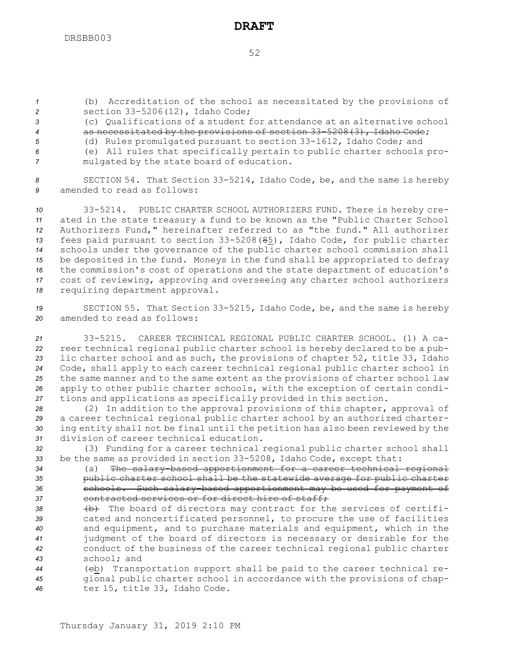*<sup>1</sup>* (b) Accreditation of the school as necessitated by the provisions of *<sup>2</sup>* section 33-5206(12), Idaho Code;

*3* (c) Qualifications of <sup>a</sup> student for attendance at an alternative school *<sup>4</sup>* as necessitated by the provisions of section 33-5208(3), Idaho Code;

*<sup>5</sup>* (d) Rules promulgated pursuant to section 33-1612, Idaho Code; and *<sup>6</sup>* (e) All rules that specifically pertain to public charter schools pro-

*<sup>7</sup>* mulgated by the state board of education.

*<sup>8</sup>* SECTION 54. That Section 33-5214, Idaho Code, be, and the same is hereby *9* amended to read as follows:

 33-5214. PUBLIC CHARTER SCHOOL AUTHORIZERS FUND. There is hereby cre- ated in the state treasury <sup>a</sup> fund to be known as the "Public Charter School Authorizers Fund," hereinafter referred to as "the fund." All authorizer fees paid pursuant to section 33-5208(85), Idaho Code, for public charter schools under the governance of the public charter school commission shall be deposited in the fund. Moneys in the fund shall be appropriated to defray the commission's cost of operations and the state department of education's cost of reviewing, approving and overseeing any charter school authorizers requiring department approval.

*<sup>19</sup>* SECTION 55. That Section 33-5215, Idaho Code, be, and the same is hereby *20* amended to read as follows:

 33-5215. CAREER TECHNICAL REGIONAL PUBLIC CHARTER SCHOOL. (1) A ca- reer technical regional public charter school is hereby declared to be <sup>a</sup> pub- lic charter school and as such, the provisions of chapter 52, title 33, Idaho Code, shall apply to each career technical regional public charter school in the same manner and to the same extent as the provisions of charter school law apply to other public charter schools, with the exception of certain condi-tions and applications as specifically provided in this section.

 (2) In addition to the approval provisions of this chapter, approval of <sup>a</sup> career technical regional public charter school by an authorized charter- ing entity shall not be final until the petition has also been reviewed by the division of career technical education.

*<sup>32</sup>* (3) Funding for <sup>a</sup> career technical regional public charter school shall *<sup>33</sup>* be the same as provided in section 33-5208, Idaho Code, except that:

 (a) The salary-based apportionment for <sup>a</sup> career technical regional public charter school shall be the statewide average for public charter schools. Such salary-based apportionment may be used for payment of **contracted services or for direct hire of staff;** 

38 (b) The board of directors may contract for the services of certifi- cated and noncertificated personnel, to procure the use of facilities and equipment, and to purchase materials and equipment, which in the judgment of the board of directors is necessary or desirable for the conduct of the business of the career technical regional public charter school; and

*<sup>44</sup>* (cb) Transportation support shall be paid to the career technical re-*<sup>45</sup>* gional public charter school in accordance with the provisions of chap-*<sup>46</sup>* ter 15, title 33, Idaho Code.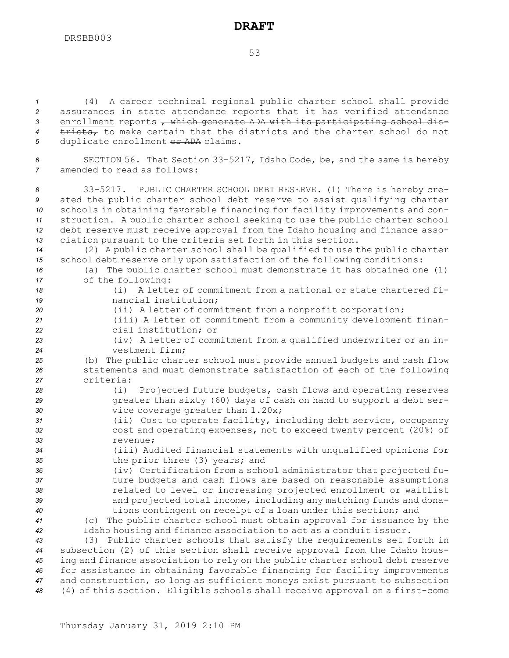53

 (4) <sup>A</sup> career technical regional public charter school shall provide assurances in state attendance reports that it has verified attendance 3 enrollment reports  $\tau$  which generate ADA with its participating school dis- tricts, to make certain that the districts and the charter school do not duplicate enrollment or ADA claims.

*<sup>6</sup>* SECTION 56. That Section 33-5217, Idaho Code, be, and the same is hereby *7* amended to read as follows:

 33-5217. PUBLIC CHARTER SCHOOL DEBT RESERVE. (1) There is hereby cre- ated the public charter school debt reserve to assist qualifying charter schools in obtaining favorable financing for facility improvements and con- struction. <sup>A</sup> public charter school seeking to use the public charter school debt reserve must receive approval from the Idaho housing and finance asso-ciation pursuant to the criteria set forth in this section.

*<sup>14</sup>* (2) <sup>A</sup> public charter school shall be qualified to use the public charter *<sup>15</sup>* school debt reserve only upon satisfaction of the following conditions:

*<sup>16</sup>* (a) The public charter school must demonstrate it has obtained one (1) *<sup>17</sup>* of the following:

- *18* (i) A letter of commitment from <sup>a</sup> national or state chartered fi-*19* nancial institution;
- *<sup>20</sup>* (ii) <sup>A</sup> letter of commitment from <sup>a</sup> nonprofit corporation;
- *<sup>21</sup>* (iii) <sup>A</sup> letter of commitment from <sup>a</sup> community development finan-*22* cial institution; or
- *<sup>23</sup>* (iv) <sup>A</sup> letter of commitment from <sup>a</sup> qualified underwriter or an in-*24* vestment firm;
- *<sup>25</sup>* (b) The public charter school must provide annual budgets and cash flow *<sup>26</sup>* statements and must demonstrate satisfaction of each of the following *27* criteria:
- *<sup>28</sup>* (i) Projected future budgets, cash flows and operating reserves *<sup>29</sup>* greater than sixty (60) days of cash on hand to support <sup>a</sup> debt ser-*<sup>30</sup>* vice coverage greater than 1.20x;
- *<sup>31</sup>* (ii) Cost to operate facility, including debt service, occupancy *<sup>32</sup>* cost and operating expenses, not to exceed twenty percent (20%) of *33* revenue;
- *<sup>34</sup>* (iii) Audited financial statements with unqualified opinions for *<sup>35</sup>* the prior three (3) years; and
- *<sup>36</sup>* (iv) Certification from <sup>a</sup> school administrator that projected fu-*<sup>37</sup>* ture budgets and cash flows are based on reasonable assumptions *<sup>38</sup>* related to level or increasing projected enrollment or waitlist *<sup>39</sup>* and projected total income, including any matching funds and dona-*<sup>40</sup>* tions contingent on receipt of <sup>a</sup> loan under this section; and
- *<sup>41</sup>* (c) The public charter school must obtain approval for issuance by the *<sup>42</sup>* Idaho housing and finance association to act as <sup>a</sup> conduit issuer.

 (3) Public charter schools that satisfy the requirements set forth in subsection (2) of this section shall receive approval from the Idaho hous- ing and finance association to rely on the public charter school debt reserve for assistance in obtaining favorable financing for facility improvements and construction, so long as sufficient moneys exist pursuant to subsection (4) of this section. Eligible schools shall receive approval on <sup>a</sup> first-come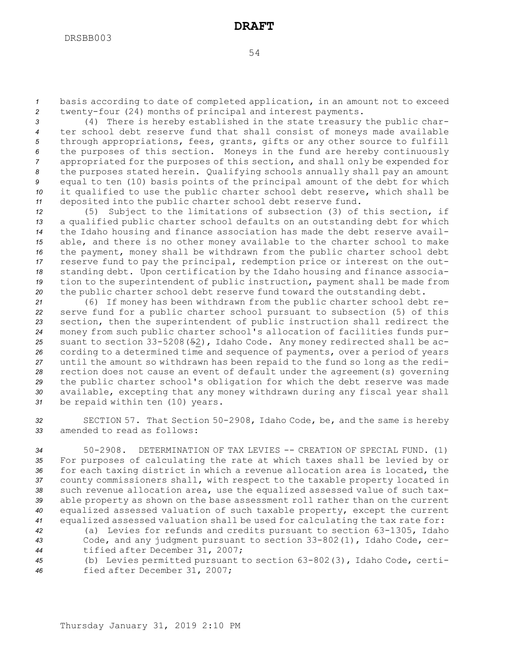*<sup>1</sup>* basis according to date of completed application, in an amount not to exceed *<sup>2</sup>* twenty-four (24) months of principal and interest payments.

 (4) There is hereby established in the state treasury the public char- ter school debt reserve fund that shall consist of moneys made available through appropriations, fees, grants, gifts or any other source to fulfill the purposes of this section. Moneys in the fund are hereby continuously appropriated for the purposes of this section, and shall only be expended for the purposes stated herein. Qualifying schools annually shall pay an amount equal to ten (10) basis points of the principal amount of the debt for which it qualified to use the public charter school debt reserve, which shall be deposited into the public charter school debt reserve fund.

 (5) Subject to the limitations of subsection (3) of this section, if <sup>a</sup> qualified public charter school defaults on an outstanding debt for which the Idaho housing and finance association has made the debt reserve avail- able, and there is no other money available to the charter school to make the payment, money shall be withdrawn from the public charter school debt reserve fund to pay the principal, redemption price or interest on the out- standing debt. Upon certification by the Idaho housing and finance associa- tion to the superintendent of public instruction, payment shall be made from the public charter school debt reserve fund toward the outstanding debt.

 (6) If money has been withdrawn from the public charter school debt re- serve fund for <sup>a</sup> public charter school pursuant to subsection (5) of this section, then the superintendent of public instruction shall redirect the money from such public charter school's allocation of facilities funds pur- suant to section 33-5208(52), Idaho Code. Any money redirected shall be ac- cording to <sup>a</sup> determined time and sequence of payments, over <sup>a</sup> period of years until the amount so withdrawn has been repaid to the fund so long as the redi- rection does not cause an event of default under the agreement(s) governing the public charter school's obligation for which the debt reserve was made available, excepting that any money withdrawn during any fiscal year shall be repaid within ten (10) years.

*<sup>32</sup>* SECTION 57. That Section 50-2908, Idaho Code, be, and the same is hereby *33* amended to read as follows:

 50-2908. DETERMINATION OF TAX LEVIES -- CREATION OF SPECIAL FUND. (1) For purposes of calculating the rate at which taxes shall be levied by or for each taxing district in which <sup>a</sup> revenue allocation area is located, the county commissioners shall, with respect to the taxable property located in such revenue allocation area, use the equalized assessed value of such tax- able property as shown on the base assessment roll rather than on the current equalized assessed valuation of such taxable property, except the current equalized assessed valuation shall be used for calculating the tax rate for:

*<sup>42</sup>* (a) Levies for refunds and credits pursuant to section 63-1305, Idaho *<sup>43</sup>* Code, and any judgment pursuant to section 33-802(1), Idaho Code, cer-*<sup>44</sup>* tified after December 31, 2007;

*<sup>45</sup>* (b) Levies permitted pursuant to section 63-802(3), Idaho Code, certi-*<sup>46</sup>* fied after December 31, 2007;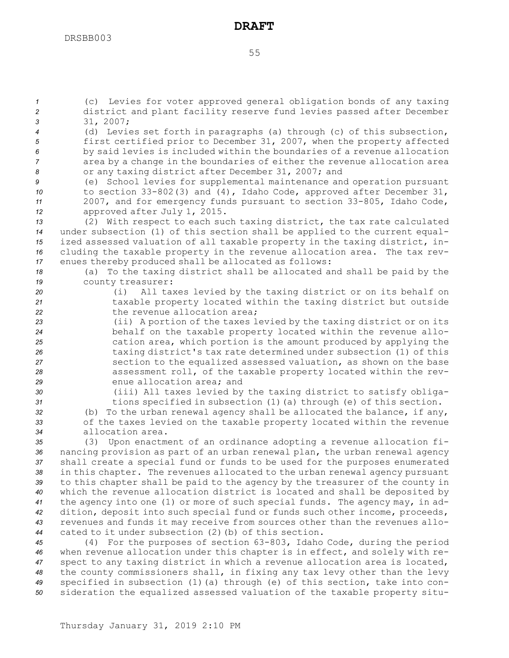*<sup>3</sup>* 31, 2007;

### **DRAFT**

*<sup>1</sup>* (c) Levies for voter approved general obligation bonds of any taxing *<sup>2</sup>* district and plant facility reserve fund levies passed after December

*<sup>4</sup>* (d) Levies set forth in paragraphs (a) through (c) of this subsection, *<sup>5</sup>* first certified prior to December 31, 2007, when the property affected

 by said levies is included within the boundaries of <sup>a</sup> revenue allocation area by <sup>a</sup> change in the boundaries of either the revenue allocation area or any taxing district after December 31, 2007; and (e) School levies for supplemental maintenance and operation pursuant to section 33-802(3) and (4), Idaho Code, approved after December 31, 2007, and for emergency funds pursuant to section 33-805, Idaho Code, approved after July 1, 2015. (2) With respect to each such taxing district, the tax rate calculated under subsection (1) of this section shall be applied to the current equal- ized assessed valuation of all taxable property in the taxing district, in- cluding the taxable property in the revenue allocation area. The tax rev- enues thereby produced shall be allocated as follows: (a) To the taxing district shall be allocated and shall be paid by the county treasurer: (i) All taxes levied by the taxing district or on its behalf on taxable property located within the taxing district but outside 22 the revenue allocation area; (ii) <sup>A</sup> portion of the taxes levied by the taxing district or on its behalf on the taxable property located within the revenue allo- cation area, which portion is the amount produced by applying the taxing district's tax rate determined under subsection (1) of this section to the equalized assessed valuation, as shown on the base assessment roll, of the taxable property located within the rev- enue allocation area; and (iii) All taxes levied by the taxing district to satisfy obliga- tions specified in subsection (1)(a) through (e) of this section. (b) To the urban renewal agency shall be allocated the balance, if any, of the taxes levied on the taxable property located within the revenue allocation area. (3) Upon enactment of an ordinance adopting <sup>a</sup> revenue allocation fi- nancing provision as part of an urban renewal plan, the urban renewal agency shall create <sup>a</sup> special fund or funds to be used for the purposes enumerated in this chapter. The revenues allocated to the urban renewal agency pursuant to this chapter shall be paid to the agency by the treasurer of the county in which the revenue allocation district is located and shall be deposited by the agency into one (1) or more of such special funds. The agency may, in ad- dition, deposit into such special fund or funds such other income, proceeds, revenues and funds it may receive from sources other than the revenues allo- cated to it under subsection (2)(b) of this section. (4) For the purposes of section 63-803, Idaho Code, during the period when revenue allocation under this chapter is in effect, and solely with re- spect to any taxing district in which <sup>a</sup> revenue allocation area is located, the county commissioners shall, in fixing any tax levy other than the levy specified in subsection (1)(a) through (e) of this section, take into con-sideration the equalized assessed valuation of the taxable property situ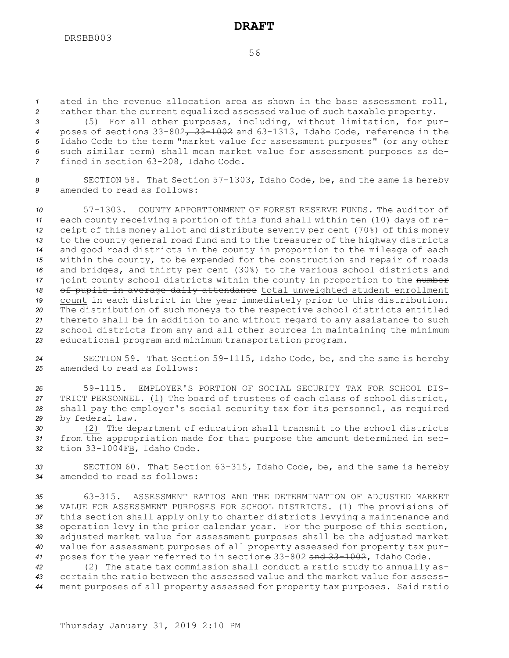*<sup>1</sup>* ated in the revenue allocation area as shown in the base assessment roll, *<sup>2</sup>* rather than the current equalized assessed value of such taxable property.

 (5) For all other purposes, including, without limitation, for pur- poses of sections 33-802, 33-1002 and 63-1313, Idaho Code, reference in the Idaho Code to the term "market value for assessment purposes" (or any other such similar term) shall mean market value for assessment purposes as de-fined in section 63-208, Idaho Code.

*<sup>8</sup>* SECTION 58. That Section 57-1303, Idaho Code, be, and the same is hereby *9* amended to read as follows:

 57-1303. COUNTY APPORTIONMENT OF FOREST RESERVE FUNDS. The auditor of each county receiving <sup>a</sup> portion of this fund shall within ten (10) days of re- ceipt of this money allot and distribute seventy per cent (70%) of this money to the county general road fund and to the treasurer of the highway districts and good road districts in the county in proportion to the mileage of each within the county, to be expended for the construction and repair of roads and bridges, and thirty per cent (30%) to the various school districts and 17 joint county school districts within the county in proportion to the number 18 of pupils in average daily attendance total unweighted student enrollment count in each district in the year immediately prior to this distribution. The distribution of such moneys to the respective school districts entitled thereto shall be in addition to and without regard to any assistance to such school districts from any and all other sources in maintaining the minimum educational program and minimum transportation program.

*<sup>24</sup>* SECTION 59. That Section 59-1115, Idaho Code, be, and the same is hereby *25* amended to read as follows:

 59-1115. EMPLOYER'S PORTION OF SOCIAL SECURITY TAX FOR SCHOOL DIS- TRICT PERSONNEL. (1) The board of trustees of each class of school district, shall pay the employer's social security tax for its personnel, as required by federal law.

*<sup>30</sup>* (2) The department of education shall transmit to the school districts *<sup>31</sup>* from the appropriation made for that purpose the amount determined in sec-*<sup>32</sup>* tion 33-1004FB, Idaho Code.

*<sup>33</sup>* SECTION 60. That Section 63-315, Idaho Code, be, and the same is hereby *34* amended to read as follows:

 63-315. ASSESSMENT RATIOS AND THE DETERMINATION OF ADJUSTED MARKET VALUE FOR ASSESSMENT PURPOSES FOR SCHOOL DISTRICTS. (1) The provisions of this section shall apply only to charter districts levying <sup>a</sup> maintenance and operation levy in the prior calendar year. For the purpose of this section, adjusted market value for assessment purposes shall be the adjusted market value for assessment purposes of all property assessed for property tax pur-poses for the year referred to in sections 33-802 and 33-1002, Idaho Code.

*<sup>42</sup>* (2) The state tax commission shall conduct <sup>a</sup> ratio study to annually as-*43* certain the ratio between the assessed value and the market value for assess-*<sup>44</sup>* ment purposes of all property assessed for property tax purposes. Said ratio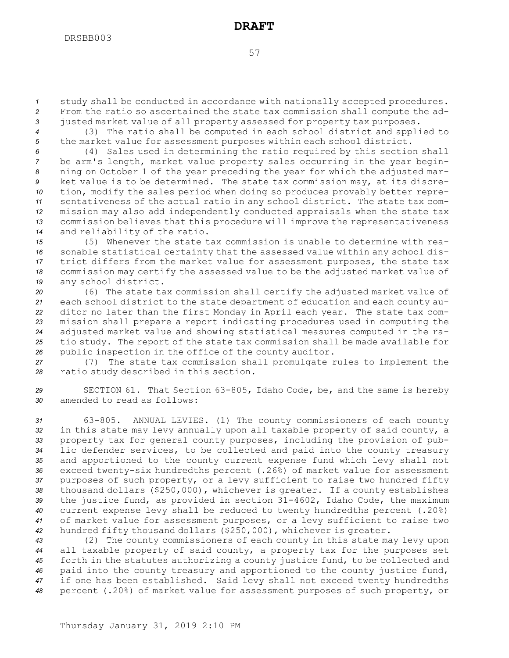*<sup>1</sup>* study shall be conducted in accordance with nationally accepted procedures. *<sup>2</sup>* From the ratio so ascertained the state tax commission shall compute the ad-*<sup>3</sup>* justed market value of all property assessed for property tax purposes.

*<sup>4</sup>* (3) The ratio shall be computed in each school district and applied to *<sup>5</sup>* the market value for assessment purposes within each school district.

 (4) Sales used in determining the ratio required by this section shall be arm's length, market value property sales occurring in the year begin- ning on October 1 of the year preceding the year for which the adjusted mar- ket value is to be determined. The state tax commission may, at its discre- tion, modify the sales period when doing so produces provably better repre- sentativeness of the actual ratio in any school district. The state tax com- mission may also add independently conducted appraisals when the state tax commission believes that this procedure will improve the representativeness and reliability of the ratio.

 (5) Whenever the state tax commission is unable to determine with rea- sonable statistical certainty that the assessed value within any school dis- trict differs from the market value for assessment purposes, the state tax commission may certify the assessed value to be the adjusted market value of any school district.

 (6) The state tax commission shall certify the adjusted market value of each school district to the state department of education and each county au- ditor no later than the first Monday in April each year. The state tax com- mission shall prepare <sup>a</sup> report indicating procedures used in computing the adjusted market value and showing statistical measures computed in the ra- tio study. The report of the state tax commission shall be made available for public inspection in the office of the county auditor.

*<sup>27</sup>* (7) The state tax commission shall promulgate rules to implement the *<sup>28</sup>* ratio study described in this section.

*<sup>29</sup>* SECTION 61. That Section 63-805, Idaho Code, be, and the same is hereby *30* amended to read as follows:

 63-805. ANNUAL LEVIES. (1) The county commissioners of each county in this state may levy annually upon all taxable property of said county, <sup>a</sup> property tax for general county purposes, including the provision of pub- lic defender services, to be collected and paid into the county treasury and apportioned to the county current expense fund which levy shall not exceed twenty-six hundredths percent (.26%) of market value for assessment purposes of such property, or <sup>a</sup> levy sufficient to raise two hundred fifty thousand dollars (\$250,000), whichever is greater. If <sup>a</sup> county establishes the justice fund, as provided in section 31-4602, Idaho Code, the maximum current expense levy shall be reduced to twenty hundredths percent (.20%) of market value for assessment purposes, or <sup>a</sup> levy sufficient to raise two hundred fifty thousand dollars (\$250,000), whichever is greater.

 (2) The county commissioners of each county in this state may levy upon all taxable property of said county, <sup>a</sup> property tax for the purposes set forth in the statutes authorizing <sup>a</sup> county justice fund, to be collected and paid into the county treasury and apportioned to the county justice fund, if one has been established. Said levy shall not exceed twenty hundredths percent (.20%) of market value for assessment purposes of such property, or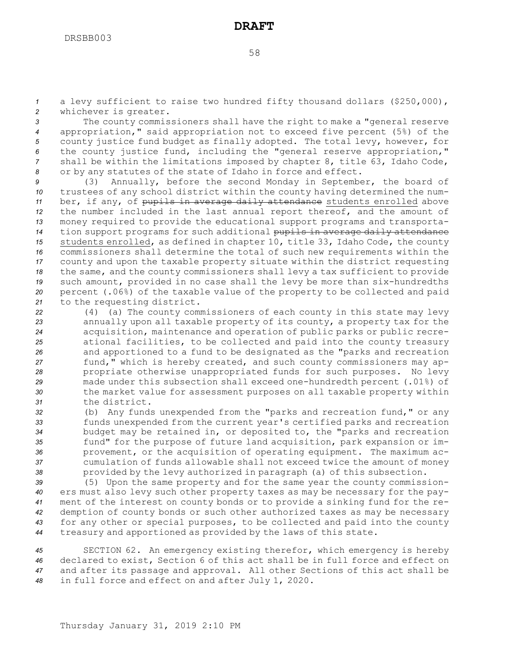*<sup>1</sup>* <sup>a</sup> levy sufficient to raise two hundred fifty thousand dollars (\$250,000), *<sup>2</sup>* whichever is greater.

 The county commissioners shall have the right to make <sup>a</sup> "general reserve appropriation," said appropriation not to exceed five percent (5%) of the county justice fund budget as finally adopted. The total levy, however, for the county justice fund, including the "general reserve appropriation," shall be within the limitations imposed by chapter 8, title 63, Idaho Code, or by any statutes of the state of Idaho in force and effect.

 (3) Annually, before the second Monday in September, the board of trustees of any school district within the county having determined the num- ber, if any, of pupils in average daily attendance students enrolled above the number included in the last annual report thereof, and the amount of money required to provide the educational support programs and transporta- tion support programs for such additional pupils in average daily attendance students enrolled, as defined in chapter 10, title 33, Idaho Code, the county commissioners shall determine the total of such new requirements within the county and upon the taxable property situate within the district requesting the same, and the county commissioners shall levy <sup>a</sup> tax sufficient to provide such amount, provided in no case shall the levy be more than six-hundredths percent (.06%) of the taxable value of the property to be collected and paid to the requesting district.

 (4) (a) The county commissioners of each county in this state may levy annually upon all taxable property of its county, <sup>a</sup> property tax for the acquisition, maintenance and operation of public parks or public recre- ational facilities, to be collected and paid into the county treasury and apportioned to <sup>a</sup> fund to be designated as the "parks and recreation fund," which is hereby created, and such county commissioners may ap- propriate otherwise unappropriated funds for such purposes. No levy made under this subsection shall exceed one-hundredth percent (.01%) of the market value for assessment purposes on all taxable property within the district.

 (b) Any funds unexpended from the "parks and recreation fund," or any funds unexpended from the current year's certified parks and recreation budget may be retained in, or deposited to, the "parks and recreation fund" for the purpose of future land acquisition, park expansion or im- provement, or the acquisition of operating equipment. The maximum ac- cumulation of funds allowable shall not exceed twice the amount of money provided by the levy authorized in paragraph (a) of this subsection.

 (5) Upon the same property and for the same year the county commission- ers must also levy such other property taxes as may be necessary for the pay- ment of the interest on county bonds or to provide <sup>a</sup> sinking fund for the re- demption of county bonds or such other authorized taxes as may be necessary for any other or special purposes, to be collected and paid into the county treasury and apportioned as provided by the laws of this state.

 SECTION 62. An emergency existing therefor, which emergency is hereby declared to exist, Section 6 of this act shall be in full force and effect on and after its passage and approval. All other Sections of this act shall be in full force and effect on and after July 1, 2020.